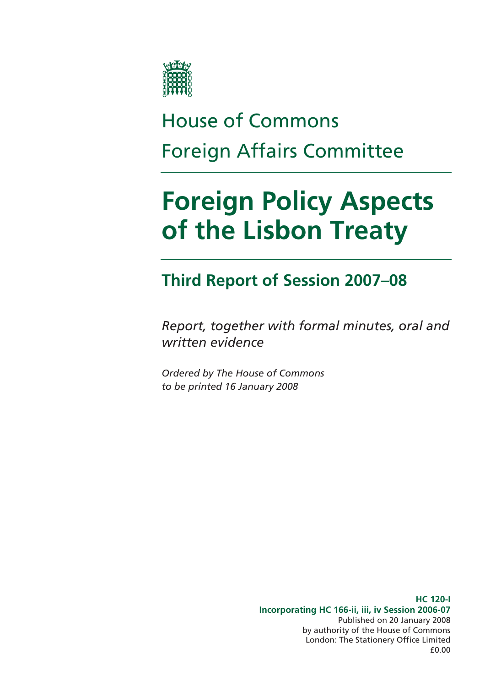

# House of Commons Foreign Affairs Committee

# **Foreign Policy Aspects of the Lisbon Treaty**

### **Third Report of Session 2007–08**

*Report, together with formal minutes, oral and written evidence* 

*Ordered by The House of Commons to be printed 16 January 2008* 

> **HC 120-I Incorporating HC 166-ii, iii, iv Session 2006-07**  Published on 20 January 2008 by authority of the House of Commons London: The Stationery Office Limited £0.00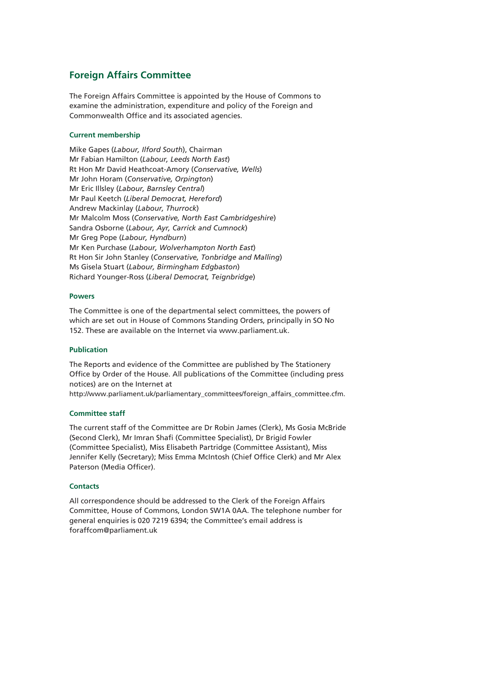#### **Foreign Affairs Committee**

The Foreign Affairs Committee is appointed by the House of Commons to examine the administration, expenditure and policy of the Foreign and Commonwealth Office and its associated agencies.

#### **Current membership**

Mike Gapes (*Labour, Ilford South*), Chairman Mr Fabian Hamilton (*Labour, Leeds North East*) Rt Hon Mr David Heathcoat-Amory (*Conservative, Wells*) Mr John Horam (*Conservative, Orpington*) Mr Eric Illsley (*Labour, Barnsley Central*) Mr Paul Keetch (*Liberal Democrat, Hereford*) Andrew Mackinlay (*Labour, Thurrock*) Mr Malcolm Moss (*Conservative, North East Cambridgeshire*) Sandra Osborne (*Labour, Ayr, Carrick and Cumnock*) Mr Greg Pope (*Labour, Hyndburn*) Mr Ken Purchase (*Labour, Wolverhampton North East*) Rt Hon Sir John Stanley (*Conservative, Tonbridge and Malling*) Ms Gisela Stuart (*Labour, Birmingham Edgbaston*) Richard Younger-Ross (*Liberal Democrat, Teignbridge*)

#### **Powers**

The Committee is one of the departmental select committees, the powers of which are set out in House of Commons Standing Orders, principally in SO No 152. These are available on the Internet via www.parliament.uk.

#### **Publication**

The Reports and evidence of the Committee are published by The Stationery Office by Order of the House. All publications of the Committee (including press notices) are on the Internet at

http://www.parliament.uk/parliamentary\_committees/foreign\_affairs\_committee.cfm.

#### **Committee staff**

The current staff of the Committee are Dr Robin James (Clerk), Ms Gosia McBride (Second Clerk), Mr Imran Shafi (Committee Specialist), Dr Brigid Fowler (Committee Specialist), Miss Elisabeth Partridge (Committee Assistant), Miss Jennifer Kelly (Secretary); Miss Emma McIntosh (Chief Office Clerk) and Mr Alex Paterson (Media Officer).

#### **Contacts**

All correspondence should be addressed to the Clerk of the Foreign Affairs Committee, House of Commons, London SW1A 0AA. The telephone number for general enquiries is 020 7219 6394; the Committee's email address is foraffcom@parliament.uk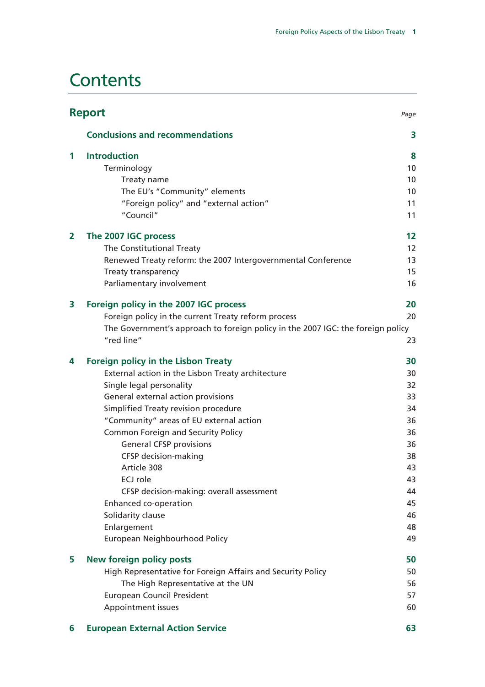### **Contents**

|                | <b>Report</b>                                                                                 | Page |
|----------------|-----------------------------------------------------------------------------------------------|------|
|                | <b>Conclusions and recommendations</b>                                                        | 3    |
| 1              | <b>Introduction</b>                                                                           | 8    |
|                | Terminology                                                                                   | 10   |
|                | Treaty name                                                                                   | 10   |
|                | The EU's "Community" elements                                                                 | 10   |
|                | "Foreign policy" and "external action"                                                        | 11   |
|                | "Council"                                                                                     | 11   |
| $\overline{2}$ | The 2007 IGC process                                                                          | 12   |
|                | The Constitutional Treaty                                                                     | 12   |
|                | Renewed Treaty reform: the 2007 Intergovernmental Conference                                  | 13   |
|                | Treaty transparency                                                                           | 15   |
|                | Parliamentary involvement                                                                     | 16   |
| 3              | Foreign policy in the 2007 IGC process                                                        | 20   |
|                | Foreign policy in the current Treaty reform process                                           | 20   |
|                | The Government's approach to foreign policy in the 2007 IGC: the foreign policy<br>"red line" | 23   |
| 4              | <b>Foreign policy in the Lisbon Treaty</b>                                                    | 30   |
|                | External action in the Lisbon Treaty architecture                                             | 30   |
|                | Single legal personality                                                                      | 32   |
|                | General external action provisions                                                            | 33   |
|                | Simplified Treaty revision procedure                                                          | 34   |
|                | "Community" areas of EU external action                                                       | 36   |
|                | <b>Common Foreign and Security Policy</b>                                                     | 36   |
|                | <b>General CFSP provisions</b>                                                                | 36   |
|                | <b>CFSP</b> decision-making                                                                   | 38   |
|                | Article 308                                                                                   | 43   |
|                | ECJ role                                                                                      | 43   |
|                | CFSP decision-making: overall assessment                                                      | 44   |
|                | Enhanced co-operation                                                                         | 45   |
|                | Solidarity clause                                                                             | 46   |
|                | Enlargement                                                                                   | 48   |
|                | European Neighbourhood Policy                                                                 | 49   |
| 5              | <b>New foreign policy posts</b>                                                               | 50   |
|                | High Representative for Foreign Affairs and Security Policy                                   | 50   |
|                | The High Representative at the UN                                                             | 56   |
|                | <b>European Council President</b>                                                             | 57   |
|                | Appointment issues                                                                            | 60   |
| 6              | <b>European External Action Service</b>                                                       | 63   |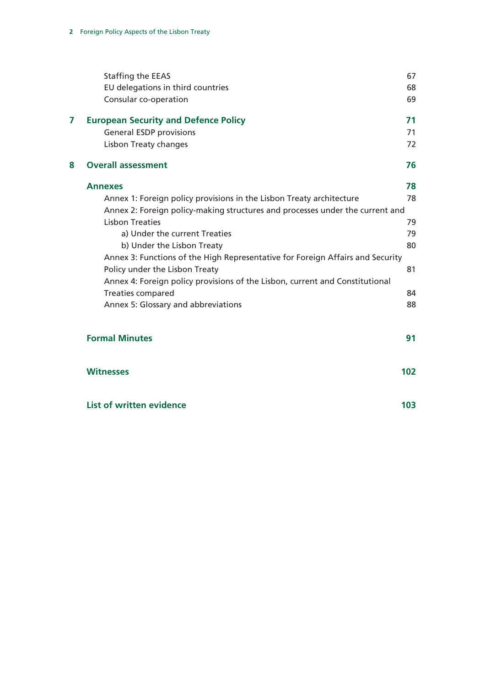|   | Staffing the EEAS<br>EU delegations in third countries                         | 67<br>68 |
|---|--------------------------------------------------------------------------------|----------|
|   | Consular co-operation                                                          | 69       |
| 7 | <b>European Security and Defence Policy</b>                                    | 71       |
|   | <b>General ESDP provisions</b>                                                 | 71       |
|   | <b>Lisbon Treaty changes</b>                                                   | 72       |
| 8 | <b>Overall assessment</b>                                                      | 76       |
|   | <b>Annexes</b>                                                                 | 78       |
|   | Annex 1: Foreign policy provisions in the Lisbon Treaty architecture           | 78       |
|   | Annex 2: Foreign policy-making structures and processes under the current and  |          |
|   | <b>Lisbon Treaties</b>                                                         | 79       |
|   | a) Under the current Treaties                                                  | 79       |
|   | b) Under the Lisbon Treaty                                                     | 80       |
|   | Annex 3: Functions of the High Representative for Foreign Affairs and Security |          |
|   | Policy under the Lisbon Treaty                                                 | 81       |
|   | Annex 4: Foreign policy provisions of the Lisbon, current and Constitutional   |          |
|   | <b>Treaties compared</b>                                                       | 84       |
|   | Annex 5: Glossary and abbreviations                                            | 88       |
|   | <b>Formal Minutes</b>                                                          | 91       |
|   | <b>Witnesses</b>                                                               | 102      |
|   | <b>List of written evidence</b>                                                | 103      |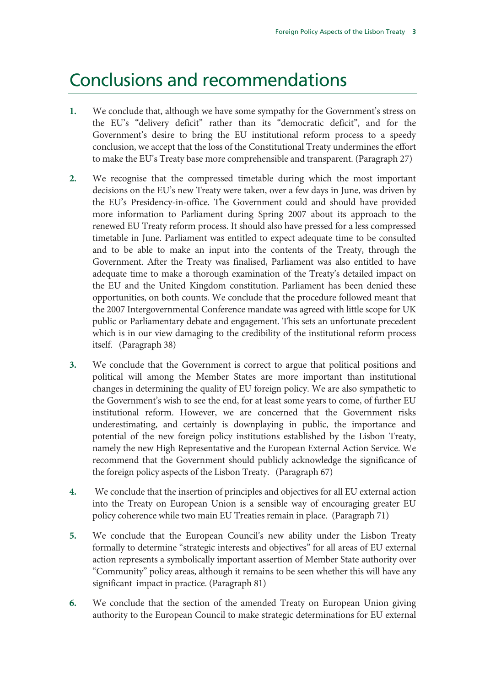### Conclusions and recommendations

- **1.** We conclude that, although we have some sympathy for the Government's stress on the EU's "delivery deficit" rather than its "democratic deficit", and for the Government's desire to bring the EU institutional reform process to a speedy conclusion, we accept that the loss of the Constitutional Treaty undermines the effort to make the EU's Treaty base more comprehensible and transparent. (Paragraph 27)
- **2.** We recognise that the compressed timetable during which the most important decisions on the EU's new Treaty were taken, over a few days in June, was driven by the EU's Presidency-in-office. The Government could and should have provided more information to Parliament during Spring 2007 about its approach to the renewed EU Treaty reform process. It should also have pressed for a less compressed timetable in June. Parliament was entitled to expect adequate time to be consulted and to be able to make an input into the contents of the Treaty, through the Government. After the Treaty was finalised, Parliament was also entitled to have adequate time to make a thorough examination of the Treaty's detailed impact on the EU and the United Kingdom constitution. Parliament has been denied these opportunities, on both counts. We conclude that the procedure followed meant that the 2007 Intergovernmental Conference mandate was agreed with little scope for UK public or Parliamentary debate and engagement. This sets an unfortunate precedent which is in our view damaging to the credibility of the institutional reform process itself. (Paragraph 38)
- **3.** We conclude that the Government is correct to argue that political positions and political will among the Member States are more important than institutional changes in determining the quality of EU foreign policy. We are also sympathetic to the Government's wish to see the end, for at least some years to come, of further EU institutional reform. However, we are concerned that the Government risks underestimating, and certainly is downplaying in public, the importance and potential of the new foreign policy institutions established by the Lisbon Treaty, namely the new High Representative and the European External Action Service. We recommend that the Government should publicly acknowledge the significance of the foreign policy aspects of the Lisbon Treaty. (Paragraph 67)
- **4.** We conclude that the insertion of principles and objectives for all EU external action into the Treaty on European Union is a sensible way of encouraging greater EU policy coherence while two main EU Treaties remain in place. (Paragraph 71)
- **5.** We conclude that the European Council's new ability under the Lisbon Treaty formally to determine "strategic interests and objectives" for all areas of EU external action represents a symbolically important assertion of Member State authority over "Community" policy areas, although it remains to be seen whether this will have any significant impact in practice. (Paragraph 81)
- **6.** We conclude that the section of the amended Treaty on European Union giving authority to the European Council to make strategic determinations for EU external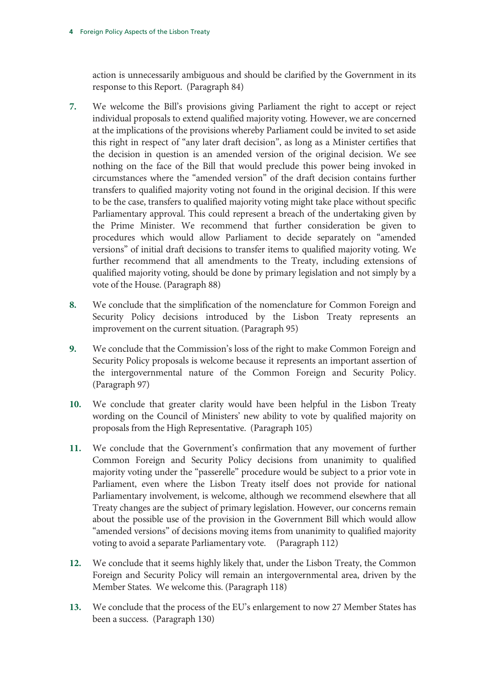action is unnecessarily ambiguous and should be clarified by the Government in its response to this Report. (Paragraph 84)

- **7.** We welcome the Bill's provisions giving Parliament the right to accept or reject individual proposals to extend qualified majority voting. However, we are concerned at the implications of the provisions whereby Parliament could be invited to set aside this right in respect of "any later draft decision", as long as a Minister certifies that the decision in question is an amended version of the original decision. We see nothing on the face of the Bill that would preclude this power being invoked in circumstances where the "amended version" of the draft decision contains further transfers to qualified majority voting not found in the original decision. If this were to be the case, transfers to qualified majority voting might take place without specific Parliamentary approval. This could represent a breach of the undertaking given by the Prime Minister. We recommend that further consideration be given to procedures which would allow Parliament to decide separately on "amended versions" of initial draft decisions to transfer items to qualified majority voting. We further recommend that all amendments to the Treaty, including extensions of qualified majority voting, should be done by primary legislation and not simply by a vote of the House. (Paragraph 88)
- **8.** We conclude that the simplification of the nomenclature for Common Foreign and Security Policy decisions introduced by the Lisbon Treaty represents an improvement on the current situation. (Paragraph 95)
- **9.** We conclude that the Commission's loss of the right to make Common Foreign and Security Policy proposals is welcome because it represents an important assertion of the intergovernmental nature of the Common Foreign and Security Policy. (Paragraph 97)
- **10.** We conclude that greater clarity would have been helpful in the Lisbon Treaty wording on the Council of Ministers' new ability to vote by qualified majority on proposals from the High Representative. (Paragraph 105)
- **11.** We conclude that the Government's confirmation that any movement of further Common Foreign and Security Policy decisions from unanimity to qualified majority voting under the "passerelle" procedure would be subject to a prior vote in Parliament, even where the Lisbon Treaty itself does not provide for national Parliamentary involvement, is welcome, although we recommend elsewhere that all Treaty changes are the subject of primary legislation. However, our concerns remain about the possible use of the provision in the Government Bill which would allow "amended versions" of decisions moving items from unanimity to qualified majority voting to avoid a separate Parliamentary vote. (Paragraph 112)
- **12.** We conclude that it seems highly likely that, under the Lisbon Treaty, the Common Foreign and Security Policy will remain an intergovernmental area, driven by the Member States. We welcome this. (Paragraph 118)
- **13.** We conclude that the process of the EU's enlargement to now 27 Member States has been a success. (Paragraph 130)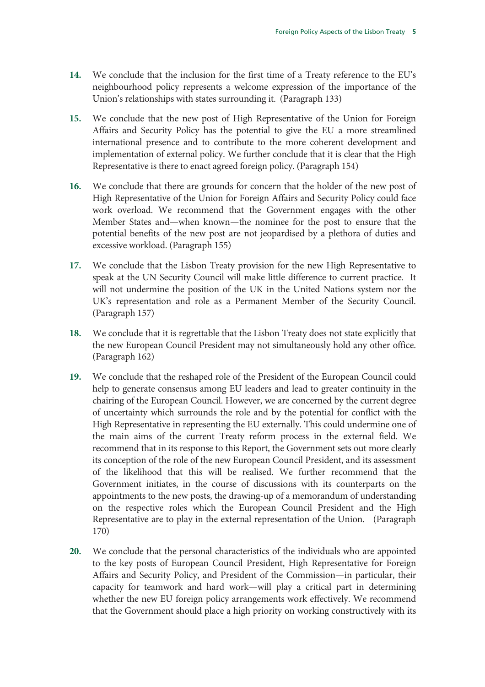- **14.** We conclude that the inclusion for the first time of a Treaty reference to the EU's neighbourhood policy represents a welcome expression of the importance of the Union's relationships with states surrounding it. (Paragraph 133)
- **15.** We conclude that the new post of High Representative of the Union for Foreign Affairs and Security Policy has the potential to give the EU a more streamlined international presence and to contribute to the more coherent development and implementation of external policy. We further conclude that it is clear that the High Representative is there to enact agreed foreign policy. (Paragraph 154)
- **16.** We conclude that there are grounds for concern that the holder of the new post of High Representative of the Union for Foreign Affairs and Security Policy could face work overload. We recommend that the Government engages with the other Member States and—when known—the nominee for the post to ensure that the potential benefits of the new post are not jeopardised by a plethora of duties and excessive workload. (Paragraph 155)
- **17.** We conclude that the Lisbon Treaty provision for the new High Representative to speak at the UN Security Council will make little difference to current practice. It will not undermine the position of the UK in the United Nations system nor the UK's representation and role as a Permanent Member of the Security Council. (Paragraph 157)
- **18.** We conclude that it is regrettable that the Lisbon Treaty does not state explicitly that the new European Council President may not simultaneously hold any other office. (Paragraph 162)
- **19.** We conclude that the reshaped role of the President of the European Council could help to generate consensus among EU leaders and lead to greater continuity in the chairing of the European Council. However, we are concerned by the current degree of uncertainty which surrounds the role and by the potential for conflict with the High Representative in representing the EU externally. This could undermine one of the main aims of the current Treaty reform process in the external field. We recommend that in its response to this Report, the Government sets out more clearly its conception of the role of the new European Council President, and its assessment of the likelihood that this will be realised. We further recommend that the Government initiates, in the course of discussions with its counterparts on the appointments to the new posts, the drawing-up of a memorandum of understanding on the respective roles which the European Council President and the High Representative are to play in the external representation of the Union. (Paragraph 170)
- **20.** We conclude that the personal characteristics of the individuals who are appointed to the key posts of European Council President, High Representative for Foreign Affairs and Security Policy, and President of the Commission—in particular, their capacity for teamwork and hard work—will play a critical part in determining whether the new EU foreign policy arrangements work effectively. We recommend that the Government should place a high priority on working constructively with its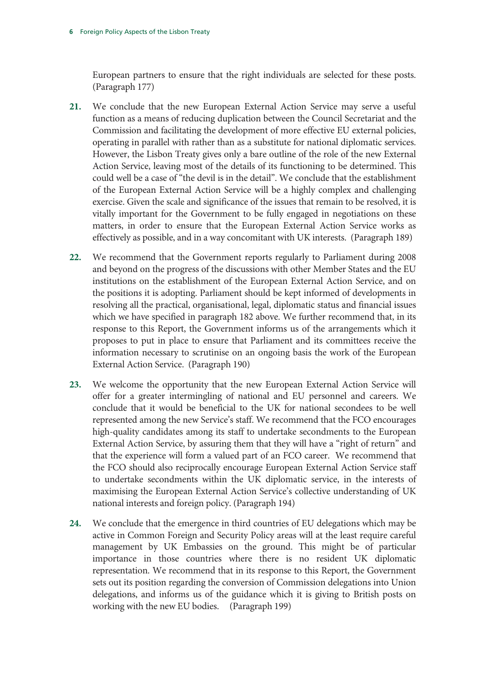European partners to ensure that the right individuals are selected for these posts. (Paragraph 177)

- **21.** We conclude that the new European External Action Service may serve a useful function as a means of reducing duplication between the Council Secretariat and the Commission and facilitating the development of more effective EU external policies, operating in parallel with rather than as a substitute for national diplomatic services. However, the Lisbon Treaty gives only a bare outline of the role of the new External Action Service, leaving most of the details of its functioning to be determined. This could well be a case of "the devil is in the detail". We conclude that the establishment of the European External Action Service will be a highly complex and challenging exercise. Given the scale and significance of the issues that remain to be resolved, it is vitally important for the Government to be fully engaged in negotiations on these matters, in order to ensure that the European External Action Service works as effectively as possible, and in a way concomitant with UK interests. (Paragraph 189)
- **22.** We recommend that the Government reports regularly to Parliament during 2008 and beyond on the progress of the discussions with other Member States and the EU institutions on the establishment of the European External Action Service, and on the positions it is adopting. Parliament should be kept informed of developments in resolving all the practical, organisational, legal, diplomatic status and financial issues which we have specified in paragraph 182 above. We further recommend that, in its response to this Report, the Government informs us of the arrangements which it proposes to put in place to ensure that Parliament and its committees receive the information necessary to scrutinise on an ongoing basis the work of the European External Action Service. (Paragraph 190)
- **23.** We welcome the opportunity that the new European External Action Service will offer for a greater intermingling of national and EU personnel and careers. We conclude that it would be beneficial to the UK for national secondees to be well represented among the new Service's staff. We recommend that the FCO encourages high-quality candidates among its staff to undertake secondments to the European External Action Service, by assuring them that they will have a "right of return" and that the experience will form a valued part of an FCO career. We recommend that the FCO should also reciprocally encourage European External Action Service staff to undertake secondments within the UK diplomatic service, in the interests of maximising the European External Action Service's collective understanding of UK national interests and foreign policy. (Paragraph 194)
- **24.** We conclude that the emergence in third countries of EU delegations which may be active in Common Foreign and Security Policy areas will at the least require careful management by UK Embassies on the ground. This might be of particular importance in those countries where there is no resident UK diplomatic representation. We recommend that in its response to this Report, the Government sets out its position regarding the conversion of Commission delegations into Union delegations, and informs us of the guidance which it is giving to British posts on working with the new EU bodies. (Paragraph 199)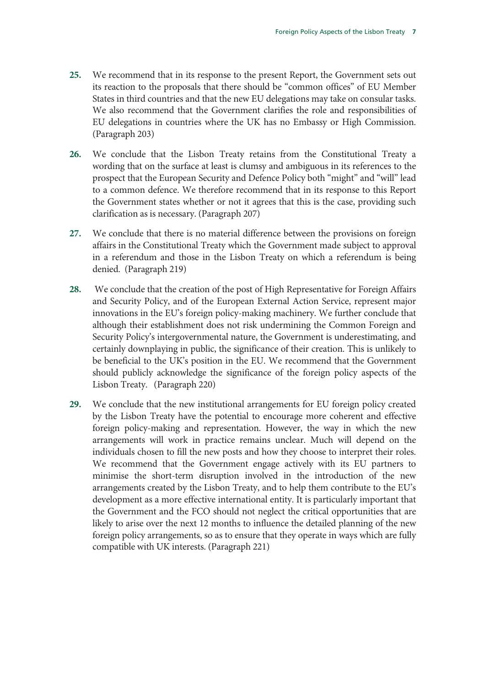- **25.** We recommend that in its response to the present Report, the Government sets out its reaction to the proposals that there should be "common offices" of EU Member States in third countries and that the new EU delegations may take on consular tasks. We also recommend that the Government clarifies the role and responsibilities of EU delegations in countries where the UK has no Embassy or High Commission. (Paragraph 203)
- **26.** We conclude that the Lisbon Treaty retains from the Constitutional Treaty a wording that on the surface at least is clumsy and ambiguous in its references to the prospect that the European Security and Defence Policy both "might" and "will" lead to a common defence. We therefore recommend that in its response to this Report the Government states whether or not it agrees that this is the case, providing such clarification as is necessary. (Paragraph 207)
- **27.** We conclude that there is no material difference between the provisions on foreign affairs in the Constitutional Treaty which the Government made subject to approval in a referendum and those in the Lisbon Treaty on which a referendum is being denied. (Paragraph 219)
- **28.** We conclude that the creation of the post of High Representative for Foreign Affairs and Security Policy, and of the European External Action Service, represent major innovations in the EU's foreign policy-making machinery. We further conclude that although their establishment does not risk undermining the Common Foreign and Security Policy's intergovernmental nature, the Government is underestimating, and certainly downplaying in public, the significance of their creation. This is unlikely to be beneficial to the UK's position in the EU. We recommend that the Government should publicly acknowledge the significance of the foreign policy aspects of the Lisbon Treaty. (Paragraph 220)
- **29.** We conclude that the new institutional arrangements for EU foreign policy created by the Lisbon Treaty have the potential to encourage more coherent and effective foreign policy-making and representation. However, the way in which the new arrangements will work in practice remains unclear. Much will depend on the individuals chosen to fill the new posts and how they choose to interpret their roles. We recommend that the Government engage actively with its EU partners to minimise the short-term disruption involved in the introduction of the new arrangements created by the Lisbon Treaty, and to help them contribute to the EU's development as a more effective international entity. It is particularly important that the Government and the FCO should not neglect the critical opportunities that are likely to arise over the next 12 months to influence the detailed planning of the new foreign policy arrangements, so as to ensure that they operate in ways which are fully compatible with UK interests. (Paragraph 221)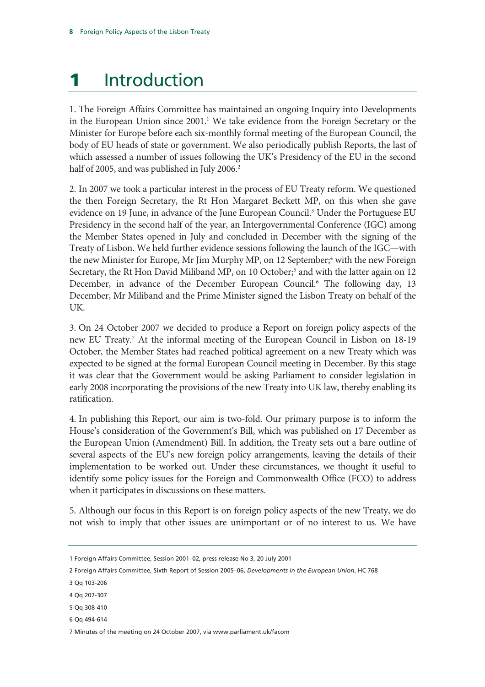## **Introduction**

1. The Foreign Affairs Committee has maintained an ongoing Inquiry into Developments in the European Union since 2001.<sup>1</sup> We take evidence from the Foreign Secretary or the Minister for Europe before each six-monthly formal meeting of the European Council, the body of EU heads of state or government. We also periodically publish Reports, the last of which assessed a number of issues following the UK's Presidency of the EU in the second half of 2005, and was published in July 2006.<sup>2</sup>

2. In 2007 we took a particular interest in the process of EU Treaty reform. We questioned the then Foreign Secretary, the Rt Hon Margaret Beckett MP, on this when she gave evidence on 19 June, in advance of the June European Council.<sup>3</sup> Under the Portuguese EU Presidency in the second half of the year, an Intergovernmental Conference (IGC) among the Member States opened in July and concluded in December with the signing of the Treaty of Lisbon. We held further evidence sessions following the launch of the IGC—with the new Minister for Europe, Mr Jim Murphy MP, on 12 September;<sup>4</sup> with the new Foreign Secretary, the Rt Hon David Miliband MP, on 10 October;<sup>5</sup> and with the latter again on 12 December, in advance of the December European Council.<sup>6</sup> The following day, 13 December, Mr Miliband and the Prime Minister signed the Lisbon Treaty on behalf of the UK.

3. On 24 October 2007 we decided to produce a Report on foreign policy aspects of the new EU Treaty.7 At the informal meeting of the European Council in Lisbon on 18-19 October, the Member States had reached political agreement on a new Treaty which was expected to be signed at the formal European Council meeting in December. By this stage it was clear that the Government would be asking Parliament to consider legislation in early 2008 incorporating the provisions of the new Treaty into UK law, thereby enabling its ratification.

4. In publishing this Report, our aim is two-fold. Our primary purpose is to inform the House's consideration of the Government's Bill, which was published on 17 December as the European Union (Amendment) Bill. In addition, the Treaty sets out a bare outline of several aspects of the EU's new foreign policy arrangements, leaving the details of their implementation to be worked out. Under these circumstances, we thought it useful to identify some policy issues for the Foreign and Commonwealth Office (FCO) to address when it participates in discussions on these matters.

5. Although our focus in this Report is on foreign policy aspects of the new Treaty, we do not wish to imply that other issues are unimportant or of no interest to us. We have

<sup>1</sup> Foreign Affairs Committee, Session 2001–02, press release No 3, 20 July 2001

<sup>2</sup> Foreign Affairs Committee, Sixth Report of Session 2005–06, *Developments in the European Union*, HC 768

<sup>3</sup> Qq 103-206

<sup>4</sup> Qq 207-307

<sup>5</sup> Qq 308-410

<sup>6</sup> Qq 494-614

<sup>7</sup> Minutes of the meeting on 24 October 2007, via www.parliament.uk/facom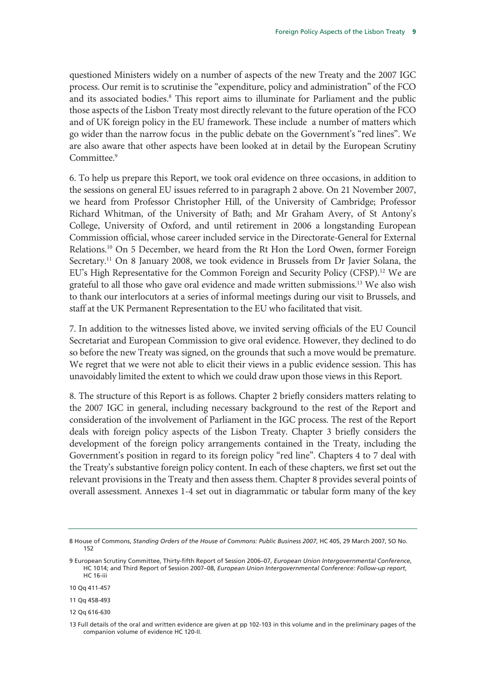questioned Ministers widely on a number of aspects of the new Treaty and the 2007 IGC process. Our remit is to scrutinise the "expenditure, policy and administration" of the FCO and its associated bodies.<sup>8</sup> This report aims to illuminate for Parliament and the public those aspects of the Lisbon Treaty most directly relevant to the future operation of the FCO and of UK foreign policy in the EU framework. These include a number of matters which go wider than the narrow focus in the public debate on the Government's "red lines". We are also aware that other aspects have been looked at in detail by the European Scrutiny Committee.<sup>9</sup>

6. To help us prepare this Report, we took oral evidence on three occasions, in addition to the sessions on general EU issues referred to in paragraph 2 above. On 21 November 2007, we heard from Professor Christopher Hill, of the University of Cambridge; Professor Richard Whitman, of the University of Bath; and Mr Graham Avery, of St Antony's College, University of Oxford, and until retirement in 2006 a longstanding European Commission official, whose career included service in the Directorate-General for External Relations.10 On 5 December, we heard from the Rt Hon the Lord Owen, former Foreign Secretary.<sup>11</sup> On 8 January 2008, we took evidence in Brussels from Dr Javier Solana, the EU's High Representative for the Common Foreign and Security Policy (CFSP).<sup>12</sup> We are grateful to all those who gave oral evidence and made written submissions.<sup>13</sup> We also wish to thank our interlocutors at a series of informal meetings during our visit to Brussels, and staff at the UK Permanent Representation to the EU who facilitated that visit.

7. In addition to the witnesses listed above, we invited serving officials of the EU Council Secretariat and European Commission to give oral evidence. However, they declined to do so before the new Treaty was signed, on the grounds that such a move would be premature. We regret that we were not able to elicit their views in a public evidence session. This has unavoidably limited the extent to which we could draw upon those views in this Report.

8. The structure of this Report is as follows. Chapter 2 briefly considers matters relating to the 2007 IGC in general, including necessary background to the rest of the Report and consideration of the involvement of Parliament in the IGC process. The rest of the Report deals with foreign policy aspects of the Lisbon Treaty. Chapter 3 briefly considers the development of the foreign policy arrangements contained in the Treaty, including the Government's position in regard to its foreign policy "red line". Chapters 4 to 7 deal with the Treaty's substantive foreign policy content. In each of these chapters, we first set out the relevant provisions in the Treaty and then assess them. Chapter 8 provides several points of overall assessment. Annexes 1-4 set out in diagrammatic or tabular form many of the key

<sup>8</sup> House of Commons, *Standing Orders of the House of Commons: Public Business 2007*, HC 405, 29 March 2007, SO No. 152

<sup>9</sup> European Scrutiny Committee, Thirty-fifth Report of Session 2006–07, *European Union Intergovernmental Conference*, HC 1014; and Third Report of Session 2007–08, *European Union Intergovernmental Conference: Follow-up report*, HC 16-iii

<sup>10</sup> Qq 411-457

<sup>11</sup> Qq 458-493

<sup>12</sup> Qq 616-630

<sup>13</sup> Full details of the oral and written evidence are given at pp 102-103 in this volume and in the preliminary pages of the companion volume of evidence HC 120-II.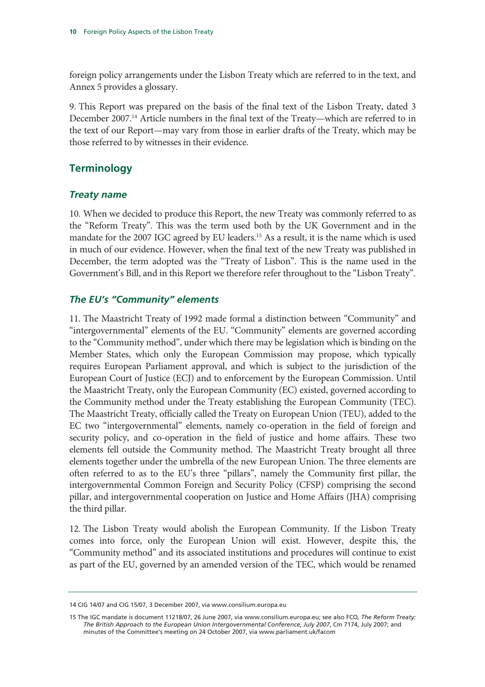foreign policy arrangements under the Lisbon Treaty which are referred to in the text, and Annex 5 provides a glossary.

9. This Report was prepared on the basis of the final text of the Lisbon Treaty, dated 3 December 2007.14 Article numbers in the final text of the Treaty—which are referred to in the text of our Report—may vary from those in earlier drafts of the Treaty, which may be those referred to by witnesses in their evidence.

#### **Terminology**

#### *Treaty name*

10. When we decided to produce this Report, the new Treaty was commonly referred to as the "Reform Treaty". This was the term used both by the UK Government and in the mandate for the 2007 IGC agreed by EU leaders.<sup>15</sup> As a result, it is the name which is used in much of our evidence. However, when the final text of the new Treaty was published in December, the term adopted was the "Treaty of Lisbon". This is the name used in the Government's Bill, and in this Report we therefore refer throughout to the "Lisbon Treaty".

#### *The EU's "Community" elements*

11. The Maastricht Treaty of 1992 made formal a distinction between "Community" and "intergovernmental" elements of the EU. "Community" elements are governed according to the "Community method", under which there may be legislation which is binding on the Member States, which only the European Commission may propose, which typically requires European Parliament approval, and which is subject to the jurisdiction of the European Court of Justice (ECJ) and to enforcement by the European Commission. Until the Maastricht Treaty, only the European Community (EC) existed, governed according to the Community method under the Treaty establishing the European Community (TEC). The Maastricht Treaty, officially called the Treaty on European Union (TEU), added to the EC two "intergovernmental" elements, namely co-operation in the field of foreign and security policy, and co-operation in the field of justice and home affairs. These two elements fell outside the Community method. The Maastricht Treaty brought all three elements together under the umbrella of the new European Union. The three elements are often referred to as to the EU's three "pillars", namely the Community first pillar, the intergovernmental Common Foreign and Security Policy (CFSP) comprising the second pillar, and intergovernmental cooperation on Justice and Home Affairs (JHA) comprising the third pillar.

12. The Lisbon Treaty would abolish the European Community. If the Lisbon Treaty comes into force, only the European Union will exist. However, despite this, the "Community method" and its associated institutions and procedures will continue to exist as part of the EU, governed by an amended version of the TEC, which would be renamed

<sup>14</sup> CIG 14/07 and CIG 15/07, 3 December 2007, via www.consilium.europa.eu

<sup>15</sup> The IGC mandate is document 11218/07, 26 June 2007, via www.consilium.europa.eu; see also FCO*, The Reform Treaty: The British Approach to the European Union Intergovernmental Conference, July 2007*, Cm 7174, July 2007; and minutes of the Committee's meeting on 24 October 2007, via www.parliament.uk/facom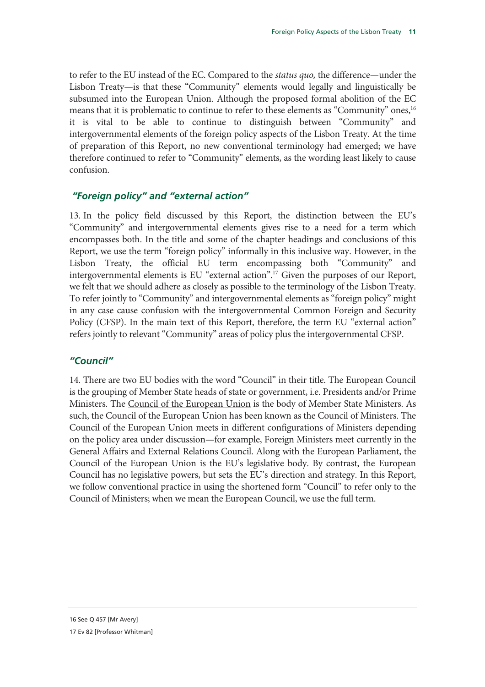to refer to the EU instead of the EC. Compared to the *status quo,* the difference—under the Lisbon Treaty—is that these "Community" elements would legally and linguistically be subsumed into the European Union. Although the proposed formal abolition of the EC means that it is problematic to continue to refer to these elements as "Community" ones,<sup>16</sup> it is vital to be able to continue to distinguish between "Community" and intergovernmental elements of the foreign policy aspects of the Lisbon Treaty. At the time of preparation of this Report, no new conventional terminology had emerged; we have therefore continued to refer to "Community" elements, as the wording least likely to cause confusion.

#### *"Foreign policy" and "external action"*

13. In the policy field discussed by this Report, the distinction between the EU's "Community" and intergovernmental elements gives rise to a need for a term which encompasses both. In the title and some of the chapter headings and conclusions of this Report, we use the term "foreign policy" informally in this inclusive way. However, in the Lisbon Treaty, the official EU term encompassing both "Community" and intergovernmental elements is EU "external action".17 Given the purposes of our Report, we felt that we should adhere as closely as possible to the terminology of the Lisbon Treaty. To refer jointly to "Community" and intergovernmental elements as "foreign policy" might in any case cause confusion with the intergovernmental Common Foreign and Security Policy (CFSP). In the main text of this Report, therefore, the term EU "external action" refers jointly to relevant "Community" areas of policy plus the intergovernmental CFSP.

#### *"Council"*

14. There are two EU bodies with the word "Council" in their title. The European Council is the grouping of Member State heads of state or government, i.e. Presidents and/or Prime Ministers. The Council of the European Union is the body of Member State Ministers. As such, the Council of the European Union has been known as the Council of Ministers. The Council of the European Union meets in different configurations of Ministers depending on the policy area under discussion—for example, Foreign Ministers meet currently in the General Affairs and External Relations Council. Along with the European Parliament, the Council of the European Union is the EU's legislative body. By contrast, the European Council has no legislative powers, but sets the EU's direction and strategy. In this Report, we follow conventional practice in using the shortened form "Council" to refer only to the Council of Ministers; when we mean the European Council, we use the full term.

<sup>16</sup> See Q 457 [Mr Avery]

<sup>17</sup> Ev 82 [Professor Whitman]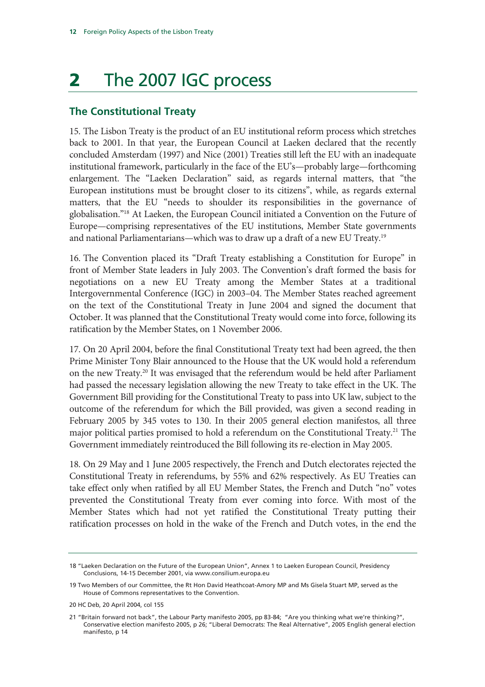## 2 The 2007 IGC process

#### **The Constitutional Treaty**

15. The Lisbon Treaty is the product of an EU institutional reform process which stretches back to 2001. In that year, the European Council at Laeken declared that the recently concluded Amsterdam (1997) and Nice (2001) Treaties still left the EU with an inadequate institutional framework, particularly in the face of the EU's—probably large—forthcoming enlargement. The "Laeken Declaration" said, as regards internal matters, that "the European institutions must be brought closer to its citizens", while, as regards external matters, that the EU "needs to shoulder its responsibilities in the governance of globalisation."18 At Laeken, the European Council initiated a Convention on the Future of Europe—comprising representatives of the EU institutions, Member State governments and national Parliamentarians—which was to draw up a draft of a new EU Treaty.19

16. The Convention placed its "Draft Treaty establishing a Constitution for Europe" in front of Member State leaders in July 2003. The Convention's draft formed the basis for negotiations on a new EU Treaty among the Member States at a traditional Intergovernmental Conference (IGC) in 2003–04. The Member States reached agreement on the text of the Constitutional Treaty in June 2004 and signed the document that October. It was planned that the Constitutional Treaty would come into force, following its ratification by the Member States, on 1 November 2006.

17. On 20 April 2004, before the final Constitutional Treaty text had been agreed, the then Prime Minister Tony Blair announced to the House that the UK would hold a referendum on the new Treaty.<sup>20</sup> It was envisaged that the referendum would be held after Parliament had passed the necessary legislation allowing the new Treaty to take effect in the UK. The Government Bill providing for the Constitutional Treaty to pass into UK law, subject to the outcome of the referendum for which the Bill provided, was given a second reading in February 2005 by 345 votes to 130. In their 2005 general election manifestos, all three major political parties promised to hold a referendum on the Constitutional Treaty.<sup>21</sup> The Government immediately reintroduced the Bill following its re-election in May 2005.

18. On 29 May and 1 June 2005 respectively, the French and Dutch electorates rejected the Constitutional Treaty in referendums, by 55% and 62% respectively. As EU Treaties can take effect only when ratified by all EU Member States, the French and Dutch "no" votes prevented the Constitutional Treaty from ever coming into force. With most of the Member States which had not yet ratified the Constitutional Treaty putting their ratification processes on hold in the wake of the French and Dutch votes, in the end the

<sup>18 &</sup>quot;Laeken Declaration on the Future of the European Union", Annex 1 to Laeken European Council, Presidency Conclusions, 14-15 December 2001, via www.consilium.europa.eu

<sup>19</sup> Two Members of our Committee, the Rt Hon David Heathcoat-Amory MP and Ms Gisela Stuart MP, served as the House of Commons representatives to the Convention.

<sup>20</sup> HC Deb, 20 April 2004, col 155

<sup>21 &</sup>quot;Britain forward not back", the Labour Party manifesto 2005, pp 83-84; "Are you thinking what we're thinking?", Conservative election manifesto 2005, p 26; "Liberal Democrats: The Real Alternative", 2005 English general election manifesto, p 14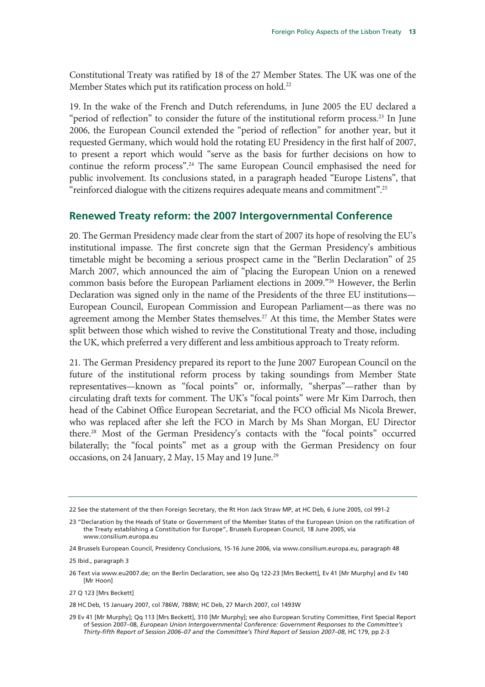Constitutional Treaty was ratified by 18 of the 27 Member States. The UK was one of the Member States which put its ratification process on hold.<sup>22</sup>

19. In the wake of the French and Dutch referendums, in June 2005 the EU declared a "period of reflection" to consider the future of the institutional reform process.<sup>23</sup> In June 2006, the European Council extended the "period of reflection" for another year, but it requested Germany, which would hold the rotating EU Presidency in the first half of 2007, to present a report which would "serve as the basis for further decisions on how to continue the reform process".24 The same European Council emphasised the need for public involvement. Its conclusions stated, in a paragraph headed "Europe Listens", that "reinforced dialogue with the citizens requires adequate means and commitment".25

#### **Renewed Treaty reform: the 2007 Intergovernmental Conference**

20. The German Presidency made clear from the start of 2007 its hope of resolving the EU's institutional impasse. The first concrete sign that the German Presidency's ambitious timetable might be becoming a serious prospect came in the "Berlin Declaration" of 25 March 2007, which announced the aim of "placing the European Union on a renewed common basis before the European Parliament elections in 2009."26 However, the Berlin Declaration was signed only in the name of the Presidents of the three EU institutions— European Council, European Commission and European Parliament—as there was no agreement among the Member States themselves.<sup>27</sup> At this time, the Member States were split between those which wished to revive the Constitutional Treaty and those, including the UK, which preferred a very different and less ambitious approach to Treaty reform.

21. The German Presidency prepared its report to the June 2007 European Council on the future of the institutional reform process by taking soundings from Member State representatives—known as "focal points" or, informally, "sherpas"—rather than by circulating draft texts for comment. The UK's "focal points" were Mr Kim Darroch, then head of the Cabinet Office European Secretariat, and the FCO official Ms Nicola Brewer, who was replaced after she left the FCO in March by Ms Shan Morgan, EU Director there.28 Most of the German Presidency's contacts with the "focal points" occurred bilaterally; the "focal points" met as a group with the German Presidency on four occasions, on 24 January, 2 May, 15 May and 19 June.<sup>29</sup>

27 Q 123 [Mrs Beckett]

<sup>22</sup> See the statement of the then Foreign Secretary, the Rt Hon Jack Straw MP, at HC Deb, 6 June 2005, col 991-2

<sup>23 &</sup>quot;Declaration by the Heads of State or Government of the Member States of the European Union on the ratification of the Treaty establishing a Constitution for Europe", Brussels European Council, 18 June 2005, via www.consilium.europa.eu

<sup>24</sup> Brussels European Council, Presidency Conclusions, 15-16 June 2006, via www.consilium.europa.eu, paragraph 48

<sup>25</sup> Ibid., paragraph 3

<sup>26</sup> Text via www.eu2007.de; on the Berlin Declaration, see also Qq 122-23 [Mrs Beckett], Ev 41 [Mr Murphy] and Ev 140 [Mr Hoon]

<sup>28</sup> HC Deb, 15 January 2007, col 786W, 788W; HC Deb, 27 March 2007, col 1493W

<sup>29</sup> Ev 41 [Mr Murphy]; Qq 113 [Mrs Beckett], 310 [Mr Murphy]; see also European Scrutiny Committee, First Special Report of Session 2007–08, *European Union Intergovernmental Conference: Government Responses to the Committee's Thirty-fifth Report of Session 2006–07 and the Committee's Third Report of Session 2007–08*, HC 179, pp 2-3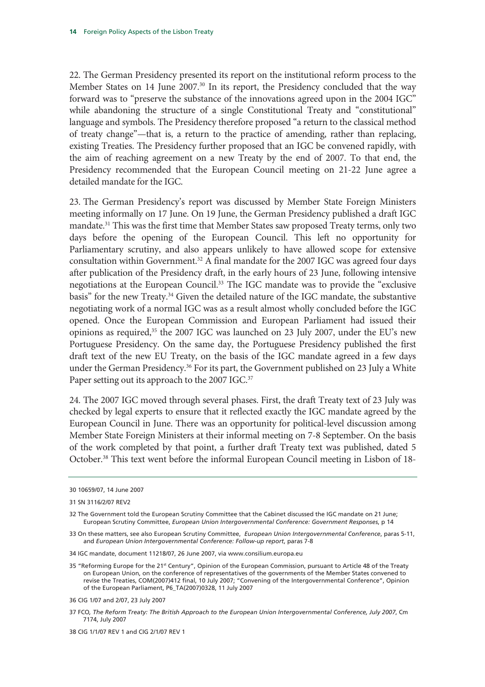22. The German Presidency presented its report on the institutional reform process to the Member States on 14 June 2007.<sup>30</sup> In its report, the Presidency concluded that the way forward was to "preserve the substance of the innovations agreed upon in the 2004 IGC" while abandoning the structure of a single Constitutional Treaty and "constitutional" language and symbols. The Presidency therefore proposed "a return to the classical method of treaty change"—that is, a return to the practice of amending, rather than replacing, existing Treaties. The Presidency further proposed that an IGC be convened rapidly, with the aim of reaching agreement on a new Treaty by the end of 2007. To that end, the Presidency recommended that the European Council meeting on 21-22 June agree a detailed mandate for the IGC.

23. The German Presidency's report was discussed by Member State Foreign Ministers meeting informally on 17 June. On 19 June, the German Presidency published a draft IGC mandate.<sup>31</sup> This was the first time that Member States saw proposed Treaty terms, only two days before the opening of the European Council. This left no opportunity for Parliamentary scrutiny, and also appears unlikely to have allowed scope for extensive consultation within Government.<sup>32</sup> A final mandate for the 2007 IGC was agreed four days after publication of the Presidency draft, in the early hours of 23 June, following intensive negotiations at the European Council.<sup>33</sup> The IGC mandate was to provide the "exclusive basis" for the new Treaty.<sup>34</sup> Given the detailed nature of the IGC mandate, the substantive negotiating work of a normal IGC was as a result almost wholly concluded before the IGC opened. Once the European Commission and European Parliament had issued their opinions as required,<sup>35</sup> the 2007 IGC was launched on 23 July 2007, under the EU's new Portuguese Presidency. On the same day, the Portuguese Presidency published the first draft text of the new EU Treaty, on the basis of the IGC mandate agreed in a few days under the German Presidency.<sup>36</sup> For its part, the Government published on 23 July a White Paper setting out its approach to the 2007 IGC.<sup>37</sup>

24. The 2007 IGC moved through several phases. First, the draft Treaty text of 23 July was checked by legal experts to ensure that it reflected exactly the IGC mandate agreed by the European Council in June. There was an opportunity for political-level discussion among Member State Foreign Ministers at their informal meeting on 7-8 September. On the basis of the work completed by that point, a further draft Treaty text was published, dated 5 October.<sup>38</sup> This text went before the informal European Council meeting in Lisbon of 18-

<sup>30 10659/07, 14</sup> June 2007

<sup>31</sup> SN 3116/2/07 REV2

<sup>32</sup> The Government told the European Scrutiny Committee that the Cabinet discussed the IGC mandate on 21 June; European Scrutiny Committee, *European Union Intergovernmental Conference: Government Responses*, p 14

<sup>33</sup> On these matters, see also European Scrutiny Committee, *European Union Intergovernmental Conference*, paras 5-11, and *European Union Intergovernmental Conference: Follow-up report*, paras 7-8

<sup>34</sup> IGC mandate, document 11218/07, 26 June 2007, via www.consilium.europa.eu

<sup>35 &</sup>quot;Reforming Europe for the 21st Century", Opinion of the European Commission, pursuant to Article 48 of the Treaty on European Union, on the conference of representatives of the governments of the Member States convened to revise the Treaties, COM(2007)412 final, 10 July 2007; "Convening of the Intergovernmental Conference", Opinion of the European Parliament, P6\_TA(2007)0328, 11 July 2007

<sup>36</sup> CIG 1/07 and 2/07, 23 July 2007

<sup>37</sup> FCO*, The Reform Treaty: The British Approach to the European Union Intergovernmental Conference, July 2007*, Cm 7174, July 2007

<sup>38</sup> CIG 1/1/07 REV 1 and CIG 2/1/07 REV 1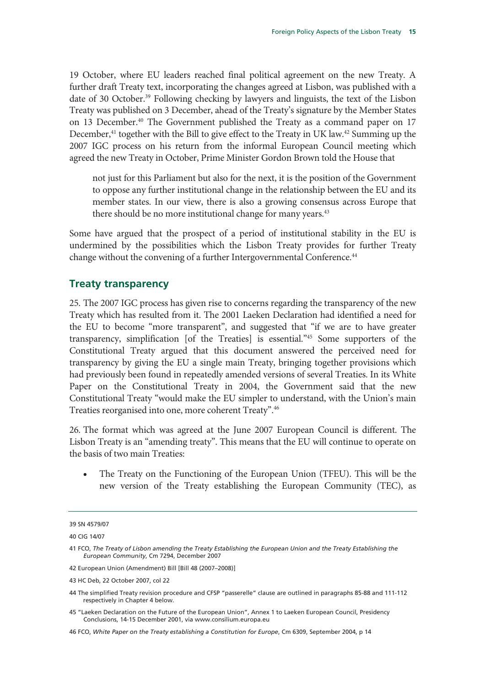19 October, where EU leaders reached final political agreement on the new Treaty. A further draft Treaty text, incorporating the changes agreed at Lisbon, was published with a date of 30 October.<sup>39</sup> Following checking by lawyers and linguists, the text of the Lisbon Treaty was published on 3 December, ahead of the Treaty's signature by the Member States on 13 December.<sup>40</sup> The Government published the Treaty as a command paper on 17 December,<sup>41</sup> together with the Bill to give effect to the Treaty in UK law.<sup>42</sup> Summing up the 2007 IGC process on his return from the informal European Council meeting which agreed the new Treaty in October, Prime Minister Gordon Brown told the House that

not just for this Parliament but also for the next, it is the position of the Government to oppose any further institutional change in the relationship between the EU and its member states. In our view, there is also a growing consensus across Europe that there should be no more institutional change for many years.<sup>43</sup>

Some have argued that the prospect of a period of institutional stability in the EU is undermined by the possibilities which the Lisbon Treaty provides for further Treaty change without the convening of a further Intergovernmental Conference.<sup>44</sup>

#### **Treaty transparency**

25. The 2007 IGC process has given rise to concerns regarding the transparency of the new Treaty which has resulted from it. The 2001 Laeken Declaration had identified a need for the EU to become "more transparent", and suggested that "if we are to have greater transparency, simplification [of the Treaties] is essential."45 Some supporters of the Constitutional Treaty argued that this document answered the perceived need for transparency by giving the EU a single main Treaty, bringing together provisions which had previously been found in repeatedly amended versions of several Treaties. In its White Paper on the Constitutional Treaty in 2004, the Government said that the new Constitutional Treaty "would make the EU simpler to understand, with the Union's main Treaties reorganised into one, more coherent Treaty".46

26. The format which was agreed at the June 2007 European Council is different. The Lisbon Treaty is an "amending treaty". This means that the EU will continue to operate on the basis of two main Treaties:

• The Treaty on the Functioning of the European Union (TFEU). This will be the new version of the Treaty establishing the European Community (TEC), as

<sup>39</sup> SN 4579/07

<sup>40</sup> CIG 14/07

<sup>41</sup> FCO, *The Treaty of Lisbon amending the Treaty Establishing the European Union and the Treaty Establishing the European Community*, Cm 7294, December 2007

<sup>42</sup> European Union (Amendment) Bill [Bill 48 (2007–2008)]

<sup>43</sup> HC Deb, 22 October 2007, col 22

<sup>44</sup> The simplified Treaty revision procedure and CFSP "passerelle" clause are outlined in paragraphs 85-88 and 111-112 respectively in Chapter 4 below.

<sup>45 &</sup>quot;Laeken Declaration on the Future of the European Union", Annex 1 to Laeken European Council, Presidency Conclusions, 14-15 December 2001, via www.consilium.europa.eu

<sup>46</sup> FCO, *White Paper on the Treaty establishing a Constitution for Europe*, Cm 6309, September 2004, p 14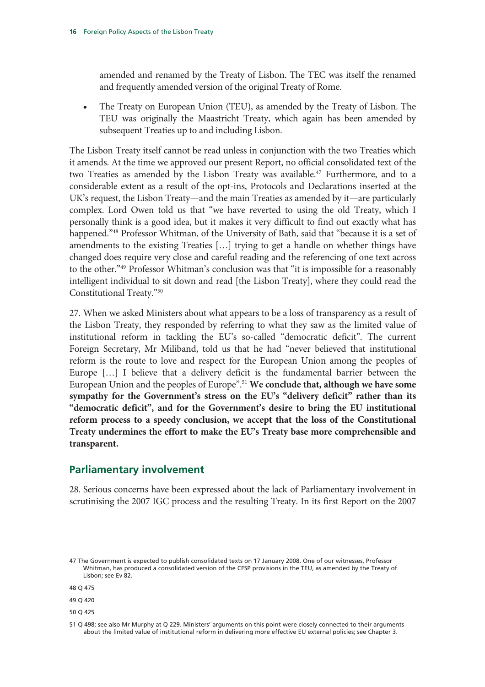amended and renamed by the Treaty of Lisbon. The TEC was itself the renamed and frequently amended version of the original Treaty of Rome.

• The Treaty on European Union (TEU), as amended by the Treaty of Lisbon. The TEU was originally the Maastricht Treaty, which again has been amended by subsequent Treaties up to and including Lisbon.

The Lisbon Treaty itself cannot be read unless in conjunction with the two Treaties which it amends. At the time we approved our present Report, no official consolidated text of the two Treaties as amended by the Lisbon Treaty was available.<sup>47</sup> Furthermore, and to a considerable extent as a result of the opt-ins, Protocols and Declarations inserted at the UK's request, the Lisbon Treaty—and the main Treaties as amended by it—are particularly complex. Lord Owen told us that "we have reverted to using the old Treaty, which I personally think is a good idea, but it makes it very difficult to find out exactly what has happened."<sup>48</sup> Professor Whitman, of the University of Bath, said that "because it is a set of amendments to the existing Treaties […] trying to get a handle on whether things have changed does require very close and careful reading and the referencing of one text across to the other."49 Professor Whitman's conclusion was that "it is impossible for a reasonably intelligent individual to sit down and read [the Lisbon Treaty], where they could read the Constitutional Treaty."50

27. When we asked Ministers about what appears to be a loss of transparency as a result of the Lisbon Treaty, they responded by referring to what they saw as the limited value of institutional reform in tackling the EU's so-called "democratic deficit". The current Foreign Secretary, Mr Miliband, told us that he had "never believed that institutional reform is the route to love and respect for the European Union among the peoples of Europe […] I believe that a delivery deficit is the fundamental barrier between the European Union and the peoples of Europe<sup>".51</sup> We conclude that, although we have some **sympathy for the Government's stress on the EU's "delivery deficit" rather than its "democratic deficit", and for the Government's desire to bring the EU institutional reform process to a speedy conclusion, we accept that the loss of the Constitutional Treaty undermines the effort to make the EU's Treaty base more comprehensible and transparent.** 

#### **Parliamentary involvement**

28. Serious concerns have been expressed about the lack of Parliamentary involvement in scrutinising the 2007 IGC process and the resulting Treaty. In its first Report on the 2007

<sup>47</sup> The Government is expected to publish consolidated texts on 17 January 2008. One of our witnesses, Professor Whitman, has produced a consolidated version of the CFSP provisions in the TEU, as amended by the Treaty of Lisbon; see Ev 82.

<sup>48</sup> Q 475

<sup>49</sup> Q 420

<sup>50</sup> Q 425

<sup>51</sup> Q 498; see also Mr Murphy at Q 229. Ministers' arguments on this point were closely connected to their arguments about the limited value of institutional reform in delivering more effective EU external policies; see Chapter 3.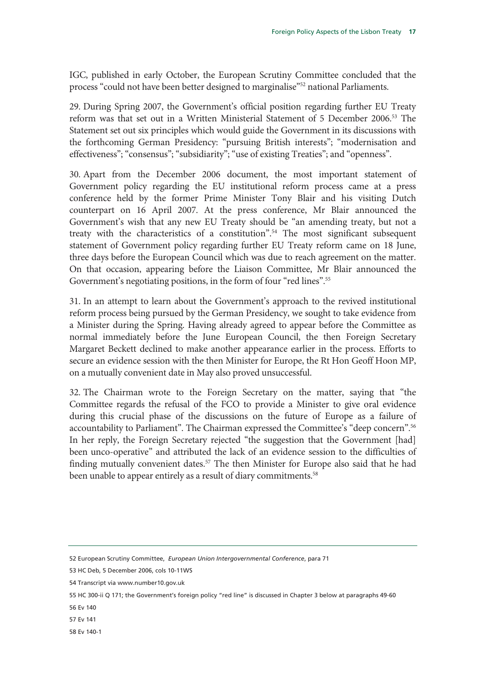IGC, published in early October, the European Scrutiny Committee concluded that the process "could not have been better designed to marginalise"52 national Parliaments.

29. During Spring 2007, the Government's official position regarding further EU Treaty reform was that set out in a Written Ministerial Statement of 5 December 2006.53 The Statement set out six principles which would guide the Government in its discussions with the forthcoming German Presidency: "pursuing British interests"; "modernisation and effectiveness"; "consensus"; "subsidiarity"; "use of existing Treaties"; and "openness".

30. Apart from the December 2006 document, the most important statement of Government policy regarding the EU institutional reform process came at a press conference held by the former Prime Minister Tony Blair and his visiting Dutch counterpart on 16 April 2007. At the press conference, Mr Blair announced the Government's wish that any new EU Treaty should be "an amending treaty, but not a treaty with the characteristics of a constitution".<sup>54</sup> The most significant subsequent statement of Government policy regarding further EU Treaty reform came on 18 June, three days before the European Council which was due to reach agreement on the matter. On that occasion, appearing before the Liaison Committee, Mr Blair announced the Government's negotiating positions, in the form of four "red lines".<sup>55</sup>

31. In an attempt to learn about the Government's approach to the revived institutional reform process being pursued by the German Presidency, we sought to take evidence from a Minister during the Spring. Having already agreed to appear before the Committee as normal immediately before the June European Council, the then Foreign Secretary Margaret Beckett declined to make another appearance earlier in the process. Efforts to secure an evidence session with the then Minister for Europe, the Rt Hon Geoff Hoon MP, on a mutually convenient date in May also proved unsuccessful.

32. The Chairman wrote to the Foreign Secretary on the matter, saying that "the Committee regards the refusal of the FCO to provide a Minister to give oral evidence during this crucial phase of the discussions on the future of Europe as a failure of accountability to Parliament". The Chairman expressed the Committee's "deep concern".56 In her reply, the Foreign Secretary rejected "the suggestion that the Government [had] been unco-operative" and attributed the lack of an evidence session to the difficulties of finding mutually convenient dates.<sup>57</sup> The then Minister for Europe also said that he had been unable to appear entirely as a result of diary commitments.<sup>58</sup>

56 Ev 140

58 Ev 140-1

<sup>52</sup> European Scrutiny Committee, *European Union Intergovernmental Conference*, para 71

<sup>53</sup> HC Deb, 5 December 2006, cols 10-11WS

<sup>54</sup> Transcript via www.number10.gov.uk

<sup>55</sup> HC 300-ii Q 171; the Government's foreign policy "red line" is discussed in Chapter 3 below at paragraphs 49-60

<sup>57</sup> Ev 141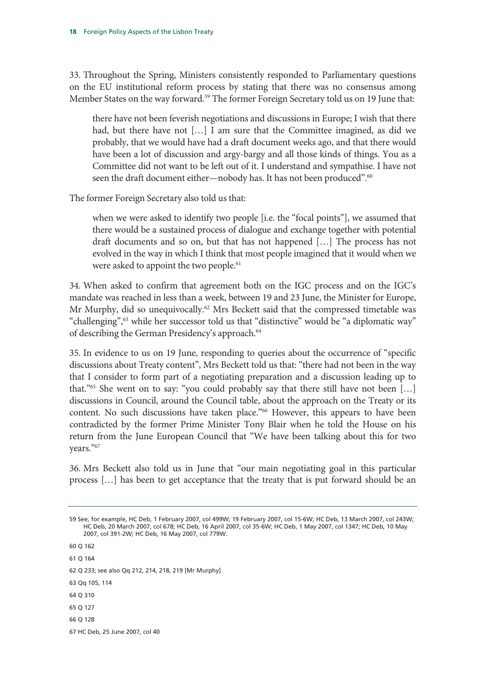33. Throughout the Spring, Ministers consistently responded to Parliamentary questions on the EU institutional reform process by stating that there was no consensus among Member States on the way forward.<sup>59</sup> The former Foreign Secretary told us on 19 June that:

there have not been feverish negotiations and discussions in Europe; I wish that there had, but there have not [...] I am sure that the Committee imagined, as did we probably, that we would have had a draft document weeks ago, and that there would have been a lot of discussion and argy-bargy and all those kinds of things. You as a Committee did not want to be left out of it. I understand and sympathise. I have not seen the draft document either—nobody has. It has not been produced".<sup>60</sup>

The former Foreign Secretary also told us that:

when we were asked to identify two people [i.e. the "focal points"], we assumed that there would be a sustained process of dialogue and exchange together with potential draft documents and so on, but that has not happened […] The process has not evolved in the way in which I think that most people imagined that it would when we were asked to appoint the two people.<sup>61</sup>

34. When asked to confirm that agreement both on the IGC process and on the IGC's mandate was reached in less than a week, between 19 and 23 June, the Minister for Europe, Mr Murphy, did so unequivocally.<sup>62</sup> Mrs Beckett said that the compressed timetable was "challenging",<sup>63</sup> while her successor told us that "distinctive" would be "a diplomatic way" of describing the German Presidency's approach.<sup>64</sup>

35. In evidence to us on 19 June, responding to queries about the occurrence of "specific discussions about Treaty content", Mrs Beckett told us that: "there had not been in the way that I consider to form part of a negotiating preparation and a discussion leading up to that."65 She went on to say: "you could probably say that there still have not been […] discussions in Council, around the Council table, about the approach on the Treaty or its content. No such discussions have taken place."66 However, this appears to have been contradicted by the former Prime Minister Tony Blair when he told the House on his return from the June European Council that "We have been talking about this for two years."<sup>67</sup>

36. Mrs Beckett also told us in June that "our main negotiating goal in this particular process […] has been to get acceptance that the treaty that is put forward should be an

60 Q 162 61 Q 164

62 Q 233; see also Qq 212, 214, 218, 219 [Mr Murphy]

63 Qq 105, 114

64 Q 310

65 Q 127

66 Q 128

67 HC Deb, 25 June 2007, col 40

<sup>59</sup> See, for example, HC Deb, 1 February 2007, col 499W; 19 February 2007, col 15-6W; HC Deb, 13 March 2007, col 243W; HC Deb, 20 March 2007, col 678; HC Deb, 16 April 2007, col 35-6W; HC Deb, 1 May 2007, col 1347; HC Deb, 10 May 2007, col 391-2W; HC Deb, 16 May 2007, col 779W.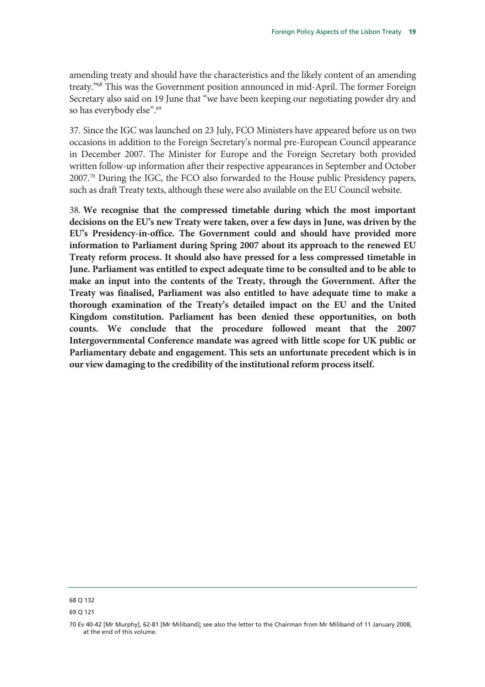amending treaty and should have the characteristics and the likely content of an amending treaty."68 This was the Government position announced in mid-April. The former Foreign Secretary also said on 19 June that "we have been keeping our negotiating powder dry and so has everybody else".<sup>69</sup>

37. Since the IGC was launched on 23 July, FCO Ministers have appeared before us on two occasions in addition to the Foreign Secretary's normal pre-European Council appearance in December 2007. The Minister for Europe and the Foreign Secretary both provided written follow-up information after their respective appearances in September and October 2007.70 During the IGC, the FCO also forwarded to the House public Presidency papers, such as draft Treaty texts, although these were also available on the EU Council website.

38. **We recognise that the compressed timetable during which the most important decisions on the EU's new Treaty were taken, over a few days in June, was driven by the EU's Presidency-in-office. The Government could and should have provided more information to Parliament during Spring 2007 about its approach to the renewed EU Treaty reform process. It should also have pressed for a less compressed timetable in June. Parliament was entitled to expect adequate time to be consulted and to be able to make an input into the contents of the Treaty, through the Government. After the Treaty was finalised, Parliament was also entitled to have adequate time to make a thorough examination of the Treaty's detailed impact on the EU and the United Kingdom constitution. Parliament has been denied these opportunities, on both counts. We conclude that the procedure followed meant that the 2007 Intergovernmental Conference mandate was agreed with little scope for UK public or Parliamentary debate and engagement. This sets an unfortunate precedent which is in our view damaging to the credibility of the institutional reform process itself.** 

<sup>68</sup> Q 132

<sup>69</sup> Q 121

<sup>70</sup> Ev 40-42 [Mr Murphy], 62-81 [Mr Miliband]; see also the letter to the Chairman from Mr Miliband of 11 January 2008, at the end of this volume.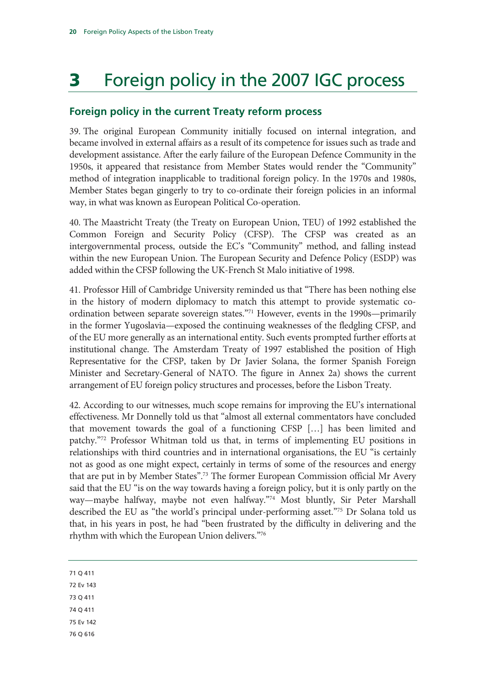# 3 Foreign policy in the 2007 IGC process

#### **Foreign policy in the current Treaty reform process**

39. The original European Community initially focused on internal integration, and became involved in external affairs as a result of its competence for issues such as trade and development assistance. After the early failure of the European Defence Community in the 1950s, it appeared that resistance from Member States would render the "Community" method of integration inapplicable to traditional foreign policy. In the 1970s and 1980s, Member States began gingerly to try to co-ordinate their foreign policies in an informal way, in what was known as European Political Co-operation.

40. The Maastricht Treaty (the Treaty on European Union, TEU) of 1992 established the Common Foreign and Security Policy (CFSP). The CFSP was created as an intergovernmental process, outside the EC's "Community" method, and falling instead within the new European Union. The European Security and Defence Policy (ESDP) was added within the CFSP following the UK-French St Malo initiative of 1998.

41. Professor Hill of Cambridge University reminded us that "There has been nothing else in the history of modern diplomacy to match this attempt to provide systematic coordination between separate sovereign states."<sup>71</sup> However, events in the 1990s—primarily in the former Yugoslavia—exposed the continuing weaknesses of the fledgling CFSP, and of the EU more generally as an international entity. Such events prompted further efforts at institutional change. The Amsterdam Treaty of 1997 established the position of High Representative for the CFSP, taken by Dr Javier Solana, the former Spanish Foreign Minister and Secretary-General of NATO. The figure in Annex 2a) shows the current arrangement of EU foreign policy structures and processes, before the Lisbon Treaty.

42. According to our witnesses, much scope remains for improving the EU's international effectiveness. Mr Donnelly told us that "almost all external commentators have concluded that movement towards the goal of a functioning CFSP […] has been limited and patchy."72 Professor Whitman told us that, in terms of implementing EU positions in relationships with third countries and in international organisations, the EU "is certainly not as good as one might expect, certainly in terms of some of the resources and energy that are put in by Member States".<sup>73</sup> The former European Commission official Mr Avery said that the EU "is on the way towards having a foreign policy, but it is only partly on the way—maybe halfway, maybe not even halfway."74 Most bluntly, Sir Peter Marshall described the EU as "the world's principal under-performing asset."75 Dr Solana told us that, in his years in post, he had "been frustrated by the difficulty in delivering and the rhythm with which the European Union delivers."76

71 Q 411

72 Ev 143

73 Q 411

74 Q 411

75 Ev 142

76 Q 616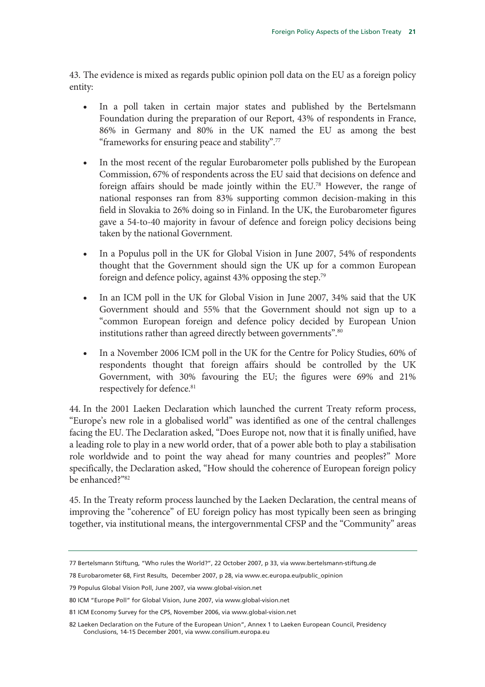43. The evidence is mixed as regards public opinion poll data on the EU as a foreign policy entity:

- In a poll taken in certain major states and published by the Bertelsmann Foundation during the preparation of our Report, 43% of respondents in France, 86% in Germany and 80% in the UK named the EU as among the best "frameworks for ensuring peace and stability".77
- In the most recent of the regular Eurobarometer polls published by the European Commission, 67% of respondents across the EU said that decisions on defence and foreign affairs should be made jointly within the EU.78 However, the range of national responses ran from 83% supporting common decision-making in this field in Slovakia to 26% doing so in Finland. In the UK, the Eurobarometer figures gave a 54-to-40 majority in favour of defence and foreign policy decisions being taken by the national Government.
- In a Populus poll in the UK for Global Vision in June 2007, 54% of respondents thought that the Government should sign the UK up for a common European foreign and defence policy, against 43% opposing the step.79
- In an ICM poll in the UK for Global Vision in June 2007, 34% said that the UK Government should and 55% that the Government should not sign up to a "common European foreign and defence policy decided by European Union institutions rather than agreed directly between governments".<sup>80</sup>
- In a November 2006 ICM poll in the UK for the Centre for Policy Studies, 60% of respondents thought that foreign affairs should be controlled by the UK Government, with 30% favouring the EU; the figures were 69% and 21% respectively for defence.<sup>81</sup>

44. In the 2001 Laeken Declaration which launched the current Treaty reform process, "Europe's new role in a globalised world" was identified as one of the central challenges facing the EU. The Declaration asked, "Does Europe not, now that it is finally unified, have a leading role to play in a new world order, that of a power able both to play a stabilisation role worldwide and to point the way ahead for many countries and peoples?" More specifically, the Declaration asked, "How should the coherence of European foreign policy be enhanced?"82

45. In the Treaty reform process launched by the Laeken Declaration, the central means of improving the "coherence" of EU foreign policy has most typically been seen as bringing together, via institutional means, the intergovernmental CFSP and the "Community" areas

<sup>77</sup> Bertelsmann Stiftung, "Who rules the World?", 22 October 2007, p 33, via www.bertelsmann-stiftung.de

<sup>78</sup> Eurobarometer 68, First Results, December 2007, p 28, via www.ec.europa.eu/public\_opinion

<sup>79</sup> Populus Global Vision Poll, June 2007, via www.global-vision.net

<sup>80</sup> ICM "Europe Poll" for Global Vision, June 2007, via www.global-vision.net

<sup>81</sup> ICM Economy Survey for the CPS, November 2006, via www.global-vision.net

<sup>82</sup> Laeken Declaration on the Future of the European Union", Annex 1 to Laeken European Council, Presidency Conclusions, 14-15 December 2001, via www.consilium.europa.eu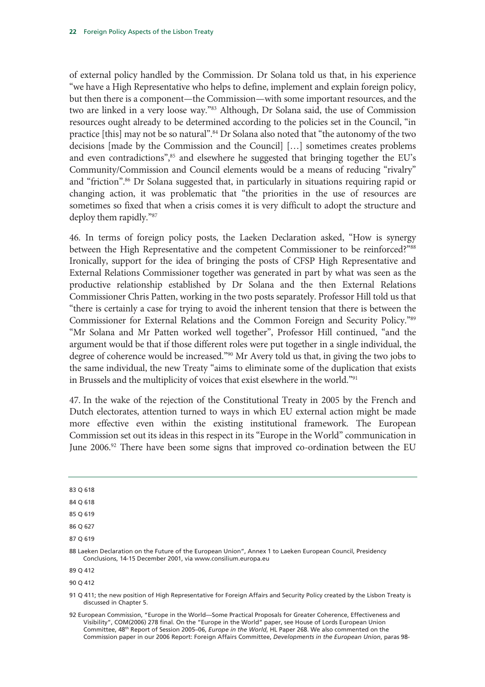of external policy handled by the Commission. Dr Solana told us that, in his experience "we have a High Representative who helps to define, implement and explain foreign policy, but then there is a component—the Commission—with some important resources, and the two are linked in a very loose way."<sup>83</sup> Although, Dr Solana said, the use of Commission resources ought already to be determined according to the policies set in the Council, "in practice [this] may not be so natural".<sup>84</sup> Dr Solana also noted that "the autonomy of the two decisions [made by the Commission and the Council] […] sometimes creates problems and even contradictions",<sup>85</sup> and elsewhere he suggested that bringing together the EU's Community/Commission and Council elements would be a means of reducing "rivalry" and "friction".<sup>86</sup> Dr Solana suggested that, in particularly in situations requiring rapid or changing action, it was problematic that "the priorities in the use of resources are sometimes so fixed that when a crisis comes it is very difficult to adopt the structure and deploy them rapidly."87

46. In terms of foreign policy posts, the Laeken Declaration asked, "How is synergy between the High Representative and the competent Commissioner to be reinforced?"88 Ironically, support for the idea of bringing the posts of CFSP High Representative and External Relations Commissioner together was generated in part by what was seen as the productive relationship established by Dr Solana and the then External Relations Commissioner Chris Patten, working in the two posts separately. Professor Hill told us that "there is certainly a case for trying to avoid the inherent tension that there is between the Commissioner for External Relations and the Common Foreign and Security Policy."89 "Mr Solana and Mr Patten worked well together", Professor Hill continued, "and the argument would be that if those different roles were put together in a single individual, the degree of coherence would be increased."90 Mr Avery told us that, in giving the two jobs to the same individual, the new Treaty "aims to eliminate some of the duplication that exists in Brussels and the multiplicity of voices that exist elsewhere in the world."91

47. In the wake of the rejection of the Constitutional Treaty in 2005 by the French and Dutch electorates, attention turned to ways in which EU external action might be made more effective even within the existing institutional framework. The European Commission set out its ideas in this respect in its "Europe in the World" communication in June 2006.<sup>92</sup> There have been some signs that improved co-ordination between the EU

| ۰.<br>×<br>۰.<br>M. | $\sim$ |  |
|---------------------|--------|--|

84 Q 618

85 Q 619

86 Q 627

87 Q 619

89 Q 412

90 Q 412

<sup>88</sup> Laeken Declaration on the Future of the European Union", Annex 1 to Laeken European Council, Presidency Conclusions, 14-15 December 2001, via www.consilium.europa.eu

<sup>91</sup> Q 411; the new position of High Representative for Foreign Affairs and Security Policy created by the Lisbon Treaty is discussed in Chapter 5.

<sup>92</sup> European Commission, "Europe in the World—Some Practical Proposals for Greater Coherence, Effectiveness and Visibility", COM(2006) 278 final. On the "Europe in the World" paper, see House of Lords European Union Committee, 48th Report of Session 2005–06, *Europe in the World*, HL Paper 268. We also commented on the Commission paper in our 2006 Report: Foreign Affairs Committee, *Developments in the European Union*, paras 98-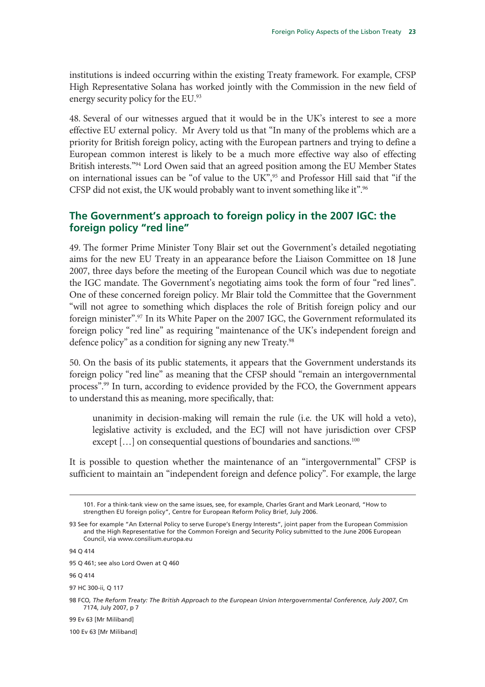institutions is indeed occurring within the existing Treaty framework. For example, CFSP High Representative Solana has worked jointly with the Commission in the new field of energy security policy for the EU.93

48. Several of our witnesses argued that it would be in the UK's interest to see a more effective EU external policy. Mr Avery told us that "In many of the problems which are a priority for British foreign policy, acting with the European partners and trying to define a European common interest is likely to be a much more effective way also of effecting British interests."<sup>94</sup> Lord Owen said that an agreed position among the EU Member States on international issues can be "of value to the UK",<sup>95</sup> and Professor Hill said that "if the CFSP did not exist, the UK would probably want to invent something like it".<sup>96</sup>

#### **The Government's approach to foreign policy in the 2007 IGC: the foreign policy "red line"**

49. The former Prime Minister Tony Blair set out the Government's detailed negotiating aims for the new EU Treaty in an appearance before the Liaison Committee on 18 June 2007, three days before the meeting of the European Council which was due to negotiate the IGC mandate. The Government's negotiating aims took the form of four "red lines". One of these concerned foreign policy. Mr Blair told the Committee that the Government "will not agree to something which displaces the role of British foreign policy and our foreign minister".97 In its White Paper on the 2007 IGC, the Government reformulated its foreign policy "red line" as requiring "maintenance of the UK's independent foreign and defence policy" as a condition for signing any new Treaty.<sup>98</sup>

50. On the basis of its public statements, it appears that the Government understands its foreign policy "red line" as meaning that the CFSP should "remain an intergovernmental process".<sup>99</sup> In turn, according to evidence provided by the FCO, the Government appears to understand this as meaning, more specifically, that:

unanimity in decision-making will remain the rule (i.e. the UK will hold a veto), legislative activity is excluded, and the ECJ will not have jurisdiction over CFSP except [...] on consequential questions of boundaries and sanctions.<sup>100</sup>

It is possible to question whether the maintenance of an "intergovernmental" CFSP is sufficient to maintain an "independent foreign and defence policy". For example, the large

94 Q 414

-

99 Ev 63 [Mr Miliband]

100 Ev 63 [Mr Miliband]

<sup>101.</sup> For a think-tank view on the same issues, see, for example, Charles Grant and Mark Leonard, "How to strengthen EU foreign policy", Centre for European Reform Policy Brief, July 2006.

<sup>93</sup> See for example "An External Policy to serve Europe's Energy Interests", joint paper from the European Commission and the High Representative for the Common Foreign and Security Policy submitted to the June 2006 European Council, via www.consilium.europa.eu

<sup>95</sup> Q 461; see also Lord Owen at Q 460

<sup>96</sup> Q 414

<sup>97</sup> HC 300-ii, Q 117

<sup>98</sup> FCO*, The Reform Treaty: The British Approach to the European Union Intergovernmental Conference, July 2007*, Cm 7174, July 2007, p 7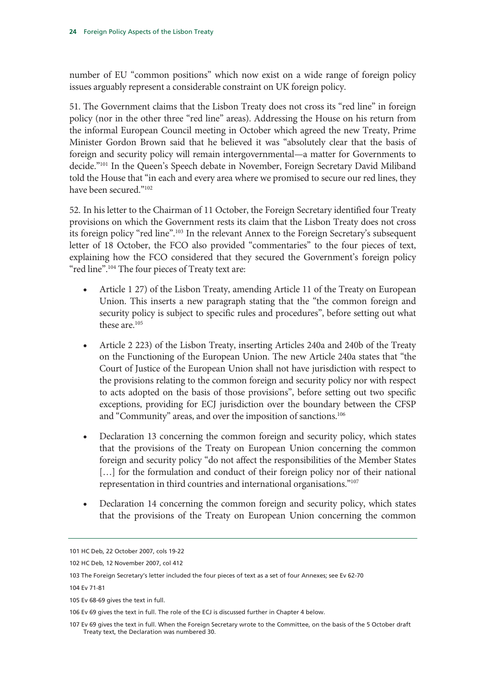number of EU "common positions" which now exist on a wide range of foreign policy issues arguably represent a considerable constraint on UK foreign policy.

51. The Government claims that the Lisbon Treaty does not cross its "red line" in foreign policy (nor in the other three "red line" areas). Addressing the House on his return from the informal European Council meeting in October which agreed the new Treaty, Prime Minister Gordon Brown said that he believed it was "absolutely clear that the basis of foreign and security policy will remain intergovernmental—a matter for Governments to decide."101 In the Queen's Speech debate in November, Foreign Secretary David Miliband told the House that "in each and every area where we promised to secure our red lines, they have been secured."102

52. In his letter to the Chairman of 11 October, the Foreign Secretary identified four Treaty provisions on which the Government rests its claim that the Lisbon Treaty does not cross its foreign policy "red line".<sup>103</sup> In the relevant Annex to the Foreign Secretary's subsequent letter of 18 October, the FCO also provided "commentaries" to the four pieces of text, explaining how the FCO considered that they secured the Government's foreign policy "red line".<sup>104</sup> The four pieces of Treaty text are:

- Article 1 27) of the Lisbon Treaty, amending Article 11 of the Treaty on European Union. This inserts a new paragraph stating that the "the common foreign and security policy is subject to specific rules and procedures", before setting out what these are.105
- Article 2 223) of the Lisbon Treaty, inserting Articles 240a and 240b of the Treaty on the Functioning of the European Union. The new Article 240a states that "the Court of Justice of the European Union shall not have jurisdiction with respect to the provisions relating to the common foreign and security policy nor with respect to acts adopted on the basis of those provisions", before setting out two specific exceptions, providing for ECJ jurisdiction over the boundary between the CFSP and "Community" areas, and over the imposition of sanctions.<sup>106</sup>
- Declaration 13 concerning the common foreign and security policy, which states that the provisions of the Treaty on European Union concerning the common foreign and security policy "do not affect the responsibilities of the Member States [...] for the formulation and conduct of their foreign policy nor of their national representation in third countries and international organisations."107
- Declaration 14 concerning the common foreign and security policy, which states that the provisions of the Treaty on European Union concerning the common

<sup>101</sup> HC Deb, 22 October 2007, cols 19-22

<sup>102</sup> HC Deb, 12 November 2007, col 412

<sup>103</sup> The Foreign Secretary's letter included the four pieces of text as a set of four Annexes; see Ev 62-70

<sup>104</sup> Ev 71-81

<sup>105</sup> Ev 68-69 gives the text in full.

<sup>106</sup> Ev 69 gives the text in full. The role of the ECJ is discussed further in Chapter 4 below.

<sup>107</sup> Ev 69 gives the text in full. When the Foreign Secretary wrote to the Committee, on the basis of the 5 October draft Treaty text, the Declaration was numbered 30.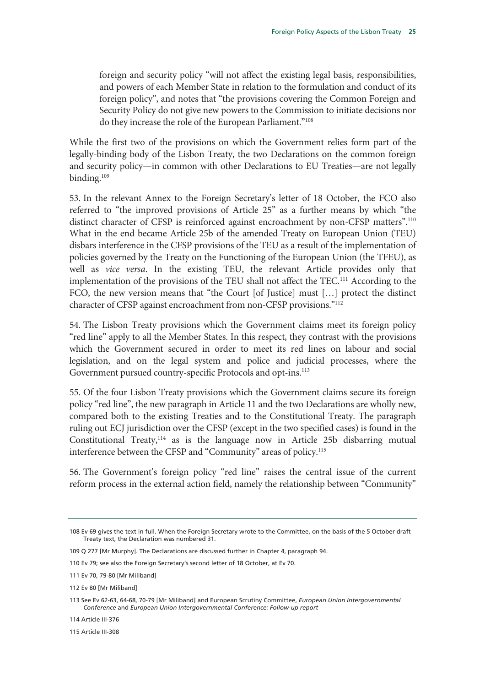foreign and security policy "will not affect the existing legal basis, responsibilities, and powers of each Member State in relation to the formulation and conduct of its foreign policy", and notes that "the provisions covering the Common Foreign and Security Policy do not give new powers to the Commission to initiate decisions nor do they increase the role of the European Parliament."108

While the first two of the provisions on which the Government relies form part of the legally-binding body of the Lisbon Treaty, the two Declarations on the common foreign and security policy—in common with other Declarations to EU Treaties—are not legally binding.<sup>109</sup>

53. In the relevant Annex to the Foreign Secretary's letter of 18 October, the FCO also referred to "the improved provisions of Article 25" as a further means by which "the distinct character of CFSP is reinforced against encroachment by non-CFSP matters".110 What in the end became Article 25b of the amended Treaty on European Union (TEU) disbars interference in the CFSP provisions of the TEU as a result of the implementation of policies governed by the Treaty on the Functioning of the European Union (the TFEU), as well as *vice versa*. In the existing TEU, the relevant Article provides only that implementation of the provisions of the TEU shall not affect the TEC.111 According to the FCO, the new version means that "the Court [of Justice] must […] protect the distinct character of CFSP against encroachment from non-CFSP provisions."112

54. The Lisbon Treaty provisions which the Government claims meet its foreign policy "red line" apply to all the Member States. In this respect, they contrast with the provisions which the Government secured in order to meet its red lines on labour and social legislation, and on the legal system and police and judicial processes, where the Government pursued country-specific Protocols and opt-ins.<sup>113</sup>

55. Of the four Lisbon Treaty provisions which the Government claims secure its foreign policy "red line", the new paragraph in Article 11 and the two Declarations are wholly new, compared both to the existing Treaties and to the Constitutional Treaty. The paragraph ruling out ECJ jurisdiction over the CFSP (except in the two specified cases) is found in the Constitutional Treaty, $114$  as is the language now in Article 25b disbarring mutual interference between the CFSP and "Community" areas of policy.<sup>115</sup>

56. The Government's foreign policy "red line" raises the central issue of the current reform process in the external action field, namely the relationship between "Community"

115 Article III-308

<sup>108</sup> Ev 69 gives the text in full. When the Foreign Secretary wrote to the Committee, on the basis of the 5 October draft Treaty text, the Declaration was numbered 31.

<sup>109</sup> Q 277 [Mr Murphy]. The Declarations are discussed further in Chapter 4, paragraph 94.

<sup>110</sup> Ev 79; see also the Foreign Secretary's second letter of 18 October, at Ev 70.

<sup>111</sup> Ev 70, 79-80 [Mr Miliband]

<sup>112</sup> Ev 80 [Mr Miliband]

<sup>113</sup> See Ev 62-63, 64-68, 70-79 [Mr Miliband] and European Scrutiny Committee, *European Union Intergovernmental Conference* and *European Union Intergovernmental Conference: Follow-up report*

<sup>114</sup> Article III-376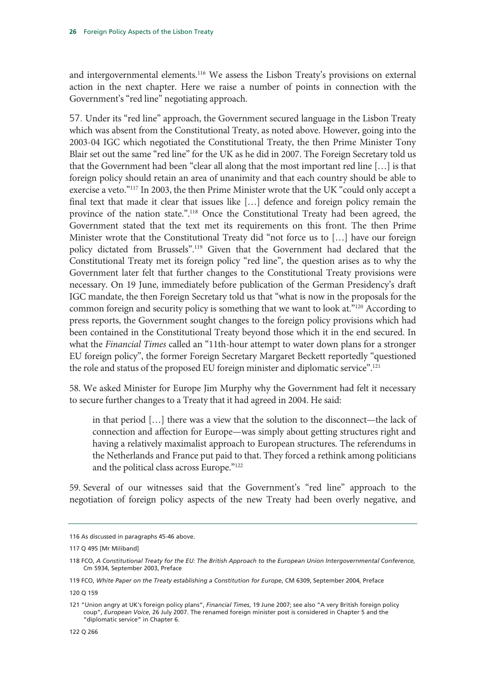and intergovernmental elements.<sup>116</sup> We assess the Lisbon Treaty's provisions on external action in the next chapter. Here we raise a number of points in connection with the Government's "red line" negotiating approach.

57. Under its "red line" approach, the Government secured language in the Lisbon Treaty which was absent from the Constitutional Treaty, as noted above. However, going into the 2003-04 IGC which negotiated the Constitutional Treaty, the then Prime Minister Tony Blair set out the same "red line" for the UK as he did in 2007. The Foreign Secretary told us that the Government had been "clear all along that the most important red line […] is that foreign policy should retain an area of unanimity and that each country should be able to exercise a veto."117 In 2003, the then Prime Minister wrote that the UK "could only accept a final text that made it clear that issues like […] defence and foreign policy remain the province of the nation state.".118 Once the Constitutional Treaty had been agreed, the Government stated that the text met its requirements on this front. The then Prime Minister wrote that the Constitutional Treaty did "not force us to […] have our foreign policy dictated from Brussels".119 Given that the Government had declared that the Constitutional Treaty met its foreign policy "red line", the question arises as to why the Government later felt that further changes to the Constitutional Treaty provisions were necessary. On 19 June, immediately before publication of the German Presidency's draft IGC mandate, the then Foreign Secretary told us that "what is now in the proposals for the common foreign and security policy is something that we want to look at."120 According to press reports, the Government sought changes to the foreign policy provisions which had been contained in the Constitutional Treaty beyond those which it in the end secured. In what the *Financial Times* called an "11th-hour attempt to water down plans for a stronger EU foreign policy", the former Foreign Secretary Margaret Beckett reportedly "questioned the role and status of the proposed EU foreign minister and diplomatic service".121

58. We asked Minister for Europe Jim Murphy why the Government had felt it necessary to secure further changes to a Treaty that it had agreed in 2004. He said:

in that period […] there was a view that the solution to the disconnect—the lack of connection and affection for Europe—was simply about getting structures right and having a relatively maximalist approach to European structures. The referendums in the Netherlands and France put paid to that. They forced a rethink among politicians and the political class across Europe."122

59. Several of our witnesses said that the Government's "red line" approach to the negotiation of foreign policy aspects of the new Treaty had been overly negative, and

<sup>116</sup> As discussed in paragraphs 45-46 above.

<sup>117</sup> Q 495 [Mr Miliband]

<sup>118</sup> FCO, *A Constitutional Treaty for the EU: The British Approach to the European Union Intergovernmental Conference*, Cm 5934, September 2003, Preface

<sup>119</sup> FCO, *White Paper on the Treaty establishing a Constitution for Europe*, CM 6309, September 2004, Preface

<sup>120</sup> Q 159

<sup>121 &</sup>quot;Union angry at UK's foreign policy plans", *Financial Times*, 19 June 2007; see also "A very British foreign policy coup", *European Voice*, 26 July 2007. The renamed foreign minister post is considered in Chapter 5 and the "diplomatic service" in Chapter 6.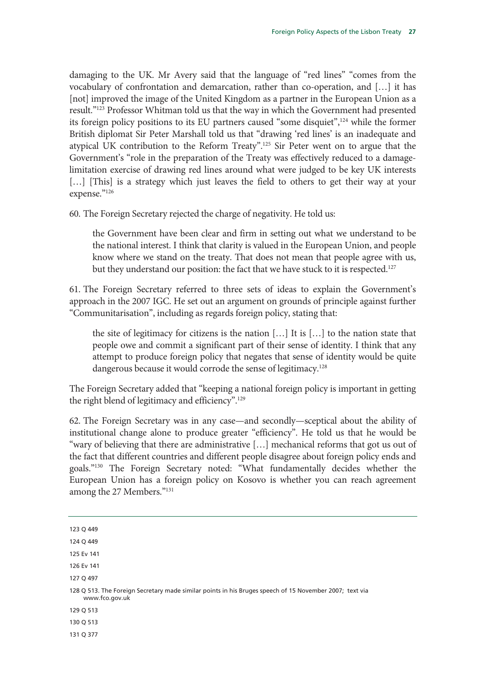damaging to the UK. Mr Avery said that the language of "red lines" "comes from the vocabulary of confrontation and demarcation, rather than co-operation, and […] it has [not] improved the image of the United Kingdom as a partner in the European Union as a result."123 Professor Whitman told us that the way in which the Government had presented its foreign policy positions to its EU partners caused "some disquiet",124 while the former British diplomat Sir Peter Marshall told us that "drawing 'red lines' is an inadequate and atypical UK contribution to the Reform Treaty".125 Sir Peter went on to argue that the Government's "role in the preparation of the Treaty was effectively reduced to a damagelimitation exercise of drawing red lines around what were judged to be key UK interests [...] [This] is a strategy which just leaves the field to others to get their way at your expense."126

60. The Foreign Secretary rejected the charge of negativity. He told us:

the Government have been clear and firm in setting out what we understand to be the national interest. I think that clarity is valued in the European Union, and people know where we stand on the treaty. That does not mean that people agree with us, but they understand our position: the fact that we have stuck to it is respected.<sup>127</sup>

61. The Foreign Secretary referred to three sets of ideas to explain the Government's approach in the 2007 IGC. He set out an argument on grounds of principle against further "Communitarisation", including as regards foreign policy, stating that:

the site of legitimacy for citizens is the nation […] It is […] to the nation state that people owe and commit a significant part of their sense of identity. I think that any attempt to produce foreign policy that negates that sense of identity would be quite dangerous because it would corrode the sense of legitimacy.<sup>128</sup>

The Foreign Secretary added that "keeping a national foreign policy is important in getting the right blend of legitimacy and efficiency".129

62. The Foreign Secretary was in any case—and secondly—sceptical about the ability of institutional change alone to produce greater "efficiency". He told us that he would be "wary of believing that there are administrative […] mechanical reforms that got us out of the fact that different countries and different people disagree about foreign policy ends and goals."130 The Foreign Secretary noted: "What fundamentally decides whether the European Union has a foreign policy on Kosovo is whether you can reach agreement among the 27 Members."131

123 Q 449

124 Q 449

125 Ev 141

126 Ev 141

127 Q 497

128 Q 513. The Foreign Secretary made similar points in his Bruges speech of 15 November 2007; text via www.fco.gov.uk

129 Q 513

130 Q 513

131 Q 377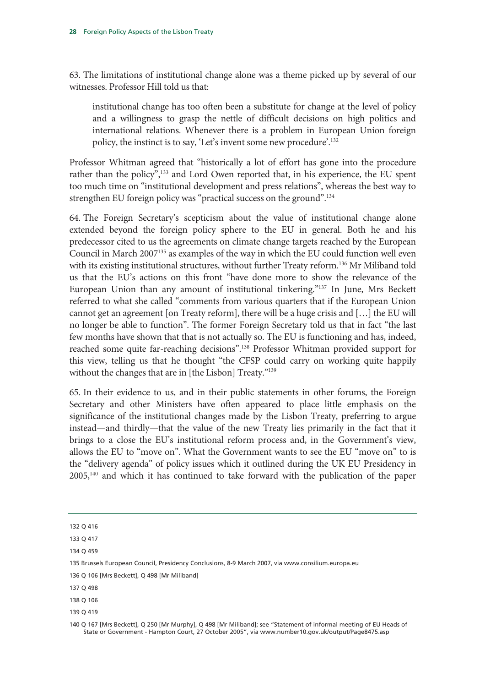63. The limitations of institutional change alone was a theme picked up by several of our witnesses. Professor Hill told us that:

institutional change has too often been a substitute for change at the level of policy and a willingness to grasp the nettle of difficult decisions on high politics and international relations. Whenever there is a problem in European Union foreign policy, the instinct is to say, 'Let's invent some new procedure'.132

Professor Whitman agreed that "historically a lot of effort has gone into the procedure rather than the policy",<sup>133</sup> and Lord Owen reported that, in his experience, the EU spent too much time on "institutional development and press relations", whereas the best way to strengthen EU foreign policy was "practical success on the ground".134

64. The Foreign Secretary's scepticism about the value of institutional change alone extended beyond the foreign policy sphere to the EU in general. Both he and his predecessor cited to us the agreements on climate change targets reached by the European Council in March 2007135 as examples of the way in which the EU could function well even with its existing institutional structures, without further Treaty reform.<sup>136</sup> Mr Miliband told us that the EU's actions on this front "have done more to show the relevance of the European Union than any amount of institutional tinkering."137 In June, Mrs Beckett referred to what she called "comments from various quarters that if the European Union cannot get an agreement [on Treaty reform], there will be a huge crisis and […] the EU will no longer be able to function". The former Foreign Secretary told us that in fact "the last few months have shown that that is not actually so. The EU is functioning and has, indeed, reached some quite far-reaching decisions".<sup>138</sup> Professor Whitman provided support for this view, telling us that he thought "the CFSP could carry on working quite happily without the changes that are in [the Lisbon] Treaty."<sup>139</sup>

65. In their evidence to us, and in their public statements in other forums, the Foreign Secretary and other Ministers have often appeared to place little emphasis on the significance of the institutional changes made by the Lisbon Treaty, preferring to argue instead—and thirdly—that the value of the new Treaty lies primarily in the fact that it brings to a close the EU's institutional reform process and, in the Government's view, allows the EU to "move on". What the Government wants to see the EU "move on" to is the "delivery agenda" of policy issues which it outlined during the UK EU Presidency in 2005,140 and which it has continued to take forward with the publication of the paper

<sup>132</sup> Q 416

<sup>133</sup> Q 417

<sup>134</sup> Q 459

<sup>135</sup> Brussels European Council, Presidency Conclusions, 8-9 March 2007, via www.consilium.europa.eu

<sup>136</sup> Q 106 [Mrs Beckett], Q 498 [Mr Miliband]

<sup>137</sup> Q 498

<sup>138</sup> Q 106

<sup>139</sup> Q 419

<sup>140</sup> Q 167 [Mrs Beckett], Q 250 [Mr Murphy], Q 498 [Mr Miliband]; see "Statement of informal meeting of EU Heads of State or Government - Hampton Court, 27 October 2005", via www.number10.gov.uk/output/Page8475.asp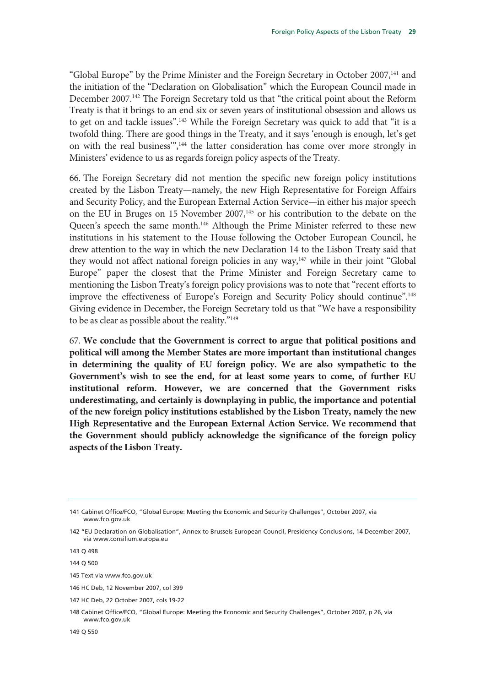"Global Europe" by the Prime Minister and the Foreign Secretary in October 2007,141 and the initiation of the "Declaration on Globalisation" which the European Council made in December 2007.<sup>142</sup> The Foreign Secretary told us that "the critical point about the Reform Treaty is that it brings to an end six or seven years of institutional obsession and allows us to get on and tackle issues".143 While the Foreign Secretary was quick to add that "it is a twofold thing. There are good things in the Treaty, and it says 'enough is enough, let's get on with the real business'",144 the latter consideration has come over more strongly in Ministers' evidence to us as regards foreign policy aspects of the Treaty.

66. The Foreign Secretary did not mention the specific new foreign policy institutions created by the Lisbon Treaty—namely, the new High Representative for Foreign Affairs and Security Policy, and the European External Action Service—in either his major speech on the EU in Bruges on 15 November  $2007$ ,<sup>145</sup> or his contribution to the debate on the Queen's speech the same month.<sup>146</sup> Although the Prime Minister referred to these new institutions in his statement to the House following the October European Council, he drew attention to the way in which the new Declaration 14 to the Lisbon Treaty said that they would not affect national foreign policies in any way,<sup>147</sup> while in their joint "Global Europe" paper the closest that the Prime Minister and Foreign Secretary came to mentioning the Lisbon Treaty's foreign policy provisions was to note that "recent efforts to improve the effectiveness of Europe's Foreign and Security Policy should continue".148 Giving evidence in December, the Foreign Secretary told us that "We have a responsibility to be as clear as possible about the reality."149

67. **We conclude that the Government is correct to argue that political positions and political will among the Member States are more important than institutional changes in determining the quality of EU foreign policy. We are also sympathetic to the Government's wish to see the end, for at least some years to come, of further EU institutional reform. However, we are concerned that the Government risks underestimating, and certainly is downplaying in public, the importance and potential of the new foreign policy institutions established by the Lisbon Treaty, namely the new High Representative and the European External Action Service. We recommend that the Government should publicly acknowledge the significance of the foreign policy aspects of the Lisbon Treaty.** 

145 Text via www.fco.gov.uk

147 HC Deb, 22 October 2007, cols 19-22

<sup>141</sup> Cabinet Office/FCO, "Global Europe: Meeting the Economic and Security Challenges", October 2007, via www.fco.gov.uk

<sup>142 &</sup>quot;EU Declaration on Globalisation", Annex to Brussels European Council, Presidency Conclusions, 14 December 2007, via www.consilium.europa.eu

<sup>143</sup> Q 498

<sup>144</sup> Q 500

<sup>146</sup> HC Deb, 12 November 2007, col 399

<sup>148</sup> Cabinet Office/FCO, "Global Europe: Meeting the Economic and Security Challenges", October 2007, p 26, via www.fco.gov.uk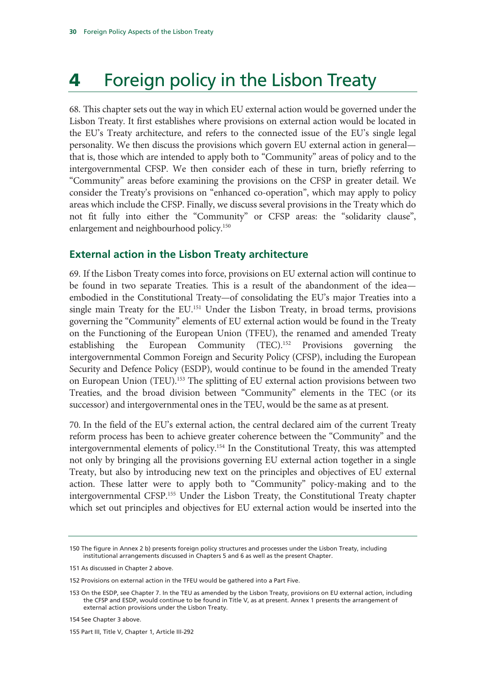### **4** Foreign policy in the Lisbon Treaty

68. This chapter sets out the way in which EU external action would be governed under the Lisbon Treaty. It first establishes where provisions on external action would be located in the EU's Treaty architecture, and refers to the connected issue of the EU's single legal personality. We then discuss the provisions which govern EU external action in general that is, those which are intended to apply both to "Community" areas of policy and to the intergovernmental CFSP. We then consider each of these in turn, briefly referring to "Community" areas before examining the provisions on the CFSP in greater detail. We consider the Treaty's provisions on "enhanced co-operation", which may apply to policy areas which include the CFSP. Finally, we discuss several provisions in the Treaty which do not fit fully into either the "Community" or CFSP areas: the "solidarity clause", enlargement and neighbourhood policy.<sup>150</sup>

#### **External action in the Lisbon Treaty architecture**

69. If the Lisbon Treaty comes into force, provisions on EU external action will continue to be found in two separate Treaties. This is a result of the abandonment of the idea embodied in the Constitutional Treaty—of consolidating the EU's major Treaties into a single main Treaty for the EU.<sup>151</sup> Under the Lisbon Treaty, in broad terms, provisions governing the "Community" elements of EU external action would be found in the Treaty on the Functioning of the European Union (TFEU), the renamed and amended Treaty establishing the European Community (TEC).152 Provisions governing the intergovernmental Common Foreign and Security Policy (CFSP), including the European Security and Defence Policy (ESDP), would continue to be found in the amended Treaty on European Union (TEU).<sup>153</sup> The splitting of EU external action provisions between two Treaties, and the broad division between "Community" elements in the TEC (or its successor) and intergovernmental ones in the TEU, would be the same as at present.

70. In the field of the EU's external action, the central declared aim of the current Treaty reform process has been to achieve greater coherence between the "Community" and the intergovernmental elements of policy.154 In the Constitutional Treaty, this was attempted not only by bringing all the provisions governing EU external action together in a single Treaty, but also by introducing new text on the principles and objectives of EU external action. These latter were to apply both to "Community" policy-making and to the intergovernmental CFSP.155 Under the Lisbon Treaty, the Constitutional Treaty chapter which set out principles and objectives for EU external action would be inserted into the

<sup>150</sup> The figure in Annex 2 b) presents foreign policy structures and processes under the Lisbon Treaty, including institutional arrangements discussed in Chapters 5 and 6 as well as the present Chapter.

<sup>151</sup> As discussed in Chapter 2 above.

<sup>152</sup> Provisions on external action in the TFEU would be gathered into a Part Five.

<sup>153</sup> On the ESDP, see Chapter 7. In the TEU as amended by the Lisbon Treaty, provisions on EU external action, including the CFSP and ESDP, would continue to be found in Title V, as at present. Annex 1 presents the arrangement of external action provisions under the Lisbon Treaty.

<sup>154</sup> See Chapter 3 above.

<sup>155</sup> Part III, Title V, Chapter 1, Article III-292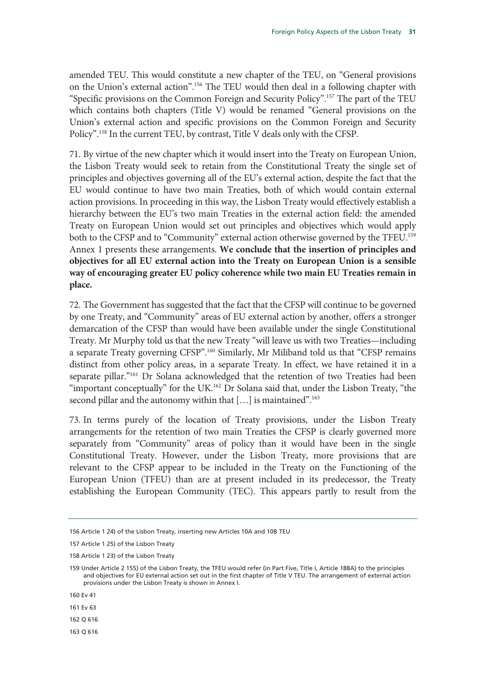amended TEU. This would constitute a new chapter of the TEU, on "General provisions on the Union's external action".156 The TEU would then deal in a following chapter with "Specific provisions on the Common Foreign and Security Policy".157 The part of the TEU which contains both chapters (Title V) would be renamed "General provisions on the Union's external action and specific provisions on the Common Foreign and Security Policy".158 In the current TEU, by contrast, Title V deals only with the CFSP.

71. By virtue of the new chapter which it would insert into the Treaty on European Union, the Lisbon Treaty would seek to retain from the Constitutional Treaty the single set of principles and objectives governing all of the EU's external action, despite the fact that the EU would continue to have two main Treaties, both of which would contain external action provisions. In proceeding in this way, the Lisbon Treaty would effectively establish a hierarchy between the EU's two main Treaties in the external action field: the amended Treaty on European Union would set out principles and objectives which would apply both to the CFSP and to "Community" external action otherwise governed by the TFEU.<sup>159</sup> Annex 1 presents these arrangements. **We conclude that the insertion of principles and objectives for all EU external action into the Treaty on European Union is a sensible way of encouraging greater EU policy coherence while two main EU Treaties remain in place.** 

72. The Government has suggested that the fact that the CFSP will continue to be governed by one Treaty, and "Community" areas of EU external action by another, offers a stronger demarcation of the CFSP than would have been available under the single Constitutional Treaty. Mr Murphy told us that the new Treaty "will leave us with two Treaties—including a separate Treaty governing CFSP".160 Similarly, Mr Miliband told us that "CFSP remains distinct from other policy areas, in a separate Treaty. In effect, we have retained it in a separate pillar."<sup>161</sup> Dr Solana acknowledged that the retention of two Treaties had been "important conceptually" for the UK.<sup>162</sup> Dr Solana said that, under the Lisbon Treaty, "the second pillar and the autonomy within that [...] is maintained".<sup>163</sup>

73. In terms purely of the location of Treaty provisions, under the Lisbon Treaty arrangements for the retention of two main Treaties the CFSP is clearly governed more separately from "Community" areas of policy than it would have been in the single Constitutional Treaty. However, under the Lisbon Treaty, more provisions that are relevant to the CFSP appear to be included in the Treaty on the Functioning of the European Union (TFEU) than are at present included in its predecessor, the Treaty establishing the European Community (TEC). This appears partly to result from the

163 Q 616

<sup>156</sup> Article 1 24) of the Lisbon Treaty, inserting new Articles 10A and 10B TEU

<sup>157</sup> Article 1 25) of the Lisbon Treaty

<sup>158</sup> Article 1 23) of the Lisbon Treaty

<sup>159</sup> Under Article 2 155) of the Lisbon Treaty, the TFEU would refer (in Part Five, Title I, Article 188A) to the principles and objectives for EU external action set out in the first chapter of Title V TEU. The arrangement of external action provisions under the Lisbon Treaty is shown in Annex I.

<sup>160</sup> Ev 41

<sup>161</sup> Ev 63

<sup>162</sup> Q 616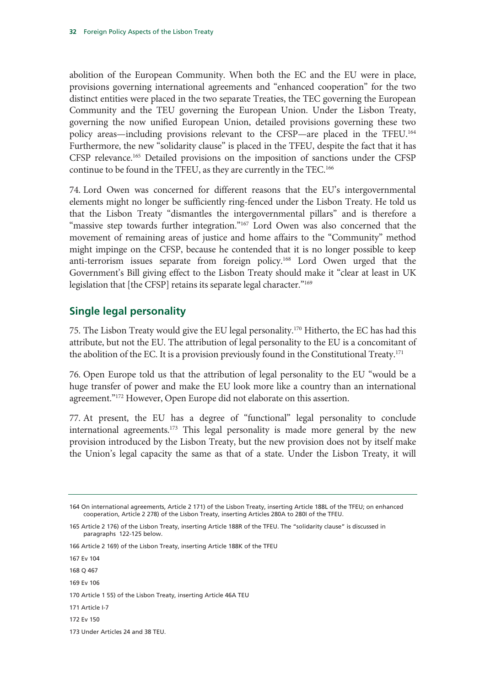abolition of the European Community. When both the EC and the EU were in place, provisions governing international agreements and "enhanced cooperation" for the two distinct entities were placed in the two separate Treaties, the TEC governing the European Community and the TEU governing the European Union. Under the Lisbon Treaty, governing the now unified European Union, detailed provisions governing these two policy areas—including provisions relevant to the CFSP—are placed in the TFEU.164 Furthermore, the new "solidarity clause" is placed in the TFEU, despite the fact that it has CFSP relevance.165 Detailed provisions on the imposition of sanctions under the CFSP continue to be found in the TFEU, as they are currently in the TEC.166

74. Lord Owen was concerned for different reasons that the EU's intergovernmental elements might no longer be sufficiently ring-fenced under the Lisbon Treaty. He told us that the Lisbon Treaty "dismantles the intergovernmental pillars" and is therefore a "massive step towards further integration."<sup>167</sup> Lord Owen was also concerned that the movement of remaining areas of justice and home affairs to the "Community" method might impinge on the CFSP, because he contended that it is no longer possible to keep anti-terrorism issues separate from foreign policy.168 Lord Owen urged that the Government's Bill giving effect to the Lisbon Treaty should make it "clear at least in UK legislation that [the CFSP] retains its separate legal character."169

#### **Single legal personality**

75. The Lisbon Treaty would give the EU legal personality.170 Hitherto, the EC has had this attribute, but not the EU. The attribution of legal personality to the EU is a concomitant of the abolition of the EC. It is a provision previously found in the Constitutional Treaty.<sup>171</sup>

76. Open Europe told us that the attribution of legal personality to the EU "would be a huge transfer of power and make the EU look more like a country than an international agreement."<sup>172</sup> However, Open Europe did not elaborate on this assertion.

77. At present, the EU has a degree of "functional" legal personality to conclude international agreements.<sup>173</sup> This legal personality is made more general by the new provision introduced by the Lisbon Treaty, but the new provision does not by itself make the Union's legal capacity the same as that of a state. Under the Lisbon Treaty, it will

167 Ev 104

- 168 Q 467
- 169 Ev 106

- 171 Article I-7
- 172 Ev 150

<sup>164</sup> On international agreements, Article 2 171) of the Lisbon Treaty, inserting Article 188L of the TFEU; on enhanced cooperation, Article 2 278) of the Lisbon Treaty, inserting Articles 280A to 280I of the TFEU.

<sup>165</sup> Article 2 176) of the Lisbon Treaty, inserting Article 188R of the TFEU. The "solidarity clause" is discussed in paragraphs 122-125 below.

<sup>166</sup> Article 2 169) of the Lisbon Treaty, inserting Article 188K of the TFEU

<sup>170</sup> Article 1 55) of the Lisbon Treaty, inserting Article 46A TEU

<sup>173</sup> Under Articles 24 and 38 TEU.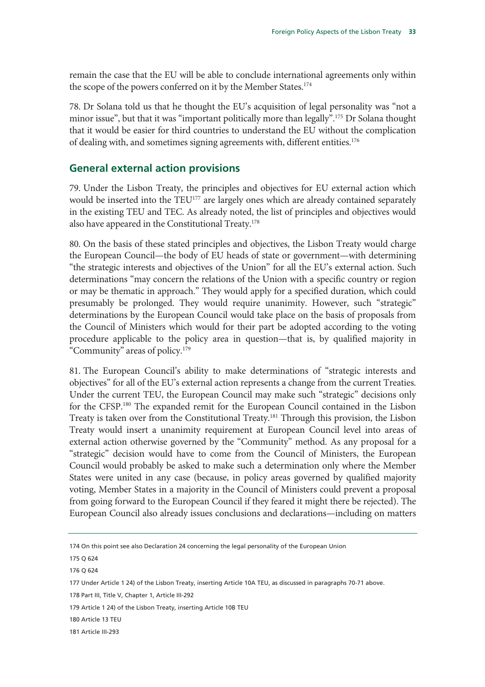remain the case that the EU will be able to conclude international agreements only within the scope of the powers conferred on it by the Member States.<sup>174</sup>

78. Dr Solana told us that he thought the EU's acquisition of legal personality was "not a minor issue", but that it was "important politically more than legally".<sup>175</sup> Dr Solana thought that it would be easier for third countries to understand the EU without the complication of dealing with, and sometimes signing agreements with, different entities.176

#### **General external action provisions**

79. Under the Lisbon Treaty, the principles and objectives for EU external action which would be inserted into the TEU<sup>177</sup> are largely ones which are already contained separately in the existing TEU and TEC. As already noted, the list of principles and objectives would also have appeared in the Constitutional Treaty.<sup>178</sup>

80. On the basis of these stated principles and objectives, the Lisbon Treaty would charge the European Council—the body of EU heads of state or government—with determining "the strategic interests and objectives of the Union" for all the EU's external action. Such determinations "may concern the relations of the Union with a specific country or region or may be thematic in approach." They would apply for a specified duration, which could presumably be prolonged. They would require unanimity. However, such "strategic" determinations by the European Council would take place on the basis of proposals from the Council of Ministers which would for their part be adopted according to the voting procedure applicable to the policy area in question—that is, by qualified majority in "Community" areas of policy.179

81. The European Council's ability to make determinations of "strategic interests and objectives" for all of the EU's external action represents a change from the current Treaties. Under the current TEU, the European Council may make such "strategic" decisions only for the CFSP.180 The expanded remit for the European Council contained in the Lisbon Treaty is taken over from the Constitutional Treaty.181 Through this provision, the Lisbon Treaty would insert a unanimity requirement at European Council level into areas of external action otherwise governed by the "Community" method. As any proposal for a "strategic" decision would have to come from the Council of Ministers, the European Council would probably be asked to make such a determination only where the Member States were united in any case (because, in policy areas governed by qualified majority voting, Member States in a majority in the Council of Ministers could prevent a proposal from going forward to the European Council if they feared it might there be rejected). The European Council also already issues conclusions and declarations—including on matters

<sup>174</sup> On this point see also Declaration 24 concerning the legal personality of the European Union

<sup>175</sup> Q 624

<sup>176</sup> Q 624

<sup>177</sup> Under Article 1 24) of the Lisbon Treaty, inserting Article 10A TEU, as discussed in paragraphs 70-71 above.

<sup>178</sup> Part III, Title V, Chapter 1, Article III-292

<sup>179</sup> Article 1 24) of the Lisbon Treaty, inserting Article 10B TEU

<sup>180</sup> Article 13 TEU

<sup>181</sup> Article III-293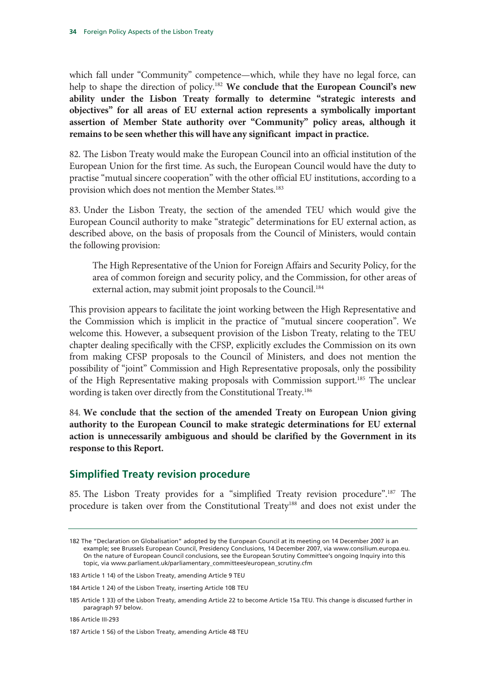which fall under "Community" competence—which, while they have no legal force, can help to shape the direction of policy.182 **We conclude that the European Council's new ability under the Lisbon Treaty formally to determine "strategic interests and objectives" for all areas of EU external action represents a symbolically important assertion of Member State authority over "Community" policy areas, although it remains to be seen whether this will have any significant impact in practice.**

82. The Lisbon Treaty would make the European Council into an official institution of the European Union for the first time. As such, the European Council would have the duty to practise "mutual sincere cooperation" with the other official EU institutions, according to a provision which does not mention the Member States.<sup>183</sup>

83. Under the Lisbon Treaty, the section of the amended TEU which would give the European Council authority to make "strategic" determinations for EU external action, as described above, on the basis of proposals from the Council of Ministers, would contain the following provision:

The High Representative of the Union for Foreign Affairs and Security Policy, for the area of common foreign and security policy, and the Commission, for other areas of external action, may submit joint proposals to the Council.<sup>184</sup>

This provision appears to facilitate the joint working between the High Representative and the Commission which is implicit in the practice of "mutual sincere cooperation". We welcome this. However, a subsequent provision of the Lisbon Treaty, relating to the TEU chapter dealing specifically with the CFSP, explicitly excludes the Commission on its own from making CFSP proposals to the Council of Ministers, and does not mention the possibility of "joint" Commission and High Representative proposals, only the possibility of the High Representative making proposals with Commission support.185 The unclear wording is taken over directly from the Constitutional Treaty.186

84. **We conclude that the section of the amended Treaty on European Union giving authority to the European Council to make strategic determinations for EU external action is unnecessarily ambiguous and should be clarified by the Government in its response to this Report.** 

#### **Simplified Treaty revision procedure**

85. The Lisbon Treaty provides for a "simplified Treaty revision procedure".187 The procedure is taken over from the Constitutional Treaty<sup>188</sup> and does not exist under the

<sup>182</sup> The "Declaration on Globalisation" adopted by the European Council at its meeting on 14 December 2007 is an example; see Brussels European Council, Presidency Conclusions, 14 December 2007, via www.consilium.europa.eu. On the nature of European Council conclusions, see the European Scrutiny Committee's ongoing Inquiry into this topic, via www.parliament.uk/parliamentary\_committees/european\_scrutiny.cfm

<sup>183</sup> Article 1 14) of the Lisbon Treaty, amending Article 9 TEU

<sup>184</sup> Article 1 24) of the Lisbon Treaty, inserting Article 10B TEU

<sup>185</sup> Article 1 33) of the Lisbon Treaty, amending Article 22 to become Article 15a TEU. This change is discussed further in paragraph 97 below.

<sup>186</sup> Article III-293

<sup>187</sup> Article 1 56) of the Lisbon Treaty, amending Article 48 TEU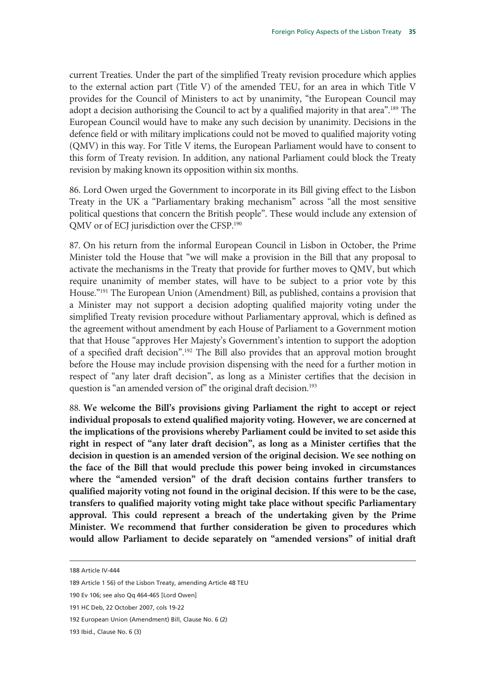current Treaties. Under the part of the simplified Treaty revision procedure which applies to the external action part (Title V) of the amended TEU, for an area in which Title V provides for the Council of Ministers to act by unanimity, "the European Council may adopt a decision authorising the Council to act by a qualified majority in that area".<sup>189</sup> The European Council would have to make any such decision by unanimity. Decisions in the defence field or with military implications could not be moved to qualified majority voting (QMV) in this way. For Title V items, the European Parliament would have to consent to this form of Treaty revision. In addition, any national Parliament could block the Treaty revision by making known its opposition within six months.

86. Lord Owen urged the Government to incorporate in its Bill giving effect to the Lisbon Treaty in the UK a "Parliamentary braking mechanism" across "all the most sensitive political questions that concern the British people". These would include any extension of QMV or of ECJ jurisdiction over the CFSP.190

87. On his return from the informal European Council in Lisbon in October, the Prime Minister told the House that "we will make a provision in the Bill that any proposal to activate the mechanisms in the Treaty that provide for further moves to QMV, but which require unanimity of member states, will have to be subject to a prior vote by this House."191 The European Union (Amendment) Bill, as published, contains a provision that a Minister may not support a decision adopting qualified majority voting under the simplified Treaty revision procedure without Parliamentary approval, which is defined as the agreement without amendment by each House of Parliament to a Government motion that that House "approves Her Majesty's Government's intention to support the adoption of a specified draft decision".192 The Bill also provides that an approval motion brought before the House may include provision dispensing with the need for a further motion in respect of "any later draft decision", as long as a Minister certifies that the decision in question is "an amended version of" the original draft decision.<sup>193</sup>

88. **We welcome the Bill's provisions giving Parliament the right to accept or reject individual proposals to extend qualified majority voting. However, we are concerned at the implications of the provisions whereby Parliament could be invited to set aside this right in respect of "any later draft decision", as long as a Minister certifies that the decision in question is an amended version of the original decision. We see nothing on the face of the Bill that would preclude this power being invoked in circumstances where the "amended version" of the draft decision contains further transfers to qualified majority voting not found in the original decision. If this were to be the case, transfers to qualified majority voting might take place without specific Parliamentary approval. This could represent a breach of the undertaking given by the Prime Minister. We recommend that further consideration be given to procedures which would allow Parliament to decide separately on "amended versions" of initial draft** 

-

192 European Union (Amendment) Bill, Clause No. 6 (2)

193 Ibid., Clause No. 6 (3)

<sup>188</sup> Article IV-444

<sup>189</sup> Article 1 56) of the Lisbon Treaty, amending Article 48 TEU

<sup>190</sup> Ev 106; see also Qq 464-465 [Lord Owen]

<sup>191</sup> HC Deb, 22 October 2007, cols 19-22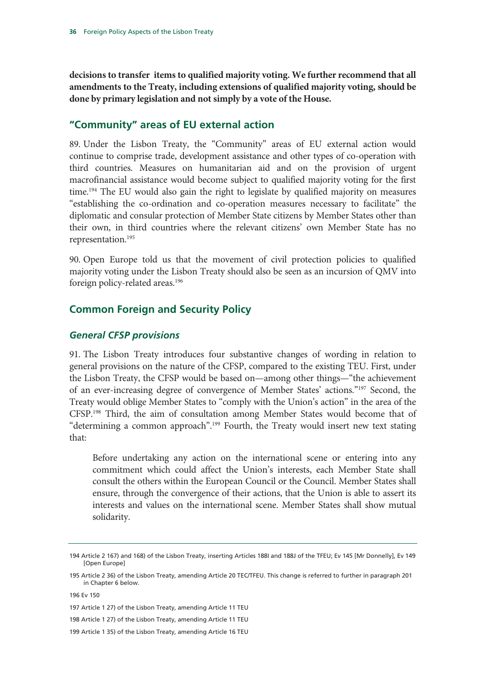**decisions to transfer items to qualified majority voting. We further recommend that all amendments to the Treaty, including extensions of qualified majority voting, should be done by primary legislation and not simply by a vote of the House.**

## **"Community" areas of EU external action**

89. Under the Lisbon Treaty, the "Community" areas of EU external action would continue to comprise trade, development assistance and other types of co-operation with third countries. Measures on humanitarian aid and on the provision of urgent macrofinancial assistance would become subject to qualified majority voting for the first time.<sup>194</sup> The EU would also gain the right to legislate by qualified majority on measures "establishing the co-ordination and co-operation measures necessary to facilitate" the diplomatic and consular protection of Member State citizens by Member States other than their own, in third countries where the relevant citizens' own Member State has no representation.195

90. Open Europe told us that the movement of civil protection policies to qualified majority voting under the Lisbon Treaty should also be seen as an incursion of QMV into foreign policy-related areas.<sup>196</sup>

## **Common Foreign and Security Policy**

#### *General CFSP provisions*

91. The Lisbon Treaty introduces four substantive changes of wording in relation to general provisions on the nature of the CFSP, compared to the existing TEU. First, under the Lisbon Treaty, the CFSP would be based on—among other things—"the achievement of an ever-increasing degree of convergence of Member States' actions."197 Second, the Treaty would oblige Member States to "comply with the Union's action" in the area of the CFSP.198 Third, the aim of consultation among Member States would become that of "determining a common approach".<sup>199</sup> Fourth, the Treaty would insert new text stating that:

Before undertaking any action on the international scene or entering into any commitment which could affect the Union's interests, each Member State shall consult the others within the European Council or the Council. Member States shall ensure, through the convergence of their actions, that the Union is able to assert its interests and values on the international scene. Member States shall show mutual solidarity.

<sup>194</sup> Article 2 167) and 168) of the Lisbon Treaty, inserting Articles 188I and 188J of the TFEU; Ev 145 [Mr Donnelly], Ev 149 [Open Europe]

<sup>195</sup> Article 2 36) of the Lisbon Treaty, amending Article 20 TEC/TFEU. This change is referred to further in paragraph 201 in Chapter 6 below.

<sup>196</sup> Ev 150

<sup>197</sup> Article 1 27) of the Lisbon Treaty, amending Article 11 TEU

<sup>198</sup> Article 1 27) of the Lisbon Treaty, amending Article 11 TEU

<sup>199</sup> Article 1 35) of the Lisbon Treaty, amending Article 16 TEU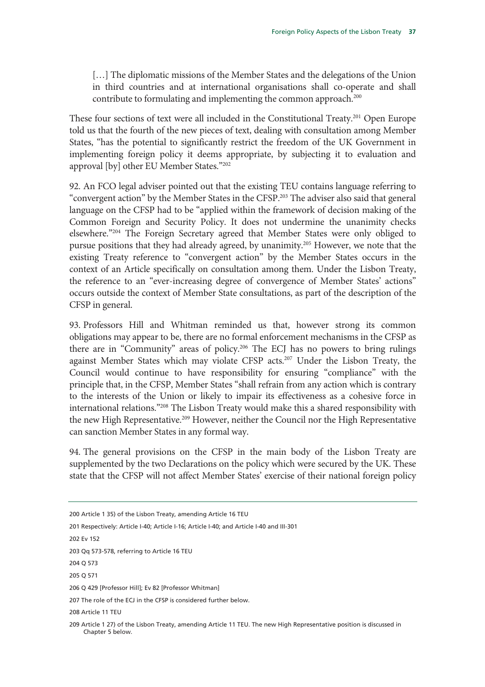[...] The diplomatic missions of the Member States and the delegations of the Union in third countries and at international organisations shall co-operate and shall contribute to formulating and implementing the common approach.<sup>200</sup>

These four sections of text were all included in the Constitutional Treaty.<sup>201</sup> Open Europe told us that the fourth of the new pieces of text, dealing with consultation among Member States, "has the potential to significantly restrict the freedom of the UK Government in implementing foreign policy it deems appropriate, by subjecting it to evaluation and approval [by] other EU Member States."202

92. An FCO legal adviser pointed out that the existing TEU contains language referring to "convergent action" by the Member States in the CFSP.203 The adviser also said that general language on the CFSP had to be "applied within the framework of decision making of the Common Foreign and Security Policy. It does not undermine the unanimity checks elsewhere."204 The Foreign Secretary agreed that Member States were only obliged to pursue positions that they had already agreed, by unanimity.205 However, we note that the existing Treaty reference to "convergent action" by the Member States occurs in the context of an Article specifically on consultation among them. Under the Lisbon Treaty, the reference to an "ever-increasing degree of convergence of Member States' actions" occurs outside the context of Member State consultations, as part of the description of the CFSP in general.

93. Professors Hill and Whitman reminded us that, however strong its common obligations may appear to be, there are no formal enforcement mechanisms in the CFSP as there are in "Community" areas of policy.206 The ECJ has no powers to bring rulings against Member States which may violate CFSP acts.<sup>207</sup> Under the Lisbon Treaty, the Council would continue to have responsibility for ensuring "compliance" with the principle that, in the CFSP, Member States "shall refrain from any action which is contrary to the interests of the Union or likely to impair its effectiveness as a cohesive force in international relations."208 The Lisbon Treaty would make this a shared responsibility with the new High Representative.<sup>209</sup> However, neither the Council nor the High Representative can sanction Member States in any formal way.

94. The general provisions on the CFSP in the main body of the Lisbon Treaty are supplemented by the two Declarations on the policy which were secured by the UK. These state that the CFSP will not affect Member States' exercise of their national foreign policy

202 Ev 152

203 Qq 573-578, referring to Article 16 TEU

204 Q 573

205 Q 571

208 Article 11 TEU

<sup>200</sup> Article 1 35) of the Lisbon Treaty, amending Article 16 TEU

<sup>201</sup> Respectively: Article I-40; Article I-16; Article I-40; and Article I-40 and III-301

<sup>206</sup> Q 429 [Professor Hill]; Ev 82 [Professor Whitman]

<sup>207</sup> The role of the ECJ in the CFSP is considered further below.

<sup>209</sup> Article 1 27) of the Lisbon Treaty, amending Article 11 TEU. The new High Representative position is discussed in Chapter 5 below.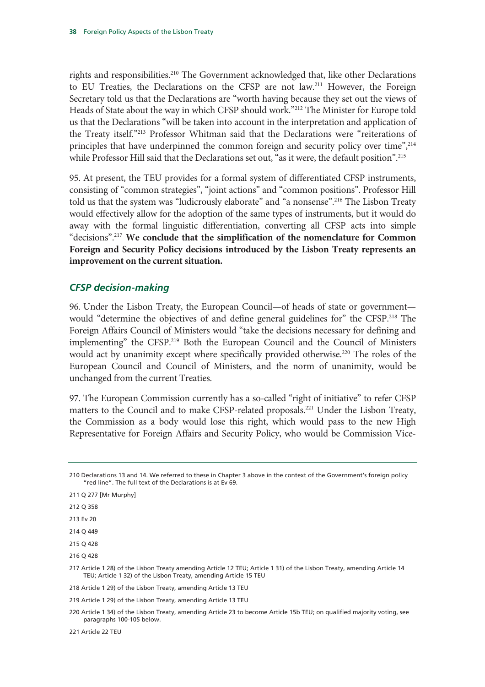rights and responsibilities.210 The Government acknowledged that, like other Declarations to EU Treaties, the Declarations on the CFSP are not law.<sup>211</sup> However, the Foreign Secretary told us that the Declarations are "worth having because they set out the views of Heads of State about the way in which CFSP should work."212 The Minister for Europe told us that the Declarations "will be taken into account in the interpretation and application of the Treaty itself."213 Professor Whitman said that the Declarations were "reiterations of principles that have underpinned the common foreign and security policy over time", <sup>214</sup> while Professor Hill said that the Declarations set out, "as it were, the default position".<sup>215</sup>

95. At present, the TEU provides for a formal system of differentiated CFSP instruments, consisting of "common strategies", "joint actions" and "common positions". Professor Hill told us that the system was "ludicrously elaborate" and "a nonsense".<sup>216</sup> The Lisbon Treaty would effectively allow for the adoption of the same types of instruments, but it would do away with the formal linguistic differentiation, converting all CFSP acts into simple "decisions".217 **We conclude that the simplification of the nomenclature for Common Foreign and Security Policy decisions introduced by the Lisbon Treaty represents an improvement on the current situation.**

## *CFSP decision-making*

96. Under the Lisbon Treaty, the European Council—of heads of state or government would "determine the objectives of and define general guidelines for" the CFSP.<sup>218</sup> The Foreign Affairs Council of Ministers would "take the decisions necessary for defining and implementing" the CFSP.219 Both the European Council and the Council of Ministers would act by unanimity except where specifically provided otherwise.<sup>220</sup> The roles of the European Council and Council of Ministers, and the norm of unanimity, would be unchanged from the current Treaties.

97. The European Commission currently has a so-called "right of initiative" to refer CFSP matters to the Council and to make CFSP-related proposals.<sup>221</sup> Under the Lisbon Treaty, the Commission as a body would lose this right, which would pass to the new High Representative for Foreign Affairs and Security Policy, who would be Commission Vice-

- 212 Q 358
- 213 Ev 20
- 214 Q 449
- 215 Q 428
- 216 Q 428

<sup>210</sup> Declarations 13 and 14. We referred to these in Chapter 3 above in the context of the Government's foreign policy "red line". The full text of the Declarations is at Ev 69.

<sup>211</sup> Q 277 [Mr Murphy]

<sup>217</sup> Article 1 28) of the Lisbon Treaty amending Article 12 TEU; Article 1 31) of the Lisbon Treaty, amending Article 14 TEU; Article 1 32) of the Lisbon Treaty, amending Article 15 TEU

<sup>218</sup> Article 1 29) of the Lisbon Treaty, amending Article 13 TEU

<sup>219</sup> Article 1 29) of the Lisbon Treaty, amending Article 13 TEU

<sup>220</sup> Article 1 34) of the Lisbon Treaty, amending Article 23 to become Article 15b TEU; on qualified majority voting, see paragraphs 100-105 below.

<sup>221</sup> Article 22 TEU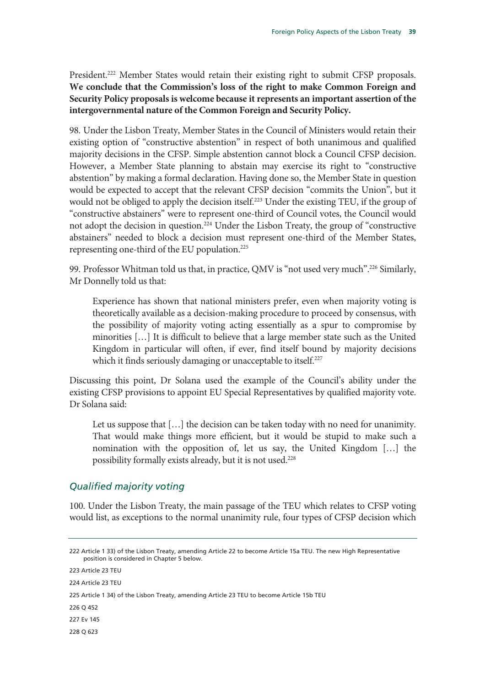President.<sup>222</sup> Member States would retain their existing right to submit CFSP proposals. **We conclude that the Commission's loss of the right to make Common Foreign and Security Policy proposals is welcome because it represents an important assertion of the intergovernmental nature of the Common Foreign and Security Policy.** 

98. Under the Lisbon Treaty, Member States in the Council of Ministers would retain their existing option of "constructive abstention" in respect of both unanimous and qualified majority decisions in the CFSP. Simple abstention cannot block a Council CFSP decision. However, a Member State planning to abstain may exercise its right to "constructive abstention" by making a formal declaration. Having done so, the Member State in question would be expected to accept that the relevant CFSP decision "commits the Union", but it would not be obliged to apply the decision itself.<sup>223</sup> Under the existing TEU, if the group of "constructive abstainers" were to represent one-third of Council votes, the Council would not adopt the decision in question.<sup>224</sup> Under the Lisbon Treaty, the group of "constructive abstainers" needed to block a decision must represent one-third of the Member States, representing one-third of the EU population.225

99. Professor Whitman told us that, in practice, QMV is "not used very much".<sup>226</sup> Similarly, Mr Donnelly told us that:

Experience has shown that national ministers prefer, even when majority voting is theoretically available as a decision-making procedure to proceed by consensus, with the possibility of majority voting acting essentially as a spur to compromise by minorities […] It is difficult to believe that a large member state such as the United Kingdom in particular will often, if ever, find itself bound by majority decisions which it finds seriously damaging or unacceptable to itself.<sup>227</sup>

Discussing this point, Dr Solana used the example of the Council's ability under the existing CFSP provisions to appoint EU Special Representatives by qualified majority vote. Dr Solana said:

Let us suppose that [...] the decision can be taken today with no need for unanimity. That would make things more efficient, but it would be stupid to make such a nomination with the opposition of, let us say, the United Kingdom […] the possibility formally exists already, but it is not used.228

## *Qualified majority voting*

100. Under the Lisbon Treaty, the main passage of the TEU which relates to CFSP voting would list, as exceptions to the normal unanimity rule, four types of CFSP decision which

223 Article 23 TEU

<sup>222</sup> Article 1 33) of the Lisbon Treaty, amending Article 22 to become Article 15a TEU. The new High Representative position is considered in Chapter 5 below.

<sup>224</sup> Article 23 TEU

<sup>225</sup> Article 1 34) of the Lisbon Treaty, amending Article 23 TEU to become Article 15b TEU

<sup>226</sup> Q 452

<sup>227</sup> Ev 145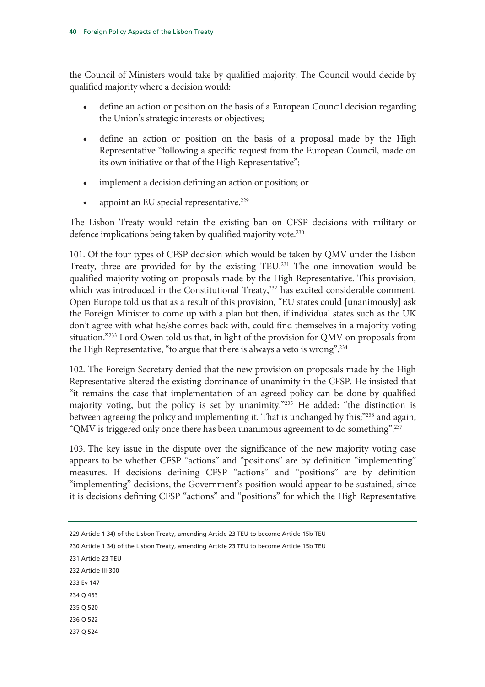the Council of Ministers would take by qualified majority. The Council would decide by qualified majority where a decision would:

- define an action or position on the basis of a European Council decision regarding the Union's strategic interests or objectives;
- define an action or position on the basis of a proposal made by the High Representative "following a specific request from the European Council, made on its own initiative or that of the High Representative";
- implement a decision defining an action or position; or
- appoint an EU special representative.<sup>229</sup>

The Lisbon Treaty would retain the existing ban on CFSP decisions with military or defence implications being taken by qualified majority vote.<sup>230</sup>

101. Of the four types of CFSP decision which would be taken by QMV under the Lisbon Treaty, three are provided for by the existing  $TEU<sup>231</sup>$ . The one innovation would be qualified majority voting on proposals made by the High Representative. This provision, which was introduced in the Constitutional Treaty,<sup>232</sup> has excited considerable comment. Open Europe told us that as a result of this provision, "EU states could [unanimously] ask the Foreign Minister to come up with a plan but then, if individual states such as the UK don't agree with what he/she comes back with, could find themselves in a majority voting situation."233 Lord Owen told us that, in light of the provision for QMV on proposals from the High Representative, "to argue that there is always a veto is wrong".<sup>234</sup>

102. The Foreign Secretary denied that the new provision on proposals made by the High Representative altered the existing dominance of unanimity in the CFSP. He insisted that "it remains the case that implementation of an agreed policy can be done by qualified majority voting, but the policy is set by unanimity."235 He added: "the distinction is between agreeing the policy and implementing it. That is unchanged by this;"<sup>236</sup> and again, "QMV is triggered only once there has been unanimous agreement to do something".237

103. The key issue in the dispute over the significance of the new majority voting case appears to be whether CFSP "actions" and "positions" are by definition "implementing" measures. If decisions defining CFSP "actions" and "positions" are by definition "implementing" decisions, the Government's position would appear to be sustained, since it is decisions defining CFSP "actions" and "positions" for which the High Representative

231 Article 23 TEU

- 232 Article III-300
- 233 Ev 147
- 234 Q 463
- 235 Q 520
- 236 Q 522
- 237 Q 524

<sup>229</sup> Article 1 34) of the Lisbon Treaty, amending Article 23 TEU to become Article 15b TEU

<sup>230</sup> Article 1 34) of the Lisbon Treaty, amending Article 23 TEU to become Article 15b TEU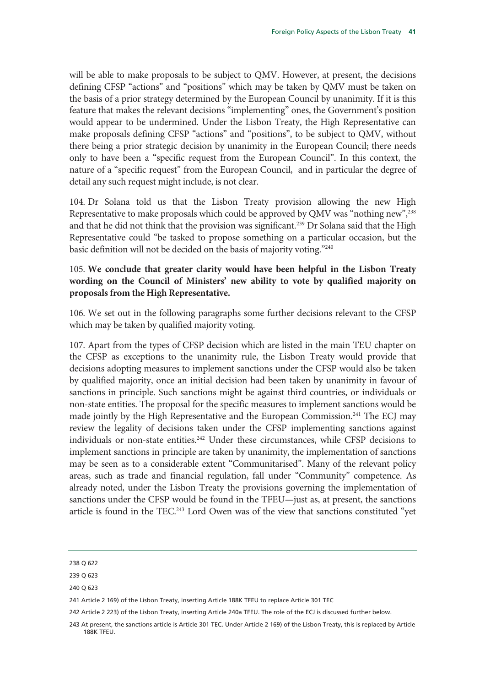will be able to make proposals to be subject to QMV. However, at present, the decisions defining CFSP "actions" and "positions" which may be taken by QMV must be taken on the basis of a prior strategy determined by the European Council by unanimity. If it is this feature that makes the relevant decisions "implementing" ones, the Government's position would appear to be undermined. Under the Lisbon Treaty, the High Representative can make proposals defining CFSP "actions" and "positions", to be subject to QMV, without there being a prior strategic decision by unanimity in the European Council; there needs only to have been a "specific request from the European Council". In this context, the nature of a "specific request" from the European Council, and in particular the degree of detail any such request might include, is not clear.

104. Dr Solana told us that the Lisbon Treaty provision allowing the new High Representative to make proposals which could be approved by QMV was "nothing new",<sup>238</sup> and that he did not think that the provision was significant.<sup>239</sup> Dr Solana said that the High Representative could "be tasked to propose something on a particular occasion, but the basic definition will not be decided on the basis of majority voting."<sup>240</sup>

## 105. **We conclude that greater clarity would have been helpful in the Lisbon Treaty wording on the Council of Ministers' new ability to vote by qualified majority on proposals from the High Representative.**

106. We set out in the following paragraphs some further decisions relevant to the CFSP which may be taken by qualified majority voting.

107. Apart from the types of CFSP decision which are listed in the main TEU chapter on the CFSP as exceptions to the unanimity rule, the Lisbon Treaty would provide that decisions adopting measures to implement sanctions under the CFSP would also be taken by qualified majority, once an initial decision had been taken by unanimity in favour of sanctions in principle. Such sanctions might be against third countries, or individuals or non-state entities. The proposal for the specific measures to implement sanctions would be made jointly by the High Representative and the European Commission.<sup>241</sup> The ECJ may review the legality of decisions taken under the CFSP implementing sanctions against individuals or non-state entities.<sup>242</sup> Under these circumstances, while CFSP decisions to implement sanctions in principle are taken by unanimity, the implementation of sanctions may be seen as to a considerable extent "Communitarised". Many of the relevant policy areas, such as trade and financial regulation, fall under "Community" competence. As already noted, under the Lisbon Treaty the provisions governing the implementation of sanctions under the CFSP would be found in the TFEU—just as, at present, the sanctions article is found in the TEC.<sup>243</sup> Lord Owen was of the view that sanctions constituted "yet

<sup>238</sup> Q 622

<sup>239</sup> Q 623

<sup>241</sup> Article 2 169) of the Lisbon Treaty, inserting Article 188K TFEU to replace Article 301 TEC

<sup>242</sup> Article 2 223) of the Lisbon Treaty, inserting Article 240a TFEU. The role of the ECJ is discussed further below.

<sup>243</sup> At present, the sanctions article is Article 301 TEC. Under Article 2 169) of the Lisbon Treaty, this is replaced by Article 188K TFEU.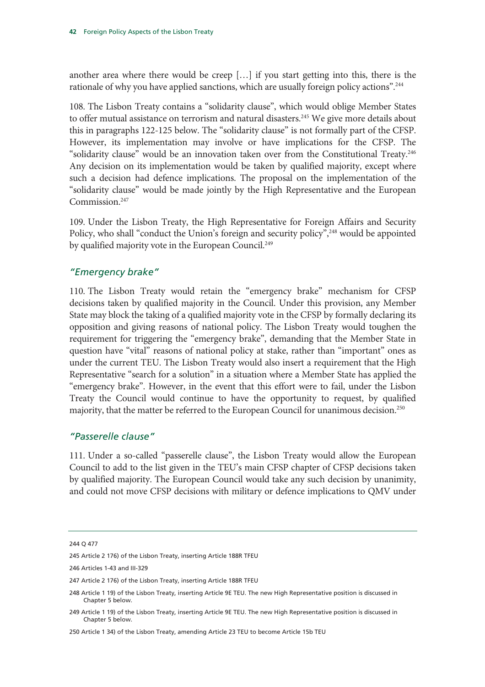another area where there would be creep […] if you start getting into this, there is the rationale of why you have applied sanctions, which are usually foreign policy actions".<sup>244</sup>

108. The Lisbon Treaty contains a "solidarity clause", which would oblige Member States to offer mutual assistance on terrorism and natural disasters.<sup>245</sup> We give more details about this in paragraphs 122-125 below. The "solidarity clause" is not formally part of the CFSP. However, its implementation may involve or have implications for the CFSP. The "solidarity clause" would be an innovation taken over from the Constitutional Treaty.246 Any decision on its implementation would be taken by qualified majority, except where such a decision had defence implications. The proposal on the implementation of the "solidarity clause" would be made jointly by the High Representative and the European Commission.<sup>247</sup>

109. Under the Lisbon Treaty, the High Representative for Foreign Affairs and Security Policy, who shall "conduct the Union's foreign and security policy",<sup>248</sup> would be appointed by qualified majority vote in the European Council.<sup>249</sup>

## *"Emergency brake"*

110. The Lisbon Treaty would retain the "emergency brake" mechanism for CFSP decisions taken by qualified majority in the Council. Under this provision, any Member State may block the taking of a qualified majority vote in the CFSP by formally declaring its opposition and giving reasons of national policy. The Lisbon Treaty would toughen the requirement for triggering the "emergency brake", demanding that the Member State in question have "vital" reasons of national policy at stake, rather than "important" ones as under the current TEU. The Lisbon Treaty would also insert a requirement that the High Representative "search for a solution" in a situation where a Member State has applied the "emergency brake". However, in the event that this effort were to fail, under the Lisbon Treaty the Council would continue to have the opportunity to request, by qualified majority, that the matter be referred to the European Council for unanimous decision.<sup>250</sup>

## *"Passerelle clause"*

111. Under a so-called "passerelle clause", the Lisbon Treaty would allow the European Council to add to the list given in the TEU's main CFSP chapter of CFSP decisions taken by qualified majority. The European Council would take any such decision by unanimity, and could not move CFSP decisions with military or defence implications to QMV under

<sup>244</sup> Q 477

<sup>245</sup> Article 2 176) of the Lisbon Treaty, inserting Article 188R TFEU

<sup>246</sup> Articles 1-43 and III-329

<sup>247</sup> Article 2 176) of the Lisbon Treaty, inserting Article 188R TFEU

<sup>248</sup> Article 1 19) of the Lisbon Treaty, inserting Article 9E TEU. The new High Representative position is discussed in Chapter 5 below.

<sup>249</sup> Article 1 19) of the Lisbon Treaty, inserting Article 9E TEU. The new High Representative position is discussed in Chapter 5 below.

<sup>250</sup> Article 1 34) of the Lisbon Treaty, amending Article 23 TEU to become Article 15b TEU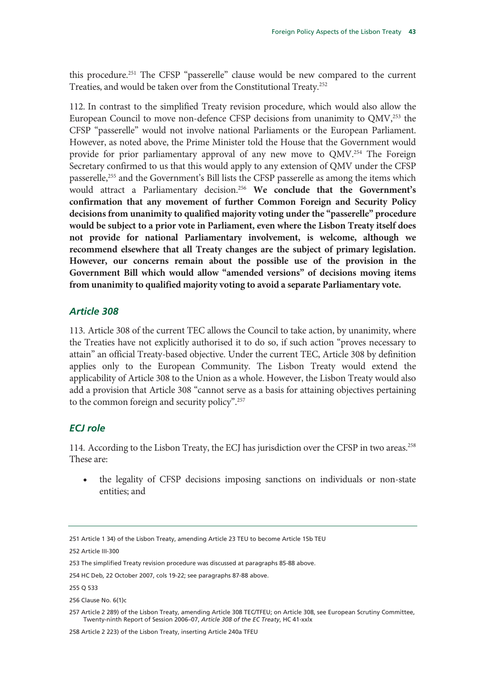this procedure.251 The CFSP "passerelle" clause would be new compared to the current Treaties, and would be taken over from the Constitutional Treaty.252

112. In contrast to the simplified Treaty revision procedure, which would also allow the European Council to move non-defence CFSP decisions from unanimity to QMV,<sup>253</sup> the CFSP "passerelle" would not involve national Parliaments or the European Parliament. However, as noted above, the Prime Minister told the House that the Government would provide for prior parliamentary approval of any new move to QMV.254 The Foreign Secretary confirmed to us that this would apply to any extension of QMV under the CFSP passerelle,255 and the Government's Bill lists the CFSP passerelle as among the items which would attract a Parliamentary decision.256 **We conclude that the Government's confirmation that any movement of further Common Foreign and Security Policy decisions from unanimity to qualified majority voting under the "passerelle" procedure would be subject to a prior vote in Parliament, even where the Lisbon Treaty itself does not provide for national Parliamentary involvement, is welcome, although we recommend elsewhere that all Treaty changes are the subject of primary legislation. However, our concerns remain about the possible use of the provision in the Government Bill which would allow "amended versions" of decisions moving items from unanimity to qualified majority voting to avoid a separate Parliamentary vote.** 

#### *Article 308*

113. Article 308 of the current TEC allows the Council to take action, by unanimity, where the Treaties have not explicitly authorised it to do so, if such action "proves necessary to attain" an official Treaty-based objective. Under the current TEC, Article 308 by definition applies only to the European Community. The Lisbon Treaty would extend the applicability of Article 308 to the Union as a whole. However, the Lisbon Treaty would also add a provision that Article 308 "cannot serve as a basis for attaining objectives pertaining to the common foreign and security policy".257

#### *ECJ role*

114. According to the Lisbon Treaty, the ECJ has jurisdiction over the CFSP in two areas.<sup>258</sup> These are:

• the legality of CFSP decisions imposing sanctions on individuals or non-state entities; and

258 Article 2 223) of the Lisbon Treaty, inserting Article 240a TFEU

<sup>251</sup> Article 1 34) of the Lisbon Treaty, amending Article 23 TEU to become Article 15b TEU

<sup>252</sup> Article III-300

<sup>253</sup> The simplified Treaty revision procedure was discussed at paragraphs 85-88 above.

<sup>254</sup> HC Deb, 22 October 2007, cols 19-22; see paragraphs 87-88 above.

<sup>255</sup> Q 533

<sup>256</sup> Clause No. 6(1)c

<sup>257</sup> Article 2 289) of the Lisbon Treaty, amending Article 308 TEC/TFEU; on Article 308, see European Scrutiny Committee, Twenty-ninth Report of Session 2006–07, *Article 308 of the EC Treaty*, HC 41-xxlx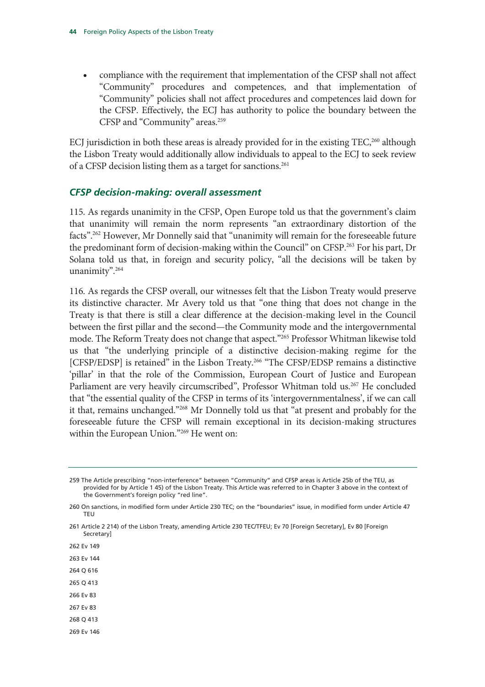• compliance with the requirement that implementation of the CFSP shall not affect "Community" procedures and competences, and that implementation of "Community" policies shall not affect procedures and competences laid down for the CFSP. Effectively, the ECJ has authority to police the boundary between the CFSP and "Community" areas.<sup>259</sup>

ECJ jurisdiction in both these areas is already provided for in the existing  $TEC<sub>2</sub><sup>260</sup>$  although the Lisbon Treaty would additionally allow individuals to appeal to the ECJ to seek review of a CFSP decision listing them as a target for sanctions.<sup>261</sup>

#### *CFSP decision-making: overall assessment*

115. As regards unanimity in the CFSP, Open Europe told us that the government's claim that unanimity will remain the norm represents "an extraordinary distortion of the facts".<sup>262</sup> However, Mr Donnelly said that "unanimity will remain for the foreseeable future the predominant form of decision-making within the Council" on CFSP.<sup>263</sup> For his part, Dr Solana told us that, in foreign and security policy, "all the decisions will be taken by unanimity".264

116. As regards the CFSP overall, our witnesses felt that the Lisbon Treaty would preserve its distinctive character. Mr Avery told us that "one thing that does not change in the Treaty is that there is still a clear difference at the decision-making level in the Council between the first pillar and the second—the Community mode and the intergovernmental mode. The Reform Treaty does not change that aspect."265 Professor Whitman likewise told us that "the underlying principle of a distinctive decision-making regime for the [CFSP/EDSP] is retained" in the Lisbon Treaty.<sup>266</sup> "The CFSP/EDSP remains a distinctive 'pillar' in that the role of the Commission, European Court of Justice and European Parliament are very heavily circumscribed", Professor Whitman told us.<sup>267</sup> He concluded that "the essential quality of the CFSP in terms of its 'intergovernmentalness', if we can call it that, remains unchanged."268 Mr Donnelly told us that "at present and probably for the foreseeable future the CFSP will remain exceptional in its decision-making structures within the European Union."269 He went on:

261 Article 2 214) of the Lisbon Treaty, amending Article 230 TEC/TFEU; Ev 70 [Foreign Secretary], Ev 80 [Foreign **Secretary** 

262 Ev 149

263 Ev 144

- 264 Q 616
- 265 Q 413
- 266 Ev 83 267 Ev 83
- 268 Q 413
- 269 Ev 146

<sup>259</sup> The Article prescribing "non-interference" between "Community" and CFSP areas is Article 25b of the TEU, as provided for by Article 1 45) of the Lisbon Treaty. This Article was referred to in Chapter 3 above in the context of the Government's foreign policy "red line".

<sup>260</sup> On sanctions, in modified form under Article 230 TEC; on the "boundaries" issue, in modified form under Article 47 TEU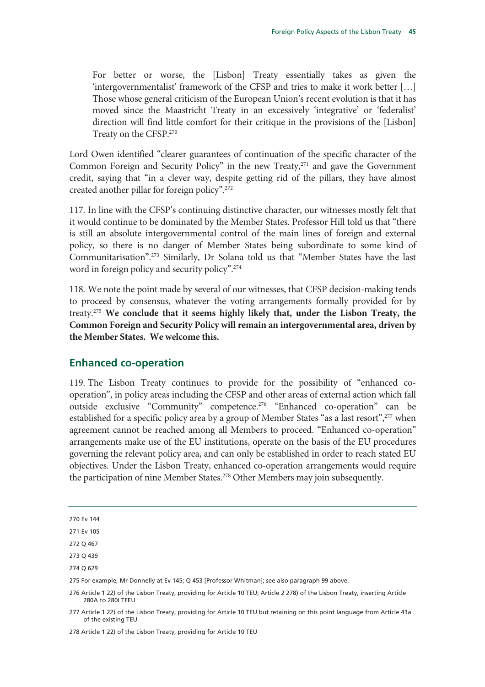For better or worse, the [Lisbon] Treaty essentially takes as given the 'intergovernmentalist' framework of the CFSP and tries to make it work better […] Those whose general criticism of the European Union's recent evolution is that it has moved since the Maastricht Treaty in an excessively 'integrative' or 'federalist' direction will find little comfort for their critique in the provisions of the [Lisbon] Treaty on the CFSP.270

Lord Owen identified "clearer guarantees of continuation of the specific character of the Common Foreign and Security Policy" in the new Treaty,<sup>271</sup> and gave the Government credit, saying that "in a clever way, despite getting rid of the pillars, they have almost created another pillar for foreign policy".272

117. In line with the CFSP's continuing distinctive character, our witnesses mostly felt that it would continue to be dominated by the Member States. Professor Hill told us that "there is still an absolute intergovernmental control of the main lines of foreign and external policy, so there is no danger of Member States being subordinate to some kind of Communitarisation".273 Similarly, Dr Solana told us that "Member States have the last word in foreign policy and security policy".274

118. We note the point made by several of our witnesses, that CFSP decision-making tends to proceed by consensus, whatever the voting arrangements formally provided for by treaty.275 **We conclude that it seems highly likely that, under the Lisbon Treaty, the Common Foreign and Security Policy will remain an intergovernmental area, driven by the Member States. We welcome this.** 

## **Enhanced co-operation**

119. The Lisbon Treaty continues to provide for the possibility of "enhanced cooperation", in policy areas including the CFSP and other areas of external action which fall outside exclusive "Community" competence.<sup>276</sup> "Enhanced co-operation" can be established for a specific policy area by a group of Member States "as a last resort",<sup>277</sup> when agreement cannot be reached among all Members to proceed. "Enhanced co-operation" arrangements make use of the EU institutions, operate on the basis of the EU procedures governing the relevant policy area, and can only be established in order to reach stated EU objectives. Under the Lisbon Treaty, enhanced co-operation arrangements would require the participation of nine Member States.<sup>278</sup> Other Members may join subsequently.

278 Article 1 22) of the Lisbon Treaty, providing for Article 10 TEU

<sup>270</sup> Ev 144

<sup>271</sup> Ev 105

<sup>272</sup> Q 467

<sup>273</sup> Q 439

<sup>274</sup> Q 629

<sup>275</sup> For example, Mr Donnelly at Ev 145; Q 453 [Professor Whitman]; see also paragraph 99 above.

<sup>276</sup> Article 1 22) of the Lisbon Treaty, providing for Article 10 TEU; Article 2 278) of the Lisbon Treaty, inserting Article 280A to 280I TFEU

<sup>277</sup> Article 1 22) of the Lisbon Treaty, providing for Article 10 TEU but retaining on this point language from Article 43a of the existing TEU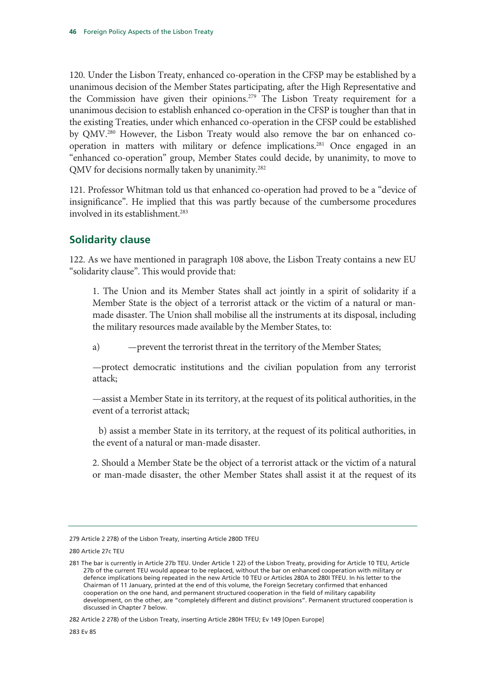120. Under the Lisbon Treaty, enhanced co-operation in the CFSP may be established by a unanimous decision of the Member States participating, after the High Representative and the Commission have given their opinions.<sup>279</sup> The Lisbon Treaty requirement for a unanimous decision to establish enhanced co-operation in the CFSP is tougher than that in the existing Treaties, under which enhanced co-operation in the CFSP could be established by QMV.280 However, the Lisbon Treaty would also remove the bar on enhanced cooperation in matters with military or defence implications.<sup>281</sup> Once engaged in an "enhanced co-operation" group, Member States could decide, by unanimity, to move to QMV for decisions normally taken by unanimity.<sup>282</sup>

121. Professor Whitman told us that enhanced co-operation had proved to be a "device of insignificance". He implied that this was partly because of the cumbersome procedures involved in its establishment<sup>283</sup>

## **Solidarity clause**

122. As we have mentioned in paragraph 108 above, the Lisbon Treaty contains a new EU "solidarity clause". This would provide that:

1. The Union and its Member States shall act jointly in a spirit of solidarity if a Member State is the object of a terrorist attack or the victim of a natural or manmade disaster. The Union shall mobilise all the instruments at its disposal, including the military resources made available by the Member States, to:

a) —prevent the terrorist threat in the territory of the Member States;

—protect democratic institutions and the civilian population from any terrorist attack;

—assist a Member State in its territory, at the request of its political authorities, in the event of a terrorist attack;

 b) assist a member State in its territory, at the request of its political authorities, in the event of a natural or man-made disaster.

2. Should a Member State be the object of a terrorist attack or the victim of a natural or man-made disaster, the other Member States shall assist it at the request of its

280 Article 27c TEU

<sup>279</sup> Article 2 278) of the Lisbon Treaty, inserting Article 280D TFEU

<sup>281</sup> The bar is currently in Article 27b TEU. Under Article 1 22) of the Lisbon Treaty, providing for Article 10 TEU, Article 27b of the current TEU would appear to be replaced, without the bar on enhanced cooperation with military or defence implications being repeated in the new Article 10 TEU or Articles 280A to 280I TFEU. In his letter to the Chairman of 11 January, printed at the end of this volume, the Foreign Secretary confirmed that enhanced cooperation on the one hand, and permanent structured cooperation in the field of military capability development, on the other, are "completely different and distinct provisions". Permanent structured cooperation is discussed in Chapter 7 below.

<sup>282</sup> Article 2 278) of the Lisbon Treaty, inserting Article 280H TFEU; Ev 149 [Open Europe]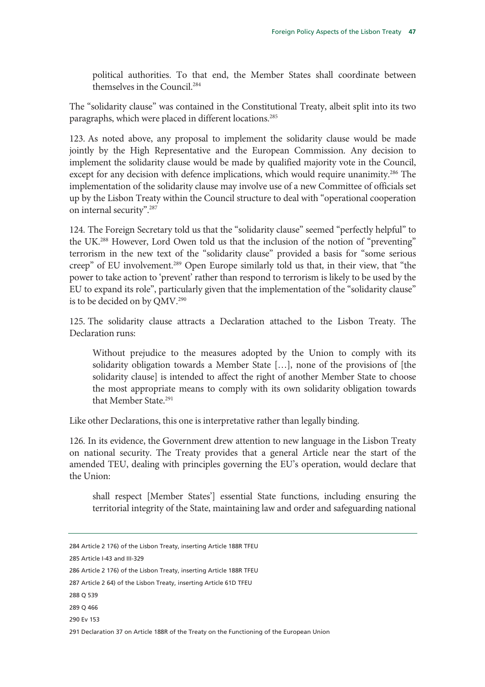political authorities. To that end, the Member States shall coordinate between themselves in the Council.284

The "solidarity clause" was contained in the Constitutional Treaty, albeit split into its two paragraphs, which were placed in different locations.<sup>285</sup>

123. As noted above, any proposal to implement the solidarity clause would be made jointly by the High Representative and the European Commission. Any decision to implement the solidarity clause would be made by qualified majority vote in the Council, except for any decision with defence implications, which would require unanimity.<sup>286</sup> The implementation of the solidarity clause may involve use of a new Committee of officials set up by the Lisbon Treaty within the Council structure to deal with "operational cooperation on internal security".287

124. The Foreign Secretary told us that the "solidarity clause" seemed "perfectly helpful" to the UK.<sup>288</sup> However, Lord Owen told us that the inclusion of the notion of "preventing" terrorism in the new text of the "solidarity clause" provided a basis for "some serious creep" of EU involvement.289 Open Europe similarly told us that, in their view, that "the power to take action to 'prevent' rather than respond to terrorism is likely to be used by the EU to expand its role", particularly given that the implementation of the "solidarity clause" is to be decided on by QMV.<sup>290</sup>

125. The solidarity clause attracts a Declaration attached to the Lisbon Treaty. The Declaration runs:

Without prejudice to the measures adopted by the Union to comply with its solidarity obligation towards a Member State […], none of the provisions of [the solidarity clause] is intended to affect the right of another Member State to choose the most appropriate means to comply with its own solidarity obligation towards that Member State.291

Like other Declarations, this one is interpretative rather than legally binding.

126. In its evidence, the Government drew attention to new language in the Lisbon Treaty on national security. The Treaty provides that a general Article near the start of the amended TEU, dealing with principles governing the EU's operation, would declare that the Union:

shall respect [Member States'] essential State functions, including ensuring the territorial integrity of the State, maintaining law and order and safeguarding national

285 Article I-43 and III-329

<sup>284</sup> Article 2 176) of the Lisbon Treaty, inserting Article 188R TFEU

<sup>286</sup> Article 2 176) of the Lisbon Treaty, inserting Article 188R TFEU

<sup>287</sup> Article 2 64) of the Lisbon Treaty, inserting Article 61D TFEU

<sup>288</sup> Q 539

<sup>289</sup> Q 466

<sup>290</sup> Ev 153

<sup>291</sup> Declaration 37 on Article 188R of the Treaty on the Functioning of the European Union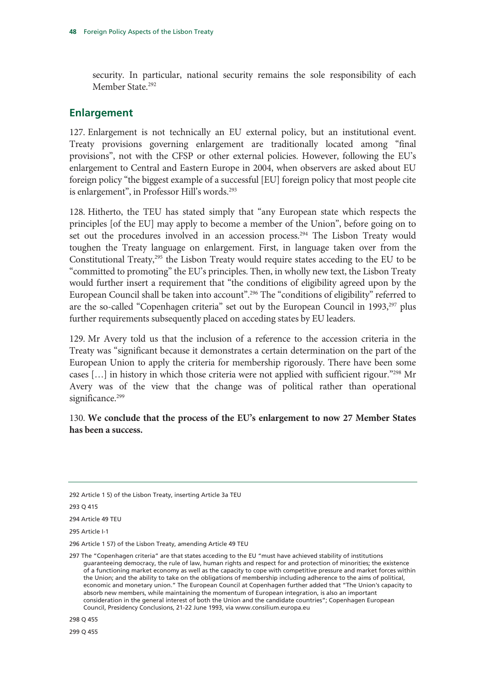security. In particular, national security remains the sole responsibility of each Member State.<sup>292</sup>

## **Enlargement**

127. Enlargement is not technically an EU external policy, but an institutional event. Treaty provisions governing enlargement are traditionally located among "final provisions", not with the CFSP or other external policies. However, following the EU's enlargement to Central and Eastern Europe in 2004, when observers are asked about EU foreign policy "the biggest example of a successful [EU] foreign policy that most people cite is enlargement", in Professor Hill's words.<sup>293</sup>

128. Hitherto, the TEU has stated simply that "any European state which respects the principles [of the EU] may apply to become a member of the Union", before going on to set out the procedures involved in an accession process.<sup>294</sup> The Lisbon Treaty would toughen the Treaty language on enlargement. First, in language taken over from the Constitutional Treaty, $295$  the Lisbon Treaty would require states acceding to the EU to be "committed to promoting" the EU's principles. Then, in wholly new text, the Lisbon Treaty would further insert a requirement that "the conditions of eligibility agreed upon by the European Council shall be taken into account".<sup>296</sup> The "conditions of eligibility" referred to are the so-called "Copenhagen criteria" set out by the European Council in 1993,<sup>297</sup> plus further requirements subsequently placed on acceding states by EU leaders.

129. Mr Avery told us that the inclusion of a reference to the accession criteria in the Treaty was "significant because it demonstrates a certain determination on the part of the European Union to apply the criteria for membership rigorously. There have been some cases […] in history in which those criteria were not applied with sufficient rigour."298 Mr Avery was of the view that the change was of political rather than operational significance.<sup>299</sup>

130. **We conclude that the process of the EU's enlargement to now 27 Member States has been a success.** 

<sup>292</sup> Article 1 5) of the Lisbon Treaty, inserting Article 3a TEU

<sup>294</sup> Article 49 TEU

<sup>295</sup> Article I-1

<sup>296</sup> Article 1 57) of the Lisbon Treaty, amending Article 49 TEU

<sup>297</sup> The "Copenhagen criteria" are that states acceding to the EU "must have achieved stability of institutions guaranteeing democracy, the rule of law, human rights and respect for and protection of minorities; the existence of a functioning market economy as well as the capacity to cope with competitive pressure and market forces within the Union; and the ability to take on the obligations of membership including adherence to the aims of political, economic and monetary union." The European Council at Copenhagen further added that "The Union's capacity to absorb new members, while maintaining the momentum of European integration, is also an important consideration in the general interest of both the Union and the candidate countries"; Copenhagen European Council, Presidency Conclusions, 21-22 June 1993, via www.consilium.europa.eu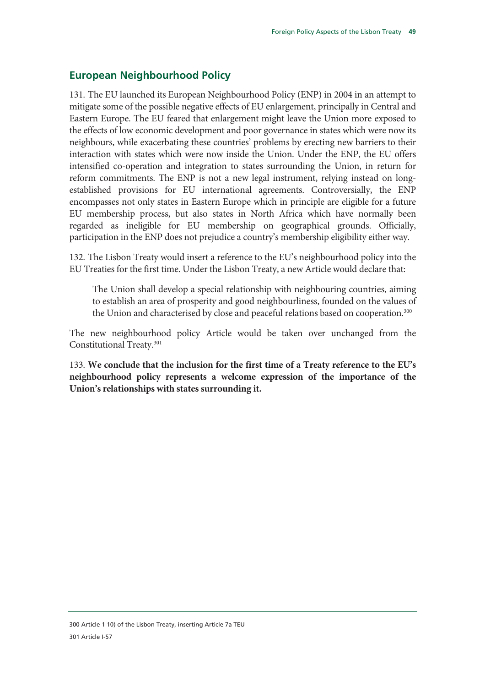## **European Neighbourhood Policy**

131. The EU launched its European Neighbourhood Policy (ENP) in 2004 in an attempt to mitigate some of the possible negative effects of EU enlargement, principally in Central and Eastern Europe. The EU feared that enlargement might leave the Union more exposed to the effects of low economic development and poor governance in states which were now its neighbours, while exacerbating these countries' problems by erecting new barriers to their interaction with states which were now inside the Union. Under the ENP, the EU offers intensified co-operation and integration to states surrounding the Union, in return for reform commitments. The ENP is not a new legal instrument, relying instead on longestablished provisions for EU international agreements. Controversially, the ENP encompasses not only states in Eastern Europe which in principle are eligible for a future EU membership process, but also states in North Africa which have normally been regarded as ineligible for EU membership on geographical grounds. Officially, participation in the ENP does not prejudice a country's membership eligibility either way.

132. The Lisbon Treaty would insert a reference to the EU's neighbourhood policy into the EU Treaties for the first time. Under the Lisbon Treaty, a new Article would declare that:

The Union shall develop a special relationship with neighbouring countries, aiming to establish an area of prosperity and good neighbourliness, founded on the values of the Union and characterised by close and peaceful relations based on cooperation.<sup>300</sup>

The new neighbourhood policy Article would be taken over unchanged from the Constitutional Treaty.301

133. **We conclude that the inclusion for the first time of a Treaty reference to the EU's neighbourhood policy represents a welcome expression of the importance of the Union's relationships with states surrounding it.**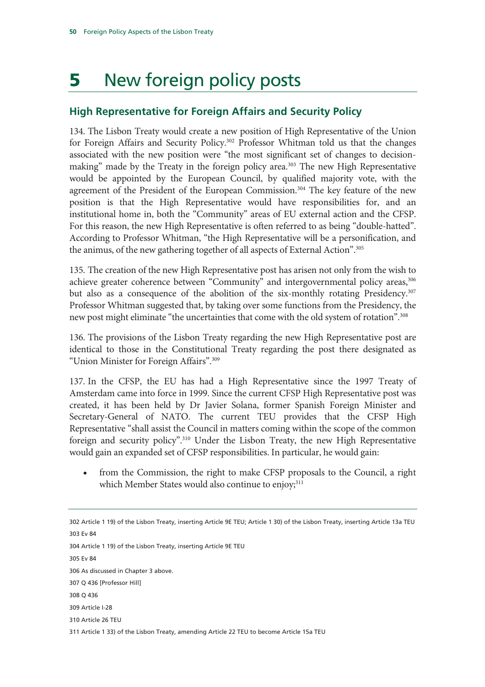# 5 New foreign policy posts

## **High Representative for Foreign Affairs and Security Policy**

134. The Lisbon Treaty would create a new position of High Representative of the Union for Foreign Affairs and Security Policy.<sup>302</sup> Professor Whitman told us that the changes associated with the new position were "the most significant set of changes to decisionmaking" made by the Treaty in the foreign policy area.<sup>303</sup> The new High Representative would be appointed by the European Council, by qualified majority vote, with the agreement of the President of the European Commission.<sup>304</sup> The key feature of the new position is that the High Representative would have responsibilities for, and an institutional home in, both the "Community" areas of EU external action and the CFSP. For this reason, the new High Representative is often referred to as being "double-hatted". According to Professor Whitman, "the High Representative will be a personification, and the animus, of the new gathering together of all aspects of External Action".<sup>305</sup>

135. The creation of the new High Representative post has arisen not only from the wish to achieve greater coherence between "Community" and intergovernmental policy areas,<sup>306</sup> but also as a consequence of the abolition of the six-monthly rotating Presidency.307 Professor Whitman suggested that, by taking over some functions from the Presidency, the new post might eliminate "the uncertainties that come with the old system of rotation".308

136. The provisions of the Lisbon Treaty regarding the new High Representative post are identical to those in the Constitutional Treaty regarding the post there designated as "Union Minister for Foreign Affairs".309

137. In the CFSP, the EU has had a High Representative since the 1997 Treaty of Amsterdam came into force in 1999. Since the current CFSP High Representative post was created, it has been held by Dr Javier Solana, former Spanish Foreign Minister and Secretary-General of NATO. The current TEU provides that the CFSP High Representative "shall assist the Council in matters coming within the scope of the common foreign and security policy".310 Under the Lisbon Treaty, the new High Representative would gain an expanded set of CFSP responsibilities. In particular, he would gain:

• from the Commission, the right to make CFSP proposals to the Council, a right which Member States would also continue to enjoy;<sup>311</sup>

302 Article 1 19) of the Lisbon Treaty, inserting Article 9E TEU; Article 1 30) of the Lisbon Treaty, inserting Article 13a TEU 303 Ev 84 304 Article 1 19) of the Lisbon Treaty, inserting Article 9E TEU 305 Ev 84 306 As discussed in Chapter 3 above. 307 Q 436 [Professor Hill] 308 Q 436 309 Article I-28 310 Article 26 TEU 311 Article 1 33) of the Lisbon Treaty, amending Article 22 TEU to become Article 15a TEU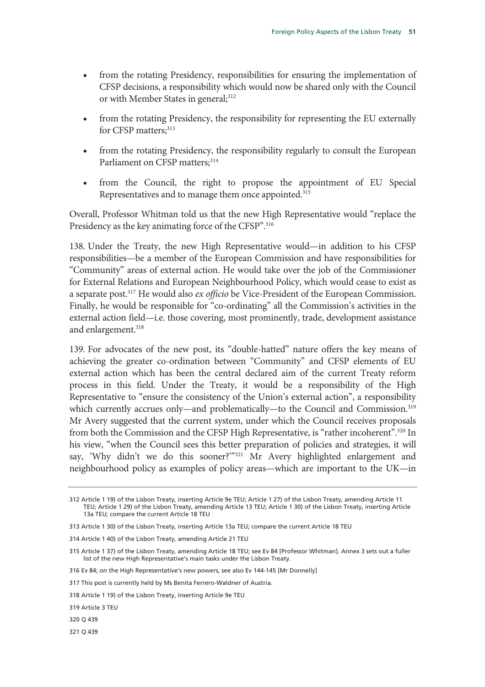- from the rotating Presidency, responsibilities for ensuring the implementation of CFSP decisions, a responsibility which would now be shared only with the Council or with Member States in general;<sup>312</sup>
- from the rotating Presidency, the responsibility for representing the EU externally for CFSP matters:<sup>313</sup>
- from the rotating Presidency, the responsibility regularly to consult the European Parliament on CFSP matters;<sup>314</sup>
- from the Council, the right to propose the appointment of EU Special Representatives and to manage them once appointed.315

Overall, Professor Whitman told us that the new High Representative would "replace the Presidency as the key animating force of the CFSP".<sup>316</sup>

138. Under the Treaty, the new High Representative would—in addition to his CFSP responsibilities—be a member of the European Commission and have responsibilities for "Community" areas of external action. He would take over the job of the Commissioner for External Relations and European Neighbourhood Policy, which would cease to exist as a separate post.317 He would also *ex officio* be Vice-President of the European Commission. Finally, he would be responsible for "co-ordinating" all the Commission's activities in the external action field—i.e. those covering, most prominently, trade, development assistance and enlargement.<sup>318</sup>

139. For advocates of the new post, its "double-hatted" nature offers the key means of achieving the greater co-ordination between "Community" and CFSP elements of EU external action which has been the central declared aim of the current Treaty reform process in this field. Under the Treaty, it would be a responsibility of the High Representative to "ensure the consistency of the Union's external action", a responsibility which currently accrues only—and problematically—to the Council and Commission.<sup>319</sup> Mr Avery suggested that the current system, under which the Council receives proposals from both the Commission and the CFSP High Representative, is "rather incoherent".320 In his view, "when the Council sees this better preparation of policies and strategies, it will say, 'Why didn't we do this sooner?'"321 Mr Avery highlighted enlargement and neighbourhood policy as examples of policy areas—which are important to the UK—in

320 Q 439

<sup>312</sup> Article 1 19) of the Lisbon Treaty, inserting Article 9e TEU; Article 1 27) of the Lisbon Treaty, amending Article 11 TEU; Article 1 29) of the Lisbon Treaty, amending Article 13 TEU; Article 1 30) of the Lisbon Treaty, inserting Article 13a TEU; compare the current Article 18 TEU

<sup>313</sup> Article 1 30) of the Lisbon Treaty, inserting Article 13a TEU; compare the current Article 18 TEU

<sup>314</sup> Article 1 40) of the Lisbon Treaty, amending Article 21 TEU

<sup>315</sup> Article 1 37) of the Lisbon Treaty, amending Article 18 TEU; see Ev 84 [Professor Whitman]. Annex 3 sets out a fuller list of the new High Representative's main tasks under the Lisbon Treaty.

<sup>316</sup> Ev 84; on the High Representative's new powers, see also Ev 144-145 [Mr Donnelly]

<sup>317</sup> This post is currently held by Ms Benita Ferrero-Waldner of Austria.

<sup>318</sup> Article 1 19) of the Lisbon Treaty, inserting Article 9e TEU

<sup>319</sup> Article 3 TEU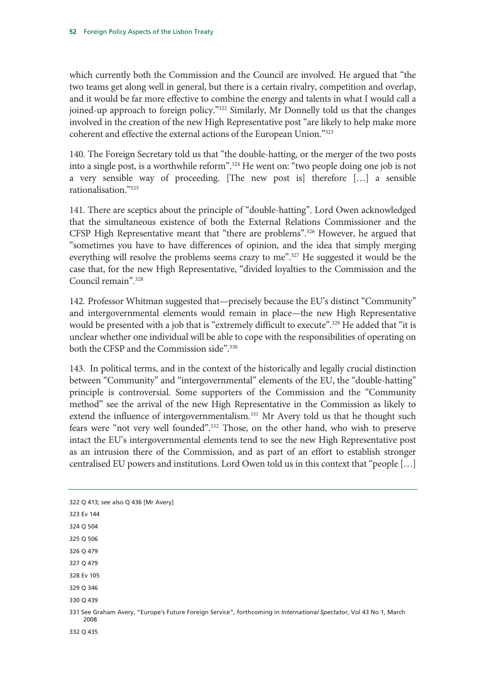which currently both the Commission and the Council are involved. He argued that "the two teams get along well in general, but there is a certain rivalry, competition and overlap, and it would be far more effective to combine the energy and talents in what I would call a joined-up approach to foreign policy."<sup>322</sup> Similarly, Mr Donnelly told us that the changes involved in the creation of the new High Representative post "are likely to help make more coherent and effective the external actions of the European Union."323

140. The Foreign Secretary told us that "the double-hatting, or the merger of the two posts into a single post, is a worthwhile reform".<sup>324</sup> He went on: "two people doing one job is not a very sensible way of proceeding. [The new post is] therefore […] a sensible rationalisation."325

141. There are sceptics about the principle of "double-hatting". Lord Owen acknowledged that the simultaneous existence of both the External Relations Commissioner and the CFSP High Representative meant that "there are problems".326 However, he argued that "sometimes you have to have differences of opinion, and the idea that simply merging everything will resolve the problems seems crazy to me".<sup>327</sup> He suggested it would be the case that, for the new High Representative, "divided loyalties to the Commission and the Council remain".328

142. Professor Whitman suggested that—precisely because the EU's distinct "Community" and intergovernmental elements would remain in place—the new High Representative would be presented with a job that is "extremely difficult to execute".<sup>329</sup> He added that "it is unclear whether one individual will be able to cope with the responsibilities of operating on both the CFSP and the Commission side".<sup>330</sup>

143. In political terms, and in the context of the historically and legally crucial distinction between "Community" and "intergovernmental" elements of the EU, the "double-hatting" principle is controversial. Some supporters of the Commission and the "Community method" see the arrival of the new High Representative in the Commission as likely to extend the influence of intergovernmentalism.<sup>331</sup> Mr Avery told us that he thought such fears were "not very well founded".<sup>332</sup> Those, on the other hand, who wish to preserve intact the EU's intergovernmental elements tend to see the new High Representative post as an intrusion there of the Commission, and as part of an effort to establish stronger centralised EU powers and institutions. Lord Owen told us in this context that "people […]

| 322 Q 413; see also Q 436 [Mr Avery]                                                                                        |
|-----------------------------------------------------------------------------------------------------------------------------|
| 323 Ev 144                                                                                                                  |
| 324 Q 504                                                                                                                   |
| 325 Q 506                                                                                                                   |
| 326 Q 479                                                                                                                   |
| 327 Q 479                                                                                                                   |
| 328 Ev 105                                                                                                                  |
| 329 Q 346                                                                                                                   |
| 330 Q 439                                                                                                                   |
| 331 See Graham Avery, "Europe's Future Foreign Service", forthcoming in International Spectator, Vol 43 No 1, March<br>2008 |
| 332 Q 435                                                                                                                   |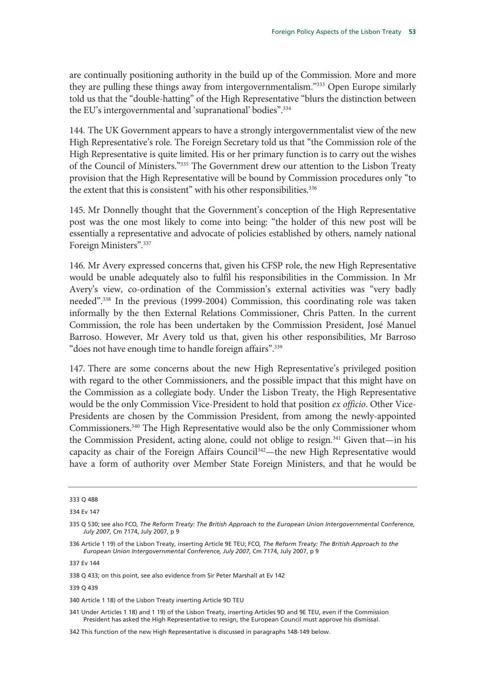are continually positioning authority in the build up of the Commission. More and more they are pulling these things away from intergovernmentalism."333 Open Europe similarly told us that the "double-hatting" of the High Representative "blurs the distinction between the EU's intergovernmental and 'supranational' bodies".334

144. The UK Government appears to have a strongly intergovernmentalist view of the new High Representative's role. The Foreign Secretary told us that "the Commission role of the High Representative is quite limited. His or her primary function is to carry out the wishes of the Council of Ministers."335 The Government drew our attention to the Lisbon Treaty provision that the High Representative will be bound by Commission procedures only "to the extent that this is consistent" with his other responsibilities.<sup>336</sup>

145. Mr Donnelly thought that the Government's conception of the High Representative post was the one most likely to come into being: "the holder of this new post will be essentially a representative and advocate of policies established by others, namely national Foreign Ministers".337

146. Mr Avery expressed concerns that, given his CFSP role, the new High Representative would be unable adequately also to fulfil his responsibilities in the Commission. In Mr Avery's view, co-ordination of the Commission's external activities was "very badly needed".338 In the previous (1999-2004) Commission, this coordinating role was taken informally by the then External Relations Commissioner, Chris Patten. In the current Commission, the role has been undertaken by the Commission President, José Manuel Barroso. However, Mr Avery told us that, given his other responsibilities, Mr Barroso "does not have enough time to handle foreign affairs".<sup>339</sup>

147. There are some concerns about the new High Representative's privileged position with regard to the other Commissioners, and the possible impact that this might have on the Commission as a collegiate body. Under the Lisbon Treaty, the High Representative would be the only Commission Vice-President to hold that position *ex officio*. Other Vice-Presidents are chosen by the Commission President, from among the newly-appointed Commissioners.340 The High Representative would also be the only Commissioner whom the Commission President, acting alone, could not oblige to resign.<sup>341</sup> Given that—in his capacity as chair of the Foreign Affairs Council<sup>342</sup>—the new High Representative would have a form of authority over Member State Foreign Ministers, and that he would be

339 Q 439

340 Article 1 18) of the Lisbon Treaty inserting Article 9D TEU

341 Under Articles 1 18) and 1 19) of the Lisbon Treaty, inserting Articles 9D and 9E TEU, even if the Commission President has asked the High Representative to resign, the European Council must approve his dismissal.

342 This function of the new High Representative is discussed in paragraphs 148-149 below.

<sup>333</sup> Q 488

<sup>334</sup> Ev 147

<sup>335</sup> Q 530; see also FCO*, The Reform Treaty: The British Approach to the European Union Intergovernmental Conference, July 2007*, Cm 7174, July 2007, p 9

<sup>336</sup> Article 1 19) of the Lisbon Treaty, inserting Article 9E TEU; FCO*, The Reform Treaty: The British Approach to the European Union Intergovernmental Conference, July 2007*, Cm 7174, July 2007, p 9

<sup>337</sup> Ev 144

<sup>338</sup> Q 433; on this point, see also evidence from Sir Peter Marshall at Ev 142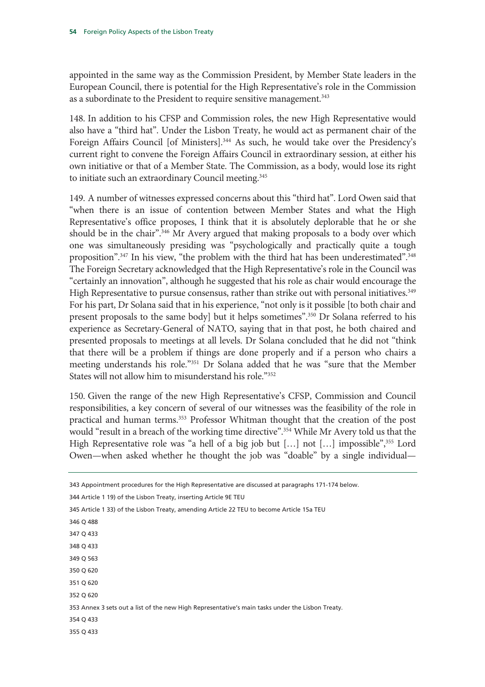appointed in the same way as the Commission President, by Member State leaders in the European Council, there is potential for the High Representative's role in the Commission as a subordinate to the President to require sensitive management.<sup>343</sup>

148. In addition to his CFSP and Commission roles, the new High Representative would also have a "third hat". Under the Lisbon Treaty, he would act as permanent chair of the Foreign Affairs Council [of Ministers].<sup>344</sup> As such, he would take over the Presidency's current right to convene the Foreign Affairs Council in extraordinary session, at either his own initiative or that of a Member State. The Commission, as a body, would lose its right to initiate such an extraordinary Council meeting.<sup>345</sup>

149. A number of witnesses expressed concerns about this "third hat". Lord Owen said that "when there is an issue of contention between Member States and what the High Representative's office proposes, I think that it is absolutely deplorable that he or she should be in the chair".<sup>346</sup> Mr Avery argued that making proposals to a body over which one was simultaneously presiding was "psychologically and practically quite a tough proposition".<sup>347</sup> In his view, "the problem with the third hat has been underestimated".<sup>348</sup> The Foreign Secretary acknowledged that the High Representative's role in the Council was "certainly an innovation", although he suggested that his role as chair would encourage the High Representative to pursue consensus, rather than strike out with personal initiatives.<sup>349</sup> For his part, Dr Solana said that in his experience, "not only is it possible [to both chair and present proposals to the same body] but it helps sometimes".350 Dr Solana referred to his experience as Secretary-General of NATO, saying that in that post, he both chaired and presented proposals to meetings at all levels. Dr Solana concluded that he did not "think that there will be a problem if things are done properly and if a person who chairs a meeting understands his role."351 Dr Solana added that he was "sure that the Member States will not allow him to misunderstand his role."352

150. Given the range of the new High Representative's CFSP, Commission and Council responsibilities, a key concern of several of our witnesses was the feasibility of the role in practical and human terms.353 Professor Whitman thought that the creation of the post would "result in a breach of the working time directive".<sup>354</sup> While Mr Avery told us that the High Representative role was "a hell of a big job but  $[\dots]$  not  $[\dots]$  impossible", 355 Lord Owen—when asked whether he thought the job was "doable" by a single individual—

| 343 Appointment procedures for the High Representative are discussed at paragraphs 171-174 below. |
|---------------------------------------------------------------------------------------------------|
| 344 Article 1 19) of the Lisbon Treaty, inserting Article 9E TEU                                  |
| 345 Article 133) of the Lisbon Treaty, amending Article 22 TEU to become Article 15a TEU          |
| 346 Q 488                                                                                         |
| 347 Q 433                                                                                         |
| 348 Q 433                                                                                         |
| 349 Q 563                                                                                         |
| 350 Q 620                                                                                         |
| 351 Q 620                                                                                         |
| 352 Q 620                                                                                         |
| 353 Annex 3 sets out a list of the new High Representative's main tasks under the Lisbon Treaty.  |
| 354 Q 433                                                                                         |
| 355 Q 433                                                                                         |
|                                                                                                   |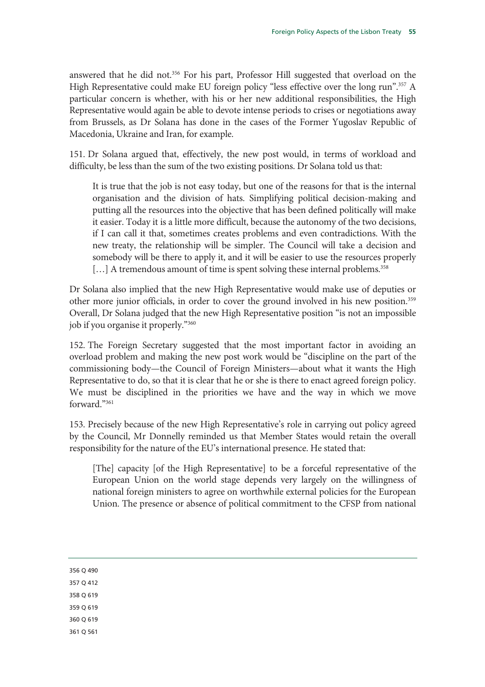answered that he did not.<sup>356</sup> For his part, Professor Hill suggested that overload on the High Representative could make EU foreign policy "less effective over the long run".<sup>357</sup> A particular concern is whether, with his or her new additional responsibilities, the High Representative would again be able to devote intense periods to crises or negotiations away from Brussels, as Dr Solana has done in the cases of the Former Yugoslav Republic of Macedonia, Ukraine and Iran, for example.

151. Dr Solana argued that, effectively, the new post would, in terms of workload and difficulty, be less than the sum of the two existing positions. Dr Solana told us that:

It is true that the job is not easy today, but one of the reasons for that is the internal organisation and the division of hats. Simplifying political decision-making and putting all the resources into the objective that has been defined politically will make it easier. Today it is a little more difficult, because the autonomy of the two decisions, if I can call it that, sometimes creates problems and even contradictions. With the new treaty, the relationship will be simpler. The Council will take a decision and somebody will be there to apply it, and it will be easier to use the resources properly [...] A tremendous amount of time is spent solving these internal problems.<sup>358</sup>

Dr Solana also implied that the new High Representative would make use of deputies or other more junior officials, in order to cover the ground involved in his new position.<sup>359</sup> Overall, Dr Solana judged that the new High Representative position "is not an impossible job if you organise it properly."360

152. The Foreign Secretary suggested that the most important factor in avoiding an overload problem and making the new post work would be "discipline on the part of the commissioning body—the Council of Foreign Ministers—about what it wants the High Representative to do, so that it is clear that he or she is there to enact agreed foreign policy. We must be disciplined in the priorities we have and the way in which we move forward."361

153. Precisely because of the new High Representative's role in carrying out policy agreed by the Council, Mr Donnelly reminded us that Member States would retain the overall responsibility for the nature of the EU's international presence. He stated that:

[The] capacity [of the High Representative] to be a forceful representative of the European Union on the world stage depends very largely on the willingness of national foreign ministers to agree on worthwhile external policies for the European Union. The presence or absence of political commitment to the CFSP from national

359 Q 619

360 Q 619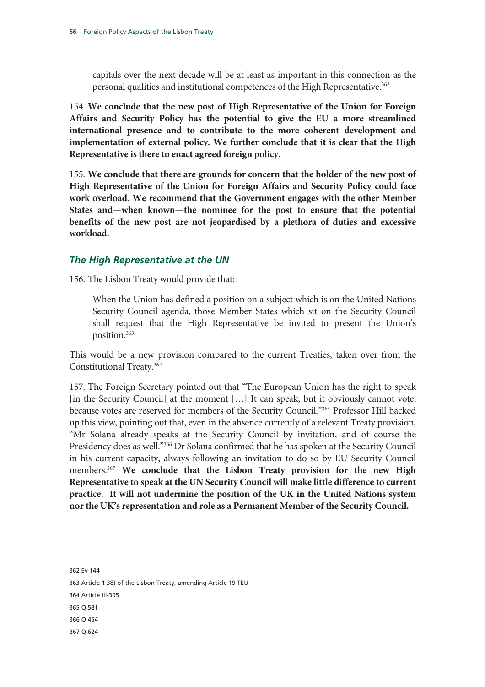capitals over the next decade will be at least as important in this connection as the personal qualities and institutional competences of the High Representative.<sup>362</sup>

154. **We conclude that the new post of High Representative of the Union for Foreign Affairs and Security Policy has the potential to give the EU a more streamlined international presence and to contribute to the more coherent development and implementation of external policy. We further conclude that it is clear that the High Representative is there to enact agreed foreign policy.**

155. **We conclude that there are grounds for concern that the holder of the new post of High Representative of the Union for Foreign Affairs and Security Policy could face work overload. We recommend that the Government engages with the other Member States and—when known—the nominee for the post to ensure that the potential benefits of the new post are not jeopardised by a plethora of duties and excessive workload.**

#### *The High Representative at the UN*

156. The Lisbon Treaty would provide that:

When the Union has defined a position on a subject which is on the United Nations Security Council agenda, those Member States which sit on the Security Council shall request that the High Representative be invited to present the Union's position.363

This would be a new provision compared to the current Treaties, taken over from the Constitutional Treaty.364

157. The Foreign Secretary pointed out that "The European Union has the right to speak [in the Security Council] at the moment [...] It can speak, but it obviously cannot vote, because votes are reserved for members of the Security Council."365 Professor Hill backed up this view, pointing out that, even in the absence currently of a relevant Treaty provision, "Mr Solana already speaks at the Security Council by invitation, and of course the Presidency does as well."366 Dr Solana confirmed that he has spoken at the Security Council in his current capacity, always following an invitation to do so by EU Security Council members.367 **We conclude that the Lisbon Treaty provision for the new High Representative to speak at the UN Security Council will make little difference to current practice. It will not undermine the position of the UK in the United Nations system nor the UK's representation and role as a Permanent Member of the Security Council.**

362 Ev 144

363 Article 1 38) of the Lisbon Treaty, amending Article 19 TEU

- 364 Article III-305
- 365 Q 581

366 Q 454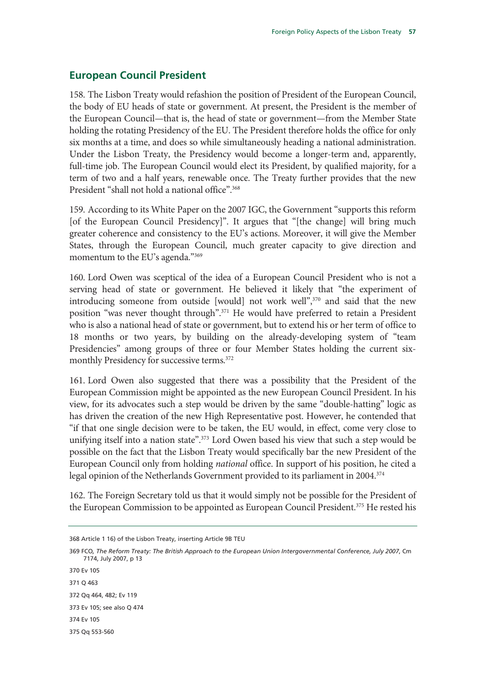## **European Council President**

158. The Lisbon Treaty would refashion the position of President of the European Council, the body of EU heads of state or government. At present, the President is the member of the European Council—that is, the head of state or government—from the Member State holding the rotating Presidency of the EU. The President therefore holds the office for only six months at a time, and does so while simultaneously heading a national administration. Under the Lisbon Treaty, the Presidency would become a longer-term and, apparently, full-time job. The European Council would elect its President, by qualified majority, for a term of two and a half years, renewable once. The Treaty further provides that the new President "shall not hold a national office".<sup>368</sup>

159. According to its White Paper on the 2007 IGC, the Government "supports this reform [of the European Council Presidency]". It argues that "[the change] will bring much greater coherence and consistency to the EU's actions. Moreover, it will give the Member States, through the European Council, much greater capacity to give direction and momentum to the EU's agenda."369

160. Lord Owen was sceptical of the idea of a European Council President who is not a serving head of state or government. He believed it likely that "the experiment of introducing someone from outside [would] not work well",<sup>370</sup> and said that the new position "was never thought through".371 He would have preferred to retain a President who is also a national head of state or government, but to extend his or her term of office to 18 months or two years, by building on the already-developing system of "team Presidencies" among groups of three or four Member States holding the current sixmonthly Presidency for successive terms.<sup>372</sup>

161. Lord Owen also suggested that there was a possibility that the President of the European Commission might be appointed as the new European Council President. In his view, for its advocates such a step would be driven by the same "double-hatting" logic as has driven the creation of the new High Representative post. However, he contended that "if that one single decision were to be taken, the EU would, in effect, come very close to unifying itself into a nation state".<sup>373</sup> Lord Owen based his view that such a step would be possible on the fact that the Lisbon Treaty would specifically bar the new President of the European Council only from holding *national* office. In support of his position, he cited a legal opinion of the Netherlands Government provided to its parliament in 2004.<sup>374</sup>

162. The Foreign Secretary told us that it would simply not be possible for the President of the European Commission to be appointed as European Council President.<sup>375</sup> He rested his

370 Ev 105 371 Q 463 372 Qq 464, 482; Ev 119 373 Ev 105; see also Q 474 374 Ev 105

375 Qq 553-560

<sup>368</sup> Article 1 16) of the Lisbon Treaty, inserting Article 9B TEU

<sup>369</sup> FCO*, The Reform Treaty: The British Approach to the European Union Intergovernmental Conference, July 2007*, Cm 7174, July 2007, p 13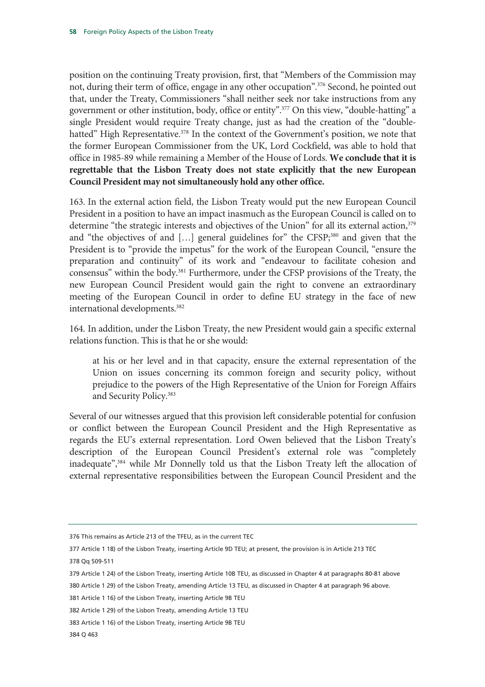position on the continuing Treaty provision, first, that "Members of the Commission may not, during their term of office, engage in any other occupation".376 Second, he pointed out that, under the Treaty, Commissioners "shall neither seek nor take instructions from any government or other institution, body, office or entity".377 On this view, "double-hatting" a single President would require Treaty change, just as had the creation of the "doublehatted" High Representative.<sup>378</sup> In the context of the Government's position, we note that the former European Commissioner from the UK, Lord Cockfield, was able to hold that office in 1985-89 while remaining a Member of the House of Lords. **We conclude that it is regrettable that the Lisbon Treaty does not state explicitly that the new European Council President may not simultaneously hold any other office.** 

163. In the external action field, the Lisbon Treaty would put the new European Council President in a position to have an impact inasmuch as the European Council is called on to determine "the strategic interests and objectives of the Union" for all its external action,<sup>379</sup> and "the objectives of and [...] general guidelines for" the CFSP,<sup>380</sup> and given that the President is to "provide the impetus" for the work of the European Council, "ensure the preparation and continuity" of its work and "endeavour to facilitate cohesion and consensus" within the body.381 Furthermore, under the CFSP provisions of the Treaty, the new European Council President would gain the right to convene an extraordinary meeting of the European Council in order to define EU strategy in the face of new international developments.<sup>382</sup>

164. In addition, under the Lisbon Treaty, the new President would gain a specific external relations function. This is that he or she would:

at his or her level and in that capacity, ensure the external representation of the Union on issues concerning its common foreign and security policy, without prejudice to the powers of the High Representative of the Union for Foreign Affairs and Security Policy.383

Several of our witnesses argued that this provision left considerable potential for confusion or conflict between the European Council President and the High Representative as regards the EU's external representation. Lord Owen believed that the Lisbon Treaty's description of the European Council President's external role was "completely inadequate",384 while Mr Donnelly told us that the Lisbon Treaty left the allocation of external representative responsibilities between the European Council President and the

<sup>376</sup> This remains as Article 213 of the TFEU, as in the current TEC

<sup>377</sup> Article 1 18) of the Lisbon Treaty, inserting Article 9D TEU; at present, the provision is in Article 213 TEC 378 Qq 509-511

<sup>379</sup> Article 1 24) of the Lisbon Treaty, inserting Article 10B TEU, as discussed in Chapter 4 at paragraphs 80-81 above

<sup>380</sup> Article 1 29) of the Lisbon Treaty, amending Article 13 TEU, as discussed in Chapter 4 at paragraph 96 above.

<sup>381</sup> Article 1 16) of the Lisbon Treaty, inserting Article 9B TEU

<sup>382</sup> Article 1 29) of the Lisbon Treaty, amending Article 13 TEU

<sup>383</sup> Article 1 16) of the Lisbon Treaty, inserting Article 9B TEU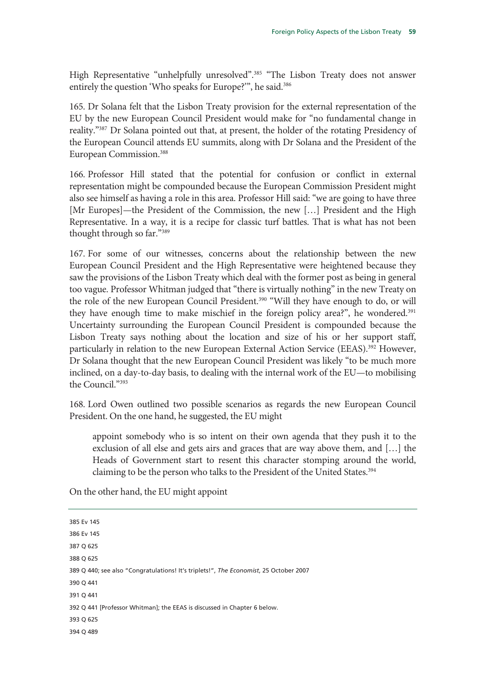High Representative "unhelpfully unresolved".<sup>385</sup> "The Lisbon Treaty does not answer entirely the question 'Who speaks for Europe?'", he said.<sup>386</sup>

165. Dr Solana felt that the Lisbon Treaty provision for the external representation of the EU by the new European Council President would make for "no fundamental change in reality."387 Dr Solana pointed out that, at present, the holder of the rotating Presidency of the European Council attends EU summits, along with Dr Solana and the President of the European Commission.388

166. Professor Hill stated that the potential for confusion or conflict in external representation might be compounded because the European Commission President might also see himself as having a role in this area. Professor Hill said: "we are going to have three [Mr Europes]—the President of the Commission, the new […] President and the High Representative. In a way, it is a recipe for classic turf battles. That is what has not been thought through so far."389

167. For some of our witnesses, concerns about the relationship between the new European Council President and the High Representative were heightened because they saw the provisions of the Lisbon Treaty which deal with the former post as being in general too vague. Professor Whitman judged that "there is virtually nothing" in the new Treaty on the role of the new European Council President.<sup>390</sup> "Will they have enough to do, or will they have enough time to make mischief in the foreign policy area?", he wondered.<sup>391</sup> Uncertainty surrounding the European Council President is compounded because the Lisbon Treaty says nothing about the location and size of his or her support staff, particularly in relation to the new European External Action Service (EEAS).<sup>392</sup> However, Dr Solana thought that the new European Council President was likely "to be much more inclined, on a day-to-day basis, to dealing with the internal work of the EU—to mobilising the Council."393

168. Lord Owen outlined two possible scenarios as regards the new European Council President. On the one hand, he suggested, the EU might

appoint somebody who is so intent on their own agenda that they push it to the exclusion of all else and gets airs and graces that are way above them, and […] the Heads of Government start to resent this character stomping around the world, claiming to be the person who talks to the President of the United States.<sup>394</sup>

On the other hand, the EU might appoint

| 385 Ev 145                                                                            |
|---------------------------------------------------------------------------------------|
| 386 Ev 145                                                                            |
| 387 Q 625                                                                             |
| 388 Q 625                                                                             |
| 389 Q 440; see also "Congratulations! It's triplets!", The Economist, 25 October 2007 |
| 390 Q 441                                                                             |
| 391 Q 441                                                                             |
| 392 Q 441 [Professor Whitman]; the EEAS is discussed in Chapter 6 below.              |
| 393 Q 625                                                                             |
| 394 Q 489                                                                             |
|                                                                                       |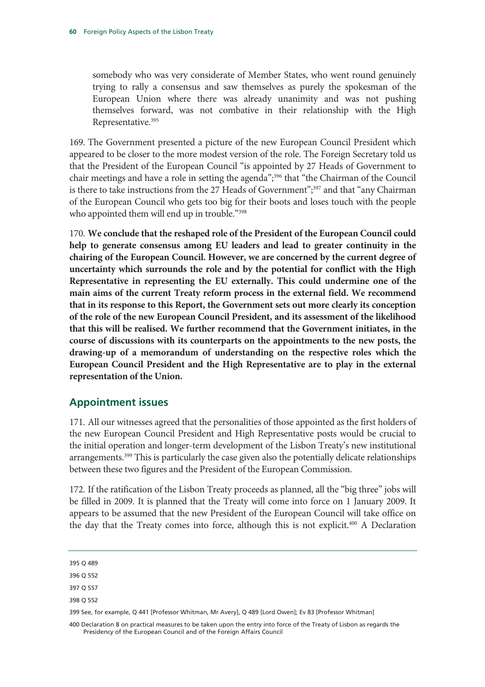somebody who was very considerate of Member States, who went round genuinely trying to rally a consensus and saw themselves as purely the spokesman of the European Union where there was already unanimity and was not pushing themselves forward, was not combative in their relationship with the High Representative.<sup>395</sup>

169. The Government presented a picture of the new European Council President which appeared to be closer to the more modest version of the role. The Foreign Secretary told us that the President of the European Council "is appointed by 27 Heads of Government to chair meetings and have a role in setting the agenda";<sup>396</sup> that "the Chairman of the Council is there to take instructions from the 27 Heads of Government";<sup>397</sup> and that "any Chairman" of the European Council who gets too big for their boots and loses touch with the people who appointed them will end up in trouble."<sup>398</sup>

170. **We conclude that the reshaped role of the President of the European Council could help to generate consensus among EU leaders and lead to greater continuity in the chairing of the European Council. However, we are concerned by the current degree of uncertainty which surrounds the role and by the potential for conflict with the High Representative in representing the EU externally. This could undermine one of the main aims of the current Treaty reform process in the external field. We recommend that in its response to this Report, the Government sets out more clearly its conception of the role of the new European Council President, and its assessment of the likelihood that this will be realised. We further recommend that the Government initiates, in the course of discussions with its counterparts on the appointments to the new posts, the drawing-up of a memorandum of understanding on the respective roles which the European Council President and the High Representative are to play in the external representation of the Union.** 

## **Appointment issues**

171. All our witnesses agreed that the personalities of those appointed as the first holders of the new European Council President and High Representative posts would be crucial to the initial operation and longer-term development of the Lisbon Treaty's new institutional arrangements.<sup>399</sup> This is particularly the case given also the potentially delicate relationships between these two figures and the President of the European Commission.

172. If the ratification of the Lisbon Treaty proceeds as planned, all the "big three" jobs will be filled in 2009. It is planned that the Treaty will come into force on 1 January 2009. It appears to be assumed that the new President of the European Council will take office on the day that the Treaty comes into force, although this is not explicit.400 A Declaration

- 397 Q 557
- 398 Q 552

<sup>395</sup> Q 489

<sup>396</sup> Q 552

<sup>399</sup> See, for example, Q 441 [Professor Whitman, Mr Avery], Q 489 [Lord Owen]; Ev 83 [Professor Whitman]

<sup>400</sup> Declaration 8 on practical measures to be taken upon the entry into force of the Treaty of Lisbon as regards the Presidency of the European Council and of the Foreign Affairs Council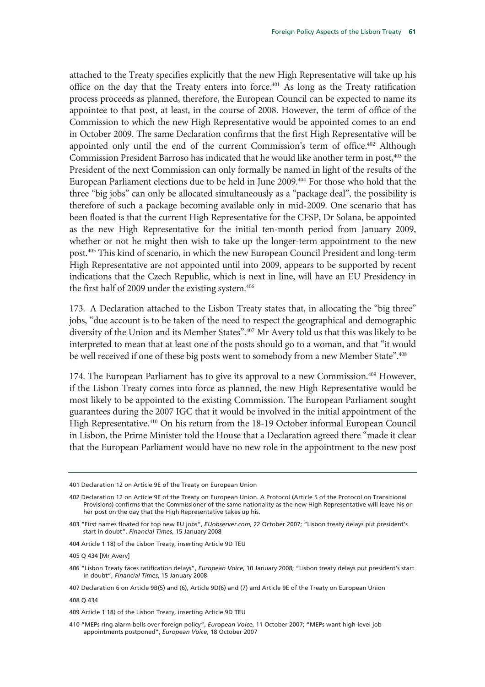attached to the Treaty specifies explicitly that the new High Representative will take up his office on the day that the Treaty enters into force.401 As long as the Treaty ratification process proceeds as planned, therefore, the European Council can be expected to name its appointee to that post, at least, in the course of 2008. However, the term of office of the Commission to which the new High Representative would be appointed comes to an end in October 2009. The same Declaration confirms that the first High Representative will be appointed only until the end of the current Commission's term of office.<sup>402</sup> Although Commission President Barroso has indicated that he would like another term in post,<sup>403</sup> the President of the next Commission can only formally be named in light of the results of the European Parliament elections due to be held in June 2009.404 For those who hold that the three "big jobs" can only be allocated simultaneously as a "package deal", the possibility is therefore of such a package becoming available only in mid-2009. One scenario that has been floated is that the current High Representative for the CFSP, Dr Solana, be appointed as the new High Representative for the initial ten-month period from January 2009, whether or not he might then wish to take up the longer-term appointment to the new post.405 This kind of scenario, in which the new European Council President and long-term High Representative are not appointed until into 2009, appears to be supported by recent indications that the Czech Republic, which is next in line, will have an EU Presidency in the first half of 2009 under the existing system.<sup>406</sup>

173. A Declaration attached to the Lisbon Treaty states that, in allocating the "big three" jobs, "due account is to be taken of the need to respect the geographical and demographic diversity of the Union and its Member States".<sup>407</sup> Mr Avery told us that this was likely to be interpreted to mean that at least one of the posts should go to a woman, and that "it would be well received if one of these big posts went to somebody from a new Member State".<sup>408</sup>

174. The European Parliament has to give its approval to a new Commission.<sup>409</sup> However, if the Lisbon Treaty comes into force as planned, the new High Representative would be most likely to be appointed to the existing Commission. The European Parliament sought guarantees during the 2007 IGC that it would be involved in the initial appointment of the High Representative.<sup>410</sup> On his return from the 18-19 October informal European Council in Lisbon, the Prime Minister told the House that a Declaration agreed there "made it clear that the European Parliament would have no new role in the appointment to the new post

404 Article 1 18) of the Lisbon Treaty, inserting Article 9D TEU

<sup>401</sup> Declaration 12 on Article 9E of the Treaty on European Union

<sup>402</sup> Declaration 12 on Article 9E of the Treaty on European Union. A Protocol (Article 5 of the Protocol on Transitional Provisions) confirms that the Commissioner of the same nationality as the new High Representative will leave his or her post on the day that the High Representative takes up his.

<sup>403 &</sup>quot;First names floated for top new EU jobs", *EUobserver.com*, 22 October 2007; "Lisbon treaty delays put president's start in doubt", *Financial Times*, 15 January 2008

<sup>405</sup> Q 434 [Mr Avery]

<sup>406 &</sup>quot;Lisbon Treaty faces ratification delays", *European Voice*, 10 January 2008; "Lisbon treaty delays put president's start in doubt", *Financial Times*, 15 January 2008

<sup>407</sup> Declaration 6 on Article 9B(5) and (6), Article 9D(6) and (7) and Article 9E of the Treaty on European Union

<sup>408</sup> Q 434

<sup>409</sup> Article 1 18) of the Lisbon Treaty, inserting Article 9D TEU

<sup>410 &</sup>quot;MEPs ring alarm bells over foreign policy", *European Voice*, 11 October 2007; "MEPs want high-level job appointments postponed", *European Voice*, 18 October 2007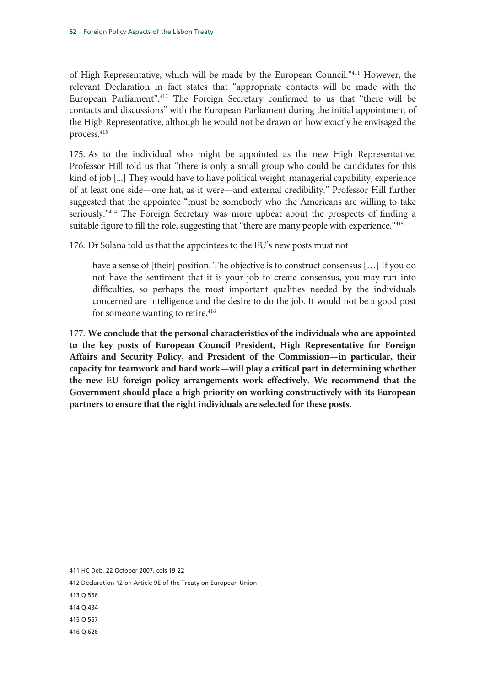of High Representative, which will be made by the European Council."411 However, the relevant Declaration in fact states that "appropriate contacts will be made with the European Parliament".412 The Foreign Secretary confirmed to us that "there will be contacts and discussions" with the European Parliament during the initial appointment of the High Representative, although he would not be drawn on how exactly he envisaged the process.<sup>413</sup>

175. As to the individual who might be appointed as the new High Representative, Professor Hill told us that "there is only a small group who could be candidates for this kind of job [...] They would have to have political weight, managerial capability, experience of at least one side—one hat, as it were—and external credibility." Professor Hill further suggested that the appointee "must be somebody who the Americans are willing to take seriously."414 The Foreign Secretary was more upbeat about the prospects of finding a suitable figure to fill the role, suggesting that "there are many people with experience."<sup>415</sup>

176. Dr Solana told us that the appointees to the EU's new posts must not

have a sense of [their] position. The objective is to construct consensus [...] If you do not have the sentiment that it is your job to create consensus, you may run into difficulties, so perhaps the most important qualities needed by the individuals concerned are intelligence and the desire to do the job. It would not be a good post for someone wanting to retire.<sup>416</sup>

177. **We conclude that the personal characteristics of the individuals who are appointed to the key posts of European Council President, High Representative for Foreign Affairs and Security Policy, and President of the Commission—in particular, their capacity for teamwork and hard work—will play a critical part in determining whether the new EU foreign policy arrangements work effectively. We recommend that the Government should place a high priority on working constructively with its European partners to ensure that the right individuals are selected for these posts.**

411 HC Deb, 22 October 2007, cols 19-22

412 Declaration 12 on Article 9E of the Treaty on European Union

413 Q 566

414 Q 434

415 Q 567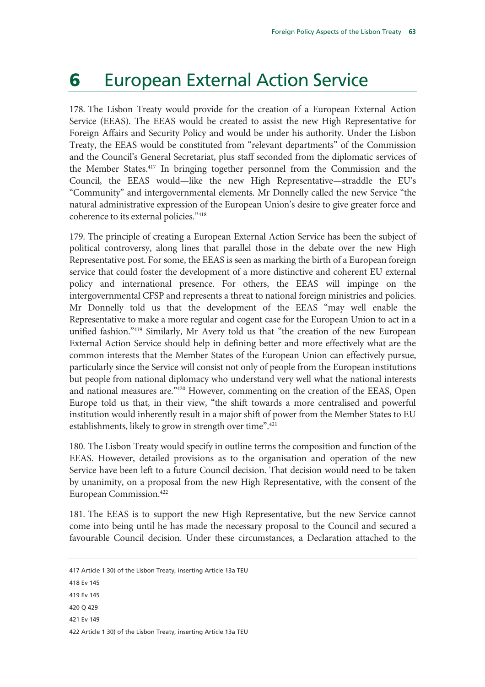## 6 European External Action Service

178. The Lisbon Treaty would provide for the creation of a European External Action Service (EEAS). The EEAS would be created to assist the new High Representative for Foreign Affairs and Security Policy and would be under his authority. Under the Lisbon Treaty, the EEAS would be constituted from "relevant departments" of the Commission and the Council's General Secretariat, plus staff seconded from the diplomatic services of the Member States.417 In bringing together personnel from the Commission and the Council, the EEAS would—like the new High Representative—straddle the EU's "Community" and intergovernmental elements. Mr Donnelly called the new Service "the natural administrative expression of the European Union's desire to give greater force and coherence to its external policies."418

179. The principle of creating a European External Action Service has been the subject of political controversy, along lines that parallel those in the debate over the new High Representative post. For some, the EEAS is seen as marking the birth of a European foreign service that could foster the development of a more distinctive and coherent EU external policy and international presence. For others, the EEAS will impinge on the intergovernmental CFSP and represents a threat to national foreign ministries and policies. Mr Donnelly told us that the development of the EEAS "may well enable the Representative to make a more regular and cogent case for the European Union to act in a unified fashion."419 Similarly, Mr Avery told us that "the creation of the new European External Action Service should help in defining better and more effectively what are the common interests that the Member States of the European Union can effectively pursue, particularly since the Service will consist not only of people from the European institutions but people from national diplomacy who understand very well what the national interests and national measures are."420 However, commenting on the creation of the EEAS, Open Europe told us that, in their view, "the shift towards a more centralised and powerful institution would inherently result in a major shift of power from the Member States to EU establishments, likely to grow in strength over time".<sup>421</sup>

180. The Lisbon Treaty would specify in outline terms the composition and function of the EEAS. However, detailed provisions as to the organisation and operation of the new Service have been left to a future Council decision. That decision would need to be taken by unanimity, on a proposal from the new High Representative, with the consent of the European Commission.422

181. The EEAS is to support the new High Representative, but the new Service cannot come into being until he has made the necessary proposal to the Council and secured a favourable Council decision. Under these circumstances, a Declaration attached to the

- 420 Q 429
- 421 Ev 149

422 Article 1 30) of the Lisbon Treaty, inserting Article 13a TEU

<sup>417</sup> Article 1 30) of the Lisbon Treaty, inserting Article 13a TEU

<sup>418</sup> Ev 145

<sup>419</sup> Ev 145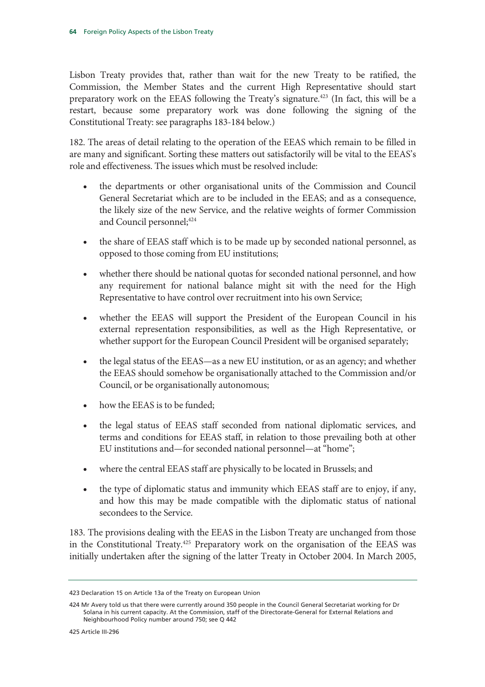Lisbon Treaty provides that, rather than wait for the new Treaty to be ratified, the Commission, the Member States and the current High Representative should start preparatory work on the EEAS following the Treaty's signature.423 (In fact, this will be a restart, because some preparatory work was done following the signing of the Constitutional Treaty: see paragraphs 183-184 below.)

182. The areas of detail relating to the operation of the EEAS which remain to be filled in are many and significant. Sorting these matters out satisfactorily will be vital to the EEAS's role and effectiveness. The issues which must be resolved include:

- the departments or other organisational units of the Commission and Council General Secretariat which are to be included in the EEAS; and as a consequence, the likely size of the new Service, and the relative weights of former Commission and Council personnel;<sup>424</sup>
- the share of EEAS staff which is to be made up by seconded national personnel, as opposed to those coming from EU institutions;
- whether there should be national quotas for seconded national personnel, and how any requirement for national balance might sit with the need for the High Representative to have control over recruitment into his own Service;
- whether the EEAS will support the President of the European Council in his external representation responsibilities, as well as the High Representative, or whether support for the European Council President will be organised separately;
- the legal status of the EEAS—as a new EU institution, or as an agency; and whether the EEAS should somehow be organisationally attached to the Commission and/or Council, or be organisationally autonomous;
- how the EEAS is to be funded;
- the legal status of EEAS staff seconded from national diplomatic services, and terms and conditions for EEAS staff, in relation to those prevailing both at other EU institutions and—for seconded national personnel—at "home";
- where the central EEAS staff are physically to be located in Brussels; and
- the type of diplomatic status and immunity which EEAS staff are to enjoy, if any, and how this may be made compatible with the diplomatic status of national secondees to the Service.

183. The provisions dealing with the EEAS in the Lisbon Treaty are unchanged from those in the Constitutional Treaty.425 Preparatory work on the organisation of the EEAS was initially undertaken after the signing of the latter Treaty in October 2004. In March 2005,

425 Article III-296

<sup>423</sup> Declaration 15 on Article 13a of the Treaty on European Union

<sup>424</sup> Mr Avery told us that there were currently around 350 people in the Council General Secretariat working for Dr Solana in his current capacity. At the Commission, staff of the Directorate-General for External Relations and Neighbourhood Policy number around 750; see Q 442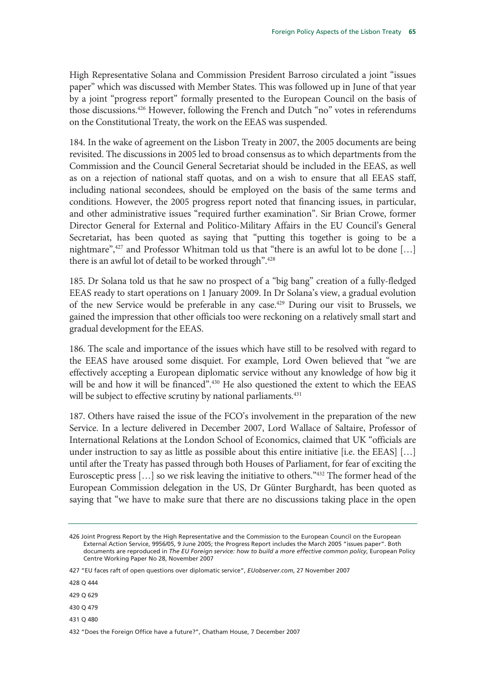High Representative Solana and Commission President Barroso circulated a joint "issues paper" which was discussed with Member States. This was followed up in June of that year by a joint "progress report" formally presented to the European Council on the basis of those discussions.<sup>426</sup> However, following the French and Dutch "no" votes in referendums on the Constitutional Treaty, the work on the EEAS was suspended.

184. In the wake of agreement on the Lisbon Treaty in 2007, the 2005 documents are being revisited. The discussions in 2005 led to broad consensus as to which departments from the Commission and the Council General Secretariat should be included in the EEAS, as well as on a rejection of national staff quotas, and on a wish to ensure that all EEAS staff, including national secondees, should be employed on the basis of the same terms and conditions. However, the 2005 progress report noted that financing issues, in particular, and other administrative issues "required further examination". Sir Brian Crowe, former Director General for External and Politico-Military Affairs in the EU Council's General Secretariat, has been quoted as saying that "putting this together is going to be a nightmare",427 and Professor Whitman told us that "there is an awful lot to be done […] there is an awful lot of detail to be worked through".<sup>428</sup>

185. Dr Solana told us that he saw no prospect of a "big bang" creation of a fully-fledged EEAS ready to start operations on 1 January 2009. In Dr Solana's view, a gradual evolution of the new Service would be preferable in any case.429 During our visit to Brussels, we gained the impression that other officials too were reckoning on a relatively small start and gradual development for the EEAS.

186. The scale and importance of the issues which have still to be resolved with regard to the EEAS have aroused some disquiet. For example, Lord Owen believed that "we are effectively accepting a European diplomatic service without any knowledge of how big it will be and how it will be financed".<sup>430</sup> He also questioned the extent to which the EEAS will be subject to effective scrutiny by national parliaments.<sup>431</sup>

187. Others have raised the issue of the FCO's involvement in the preparation of the new Service. In a lecture delivered in December 2007, Lord Wallace of Saltaire, Professor of International Relations at the London School of Economics, claimed that UK "officials are under instruction to say as little as possible about this entire initiative [i.e. the EEAS]  $[...]$ until after the Treaty has passed through both Houses of Parliament, for fear of exciting the Eurosceptic press […] so we risk leaving the initiative to others."432 The former head of the European Commission delegation in the US, Dr Günter Burghardt, has been quoted as saying that "we have to make sure that there are no discussions taking place in the open

428 Q 444

429 Q 629

430 Q 479

431 Q 480

432 "Does the Foreign Office have a future?", Chatham House, 7 December 2007

<sup>426</sup> Joint Progress Report by the High Representative and the Commission to the European Council on the European External Action Service, 9956/05, 9 June 2005; the Progress Report includes the March 2005 "issues paper". Both documents are reproduced in *The EU Foreign service: how to build a more effective common policy*, European Policy Centre Working Paper No 28, November 2007

<sup>427 &</sup>quot;EU faces raft of open questions over diplomatic service", *EUobserver.com*, 27 November 2007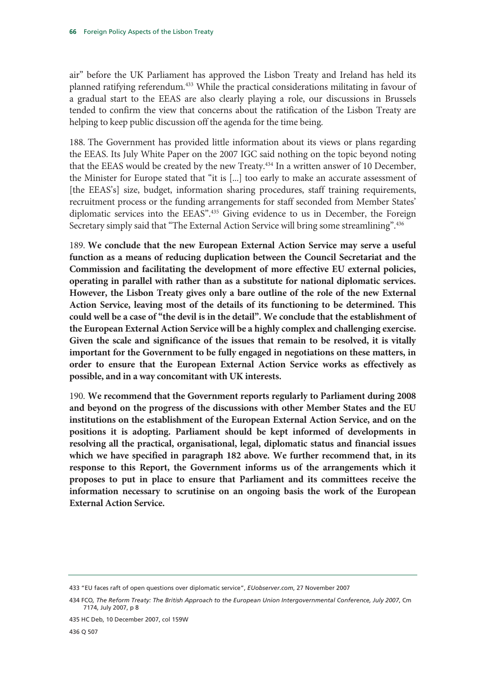air" before the UK Parliament has approved the Lisbon Treaty and Ireland has held its planned ratifying referendum.433 While the practical considerations militating in favour of a gradual start to the EEAS are also clearly playing a role, our discussions in Brussels tended to confirm the view that concerns about the ratification of the Lisbon Treaty are helping to keep public discussion off the agenda for the time being.

188. The Government has provided little information about its views or plans regarding the EEAS. Its July White Paper on the 2007 IGC said nothing on the topic beyond noting that the EEAS would be created by the new Treaty.434 In a written answer of 10 December, the Minister for Europe stated that "it is [...] too early to make an accurate assessment of [the EEAS's] size, budget, information sharing procedures, staff training requirements, recruitment process or the funding arrangements for staff seconded from Member States' diplomatic services into the EEAS".<sup>435</sup> Giving evidence to us in December, the Foreign Secretary simply said that "The External Action Service will bring some streamlining".<sup>436</sup>

189. **We conclude that the new European External Action Service may serve a useful function as a means of reducing duplication between the Council Secretariat and the Commission and facilitating the development of more effective EU external policies, operating in parallel with rather than as a substitute for national diplomatic services. However, the Lisbon Treaty gives only a bare outline of the role of the new External Action Service, leaving most of the details of its functioning to be determined. This could well be a case of "the devil is in the detail". We conclude that the establishment of the European External Action Service will be a highly complex and challenging exercise. Given the scale and significance of the issues that remain to be resolved, it is vitally important for the Government to be fully engaged in negotiations on these matters, in order to ensure that the European External Action Service works as effectively as possible, and in a way concomitant with UK interests.** 

190. **We recommend that the Government reports regularly to Parliament during 2008 and beyond on the progress of the discussions with other Member States and the EU institutions on the establishment of the European External Action Service, and on the positions it is adopting. Parliament should be kept informed of developments in resolving all the practical, organisational, legal, diplomatic status and financial issues which we have specified in paragraph 182 above. We further recommend that, in its response to this Report, the Government informs us of the arrangements which it proposes to put in place to ensure that Parliament and its committees receive the information necessary to scrutinise on an ongoing basis the work of the European External Action Service.** 

<sup>433 &</sup>quot;EU faces raft of open questions over diplomatic service", *EUobserver.com*, 27 November 2007

<sup>434</sup> FCO*, The Reform Treaty: The British Approach to the European Union Intergovernmental Conference, July 2007*, Cm 7174, July 2007, p 8

<sup>435</sup> HC Deb, 10 December 2007, col 159W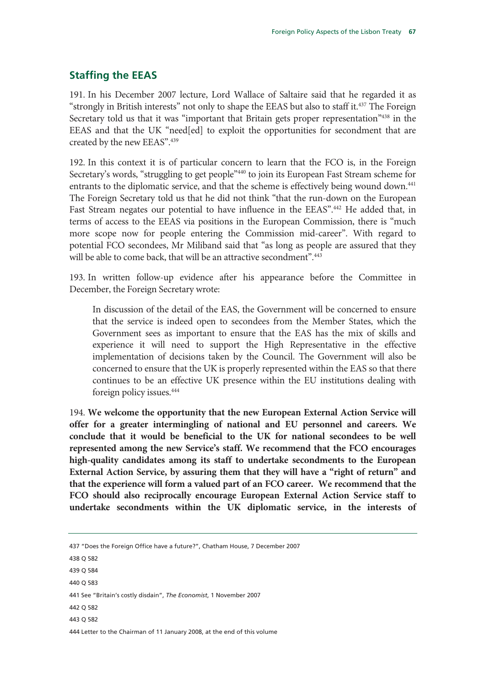## **Staffing the EEAS**

191. In his December 2007 lecture, Lord Wallace of Saltaire said that he regarded it as "strongly in British interests" not only to shape the EEAS but also to staff it.<sup>437</sup> The Foreign Secretary told us that it was "important that Britain gets proper representation"<sup>438</sup> in the EEAS and that the UK "need[ed] to exploit the opportunities for secondment that are created by the new EEAS".439

192. In this context it is of particular concern to learn that the FCO is, in the Foreign Secretary's words, "struggling to get people"<sup>440</sup> to join its European Fast Stream scheme for entrants to the diplomatic service, and that the scheme is effectively being wound down.<sup>441</sup> The Foreign Secretary told us that he did not think "that the run-down on the European Fast Stream negates our potential to have influence in the EEAS".<sup>442</sup> He added that, in terms of access to the EEAS via positions in the European Commission, there is "much more scope now for people entering the Commission mid-career". With regard to potential FCO secondees, Mr Miliband said that "as long as people are assured that they will be able to come back, that will be an attractive secondment".<sup>443</sup>

193. In written follow-up evidence after his appearance before the Committee in December, the Foreign Secretary wrote:

In discussion of the detail of the EAS, the Government will be concerned to ensure that the service is indeed open to secondees from the Member States, which the Government sees as important to ensure that the EAS has the mix of skills and experience it will need to support the High Representative in the effective implementation of decisions taken by the Council. The Government will also be concerned to ensure that the UK is properly represented within the EAS so that there continues to be an effective UK presence within the EU institutions dealing with foreign policy issues.444

194. **We welcome the opportunity that the new European External Action Service will offer for a greater intermingling of national and EU personnel and careers. We conclude that it would be beneficial to the UK for national secondees to be well represented among the new Service's staff. We recommend that the FCO encourages high-quality candidates among its staff to undertake secondments to the European External Action Service, by assuring them that they will have a "right of return" and that the experience will form a valued part of an FCO career. We recommend that the FCO should also reciprocally encourage European External Action Service staff to undertake secondments within the UK diplomatic service, in the interests of** 

437 "Does the Foreign Office have a future?", Chatham House, 7 December 2007 438 Q 582 439 Q 584 440 Q 583 441 See "Britain's costly disdain", *The Economist*, 1 November 2007 442 Q 582 443 Q 582 444 Letter to the Chairman of 11 January 2008, at the end of this volume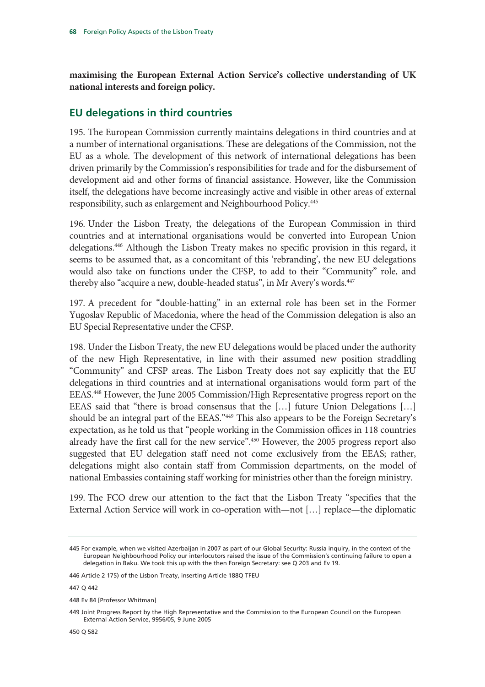**maximising the European External Action Service's collective understanding of UK national interests and foreign policy.**

## **EU delegations in third countries**

195. The European Commission currently maintains delegations in third countries and at a number of international organisations. These are delegations of the Commission, not the EU as a whole. The development of this network of international delegations has been driven primarily by the Commission's responsibilities for trade and for the disbursement of development aid and other forms of financial assistance. However, like the Commission itself, the delegations have become increasingly active and visible in other areas of external responsibility, such as enlargement and Neighbourhood Policy.445

196. Under the Lisbon Treaty, the delegations of the European Commission in third countries and at international organisations would be converted into European Union delegations.446 Although the Lisbon Treaty makes no specific provision in this regard, it seems to be assumed that, as a concomitant of this 'rebranding', the new EU delegations would also take on functions under the CFSP, to add to their "Community" role, and thereby also "acquire a new, double-headed status", in Mr Avery's words.<sup>447</sup>

197. A precedent for "double-hatting" in an external role has been set in the Former Yugoslav Republic of Macedonia, where the head of the Commission delegation is also an EU Special Representative under the CFSP.

198. Under the Lisbon Treaty, the new EU delegations would be placed under the authority of the new High Representative, in line with their assumed new position straddling "Community" and CFSP areas. The Lisbon Treaty does not say explicitly that the EU delegations in third countries and at international organisations would form part of the EEAS.448 However, the June 2005 Commission/High Representative progress report on the EEAS said that "there is broad consensus that the […] future Union Delegations […] should be an integral part of the EEAS."449 This also appears to be the Foreign Secretary's expectation, as he told us that "people working in the Commission offices in 118 countries already have the first call for the new service".<sup>450</sup> However, the 2005 progress report also suggested that EU delegation staff need not come exclusively from the EEAS; rather, delegations might also contain staff from Commission departments, on the model of national Embassies containing staff working for ministries other than the foreign ministry.

199. The FCO drew our attention to the fact that the Lisbon Treaty "specifies that the External Action Service will work in co-operation with—not […] replace—the diplomatic

<sup>445</sup> For example, when we visited Azerbaijan in 2007 as part of our Global Security: Russia inquiry, in the context of the European Neighbourhood Policy our interlocutors raised the issue of the Commission's continuing failure to open a delegation in Baku. We took this up with the then Foreign Secretary: see Q 203 and Ev 19.

<sup>446</sup> Article 2 175) of the Lisbon Treaty, inserting Article 188Q TFEU

<sup>448</sup> Ev 84 [Professor Whitman]

<sup>449</sup> Joint Progress Report by the High Representative and the Commission to the European Council on the European External Action Service, 9956/05, 9 June 2005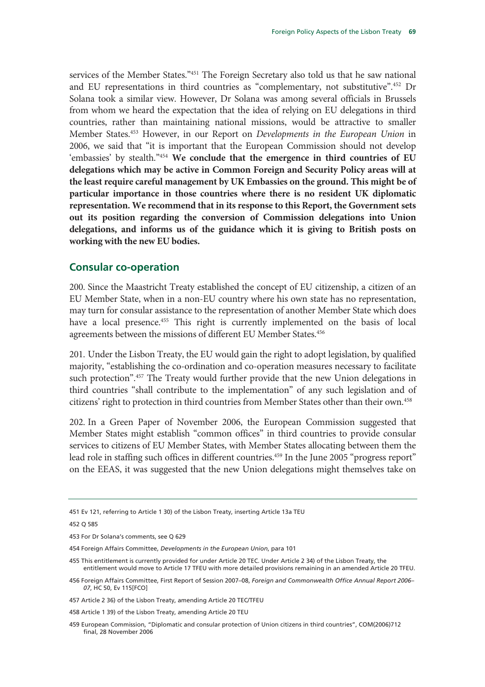services of the Member States."451 The Foreign Secretary also told us that he saw national and EU representations in third countries as "complementary, not substitutive".452 Dr Solana took a similar view. However, Dr Solana was among several officials in Brussels from whom we heard the expectation that the idea of relying on EU delegations in third countries, rather than maintaining national missions, would be attractive to smaller Member States.453 However, in our Report on *Developments in the European Union* in 2006, we said that "it is important that the European Commission should not develop 'embassies' by stealth."454 **We conclude that the emergence in third countries of EU delegations which may be active in Common Foreign and Security Policy areas will at the least require careful management by UK Embassies on the ground. This might be of particular importance in those countries where there is no resident UK diplomatic representation. We recommend that in its response to this Report, the Government sets out its position regarding the conversion of Commission delegations into Union delegations, and informs us of the guidance which it is giving to British posts on working with the new EU bodies.** 

#### **Consular co-operation**

200. Since the Maastricht Treaty established the concept of EU citizenship, a citizen of an EU Member State, when in a non-EU country where his own state has no representation, may turn for consular assistance to the representation of another Member State which does have a local presence.<sup>455</sup> This right is currently implemented on the basis of local agreements between the missions of different EU Member States.<sup>456</sup>

201. Under the Lisbon Treaty, the EU would gain the right to adopt legislation, by qualified majority, "establishing the co-ordination and co-operation measures necessary to facilitate such protection".<sup>457</sup> The Treaty would further provide that the new Union delegations in third countries "shall contribute to the implementation" of any such legislation and of citizens' right to protection in third countries from Member States other than their own.<sup>458</sup>

202. In a Green Paper of November 2006, the European Commission suggested that Member States might establish "common offices" in third countries to provide consular services to citizens of EU Member States, with Member States allocating between them the lead role in staffing such offices in different countries.<sup>459</sup> In the June 2005 "progress report" on the EEAS, it was suggested that the new Union delegations might themselves take on

<sup>451</sup> Ev 121, referring to Article 1 30) of the Lisbon Treaty, inserting Article 13a TEU

<sup>452</sup> Q 585

<sup>453</sup> For Dr Solana's comments, see Q 629

<sup>454</sup> Foreign Affairs Committee, *Developments in the European Union*, para 101

<sup>455</sup> This entitlement is currently provided for under Article 20 TEC. Under Article 2 34) of the Lisbon Treaty, the entitlement would move to Article 17 TFEU with more detailed provisions remaining in an amended Article 20 TFEU.

<sup>456</sup> Foreign Affairs Committee, First Report of Session 2007–08, *Foreign and Commonwealth Office Annual Report 2006– 07*, HC 50, Ev 115[FCO]

<sup>457</sup> Article 2 36) of the Lisbon Treaty, amending Article 20 TEC/TFEU

<sup>458</sup> Article 1 39) of the Lisbon Treaty, amending Article 20 TEU

<sup>459</sup> European Commission, "Diplomatic and consular protection of Union citizens in third countries", COM(2006)712 final, 28 November 2006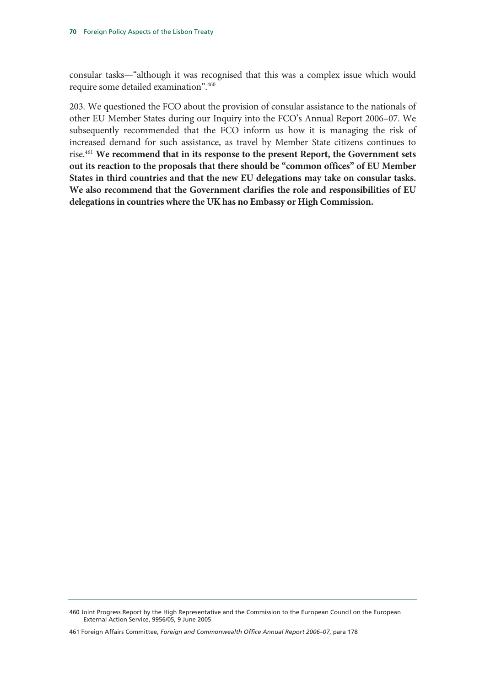consular tasks—"although it was recognised that this was a complex issue which would require some detailed examination".460

203. We questioned the FCO about the provision of consular assistance to the nationals of other EU Member States during our Inquiry into the FCO's Annual Report 2006–07. We subsequently recommended that the FCO inform us how it is managing the risk of increased demand for such assistance, as travel by Member State citizens continues to rise.461 **We recommend that in its response to the present Report, the Government sets out its reaction to the proposals that there should be "common offices" of EU Member States in third countries and that the new EU delegations may take on consular tasks. We also recommend that the Government clarifies the role and responsibilities of EU delegations in countries where the UK has no Embassy or High Commission.** 

<sup>460</sup> Joint Progress Report by the High Representative and the Commission to the European Council on the European External Action Service, 9956/05, 9 June 2005

<sup>461</sup> Foreign Affairs Committee, *Foreign and Commonwealth Office Annual Report 2006–07*, para 178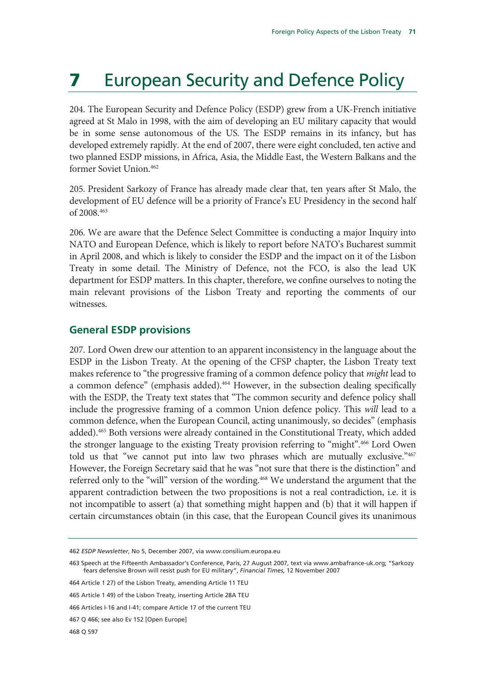# **7** European Security and Defence Policy

204. The European Security and Defence Policy (ESDP) grew from a UK-French initiative agreed at St Malo in 1998, with the aim of developing an EU military capacity that would be in some sense autonomous of the US. The ESDP remains in its infancy, but has developed extremely rapidly. At the end of 2007, there were eight concluded, ten active and two planned ESDP missions, in Africa, Asia, the Middle East, the Western Balkans and the former Soviet Union.462

205. President Sarkozy of France has already made clear that, ten years after St Malo, the development of EU defence will be a priority of France's EU Presidency in the second half of 2008.463

206. We are aware that the Defence Select Committee is conducting a major Inquiry into NATO and European Defence, which is likely to report before NATO's Bucharest summit in April 2008, and which is likely to consider the ESDP and the impact on it of the Lisbon Treaty in some detail. The Ministry of Defence, not the FCO, is also the lead UK department for ESDP matters. In this chapter, therefore, we confine ourselves to noting the main relevant provisions of the Lisbon Treaty and reporting the comments of our witnesses.

### **General ESDP provisions**

207. Lord Owen drew our attention to an apparent inconsistency in the language about the ESDP in the Lisbon Treaty. At the opening of the CFSP chapter, the Lisbon Treaty text makes reference to "the progressive framing of a common defence policy that *might* lead to a common defence" (emphasis added).<sup>464</sup> However, in the subsection dealing specifically with the ESDP, the Treaty text states that "The common security and defence policy shall include the progressive framing of a common Union defence policy. This *will* lead to a common defence, when the European Council, acting unanimously, so decides" (emphasis added).465 Both versions were already contained in the Constitutional Treaty, which added the stronger language to the existing Treaty provision referring to "might".466 Lord Owen told us that "we cannot put into law two phrases which are mutually exclusive."467 However, the Foreign Secretary said that he was "not sure that there is the distinction" and referred only to the "will" version of the wording.468 We understand the argument that the apparent contradiction between the two propositions is not a real contradiction, i.e. it is not incompatible to assert (a) that something might happen and (b) that it will happen if certain circumstances obtain (in this case, that the European Council gives its unanimous

<sup>462</sup> *ESDP Newsletter*, No 5, December 2007, via www.consilium.europa.eu

<sup>463</sup> Speech at the Fifteenth Ambassador's Conference, Paris, 27 August 2007, text via www.ambafrance-uk.org; "Sarkozy fears defensive Brown will resist push for EU military", *Financial Times*, 12 November 2007

<sup>464</sup> Article 1 27) of the Lisbon Treaty, amending Article 11 TEU

<sup>465</sup> Article 1 49) of the Lisbon Treaty, inserting Article 28A TEU

<sup>466</sup> Articles I-16 and I-41; compare Article 17 of the current TEU

<sup>467</sup> Q 466; see also Ev 152 [Open Europe]

<sup>468</sup> Q 597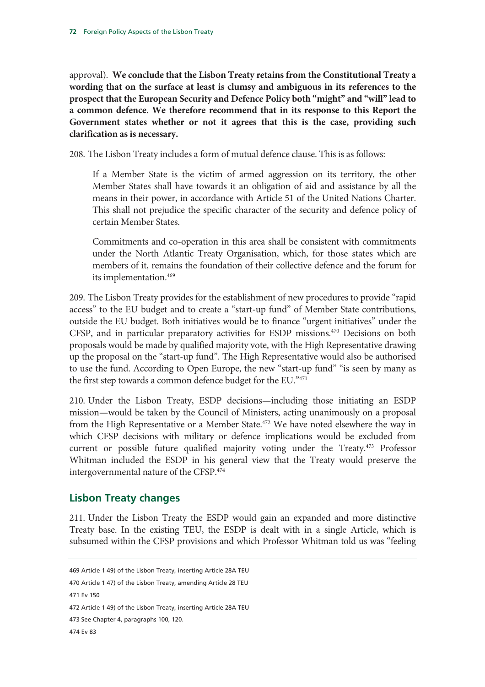approval). **We conclude that the Lisbon Treaty retains from the Constitutional Treaty a wording that on the surface at least is clumsy and ambiguous in its references to the prospect that the European Security and Defence Policy both "might" and "will" lead to a common defence. We therefore recommend that in its response to this Report the Government states whether or not it agrees that this is the case, providing such clarification as is necessary.**

208. The Lisbon Treaty includes a form of mutual defence clause. This is as follows:

If a Member State is the victim of armed aggression on its territory, the other Member States shall have towards it an obligation of aid and assistance by all the means in their power, in accordance with Article 51 of the United Nations Charter. This shall not prejudice the specific character of the security and defence policy of certain Member States.

Commitments and co-operation in this area shall be consistent with commitments under the North Atlantic Treaty Organisation, which, for those states which are members of it, remains the foundation of their collective defence and the forum for its implementation.<sup>469</sup>

209. The Lisbon Treaty provides for the establishment of new procedures to provide "rapid access" to the EU budget and to create a "start-up fund" of Member State contributions, outside the EU budget. Both initiatives would be to finance "urgent initiatives" under the CFSP, and in particular preparatory activities for ESDP missions.470 Decisions on both proposals would be made by qualified majority vote, with the High Representative drawing up the proposal on the "start-up fund". The High Representative would also be authorised to use the fund. According to Open Europe, the new "start-up fund" "is seen by many as the first step towards a common defence budget for the EU."471

210. Under the Lisbon Treaty, ESDP decisions—including those initiating an ESDP mission—would be taken by the Council of Ministers, acting unanimously on a proposal from the High Representative or a Member State.<sup>472</sup> We have noted elsewhere the way in which CFSP decisions with military or defence implications would be excluded from current or possible future qualified majority voting under the Treaty.<sup>473</sup> Professor Whitman included the ESDP in his general view that the Treaty would preserve the intergovernmental nature of the CFSP.<sup>474</sup>

## **Lisbon Treaty changes**

211. Under the Lisbon Treaty the ESDP would gain an expanded and more distinctive Treaty base. In the existing TEU, the ESDP is dealt with in a single Article, which is subsumed within the CFSP provisions and which Professor Whitman told us was "feeling

<sup>469</sup> Article 1 49) of the Lisbon Treaty, inserting Article 28A TEU

<sup>470</sup> Article 1 47) of the Lisbon Treaty, amending Article 28 TEU

<sup>471</sup> Ev 150

<sup>472</sup> Article 1 49) of the Lisbon Treaty, inserting Article 28A TEU

<sup>473</sup> See Chapter 4, paragraphs 100, 120.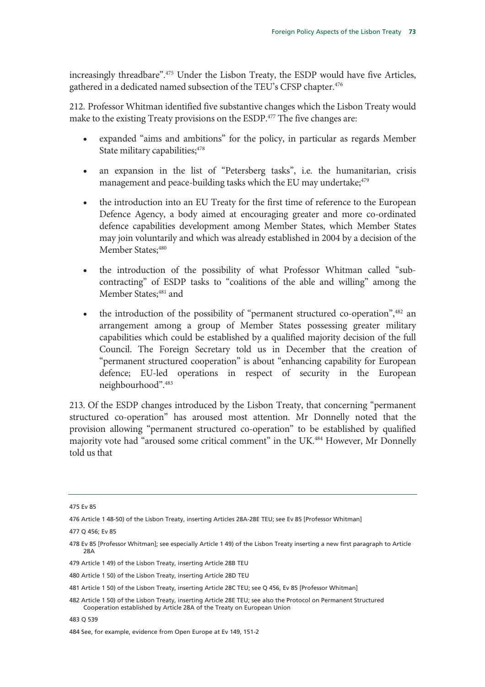increasingly threadbare".475 Under the Lisbon Treaty, the ESDP would have five Articles, gathered in a dedicated named subsection of the TEU's CFSP chapter.<sup>476</sup>

212. Professor Whitman identified five substantive changes which the Lisbon Treaty would make to the existing Treaty provisions on the ESDP.<sup>477</sup> The five changes are:

- expanded "aims and ambitions" for the policy, in particular as regards Member State military capabilities; 478
- an expansion in the list of "Petersberg tasks", i.e. the humanitarian, crisis management and peace-building tasks which the EU may undertake;<sup>479</sup>
- the introduction into an EU Treaty for the first time of reference to the European Defence Agency, a body aimed at encouraging greater and more co-ordinated defence capabilities development among Member States, which Member States may join voluntarily and which was already established in 2004 by a decision of the Member States; 480
- the introduction of the possibility of what Professor Whitman called "subcontracting" of ESDP tasks to "coalitions of the able and willing" among the Member States;<sup>481</sup> and
- the introduction of the possibility of "permanent structured co-operation",<sup>482</sup> an arrangement among a group of Member States possessing greater military capabilities which could be established by a qualified majority decision of the full Council. The Foreign Secretary told us in December that the creation of "permanent structured cooperation" is about "enhancing capability for European defence; EU-led operations in respect of security in the European neighbourhood".483

213. Of the ESDP changes introduced by the Lisbon Treaty, that concerning "permanent structured co-operation" has aroused most attention. Mr Donnelly noted that the provision allowing "permanent structured co-operation" to be established by qualified majority vote had "aroused some critical comment" in the UK.<sup>484</sup> However, Mr Donnelly told us that

<sup>475</sup> Ev 85

<sup>476</sup> Article 1 48-50) of the Lisbon Treaty, inserting Articles 28A-28E TEU; see Ev 85 [Professor Whitman]

<sup>477</sup> Q 456; Ev 85

<sup>478</sup> Ev 85 [Professor Whitman]; see especially Article 1 49) of the Lisbon Treaty inserting a new first paragraph to Article 28A

<sup>479</sup> Article 1 49) of the Lisbon Treaty, inserting Article 28B TEU

<sup>480</sup> Article 1 50) of the Lisbon Treaty, inserting Article 28D TEU

<sup>481</sup> Article 1 50) of the Lisbon Treaty, inserting Article 28C TEU; see Q 456, Ev 85 [Professor Whitman]

<sup>482</sup> Article 1 50) of the Lisbon Treaty, inserting Article 28E TEU; see also the Protocol on Permanent Structured Cooperation established by Article 28A of the Treaty on European Union

<sup>483</sup> Q 539

<sup>484</sup> See, for example, evidence from Open Europe at Ev 149, 151-2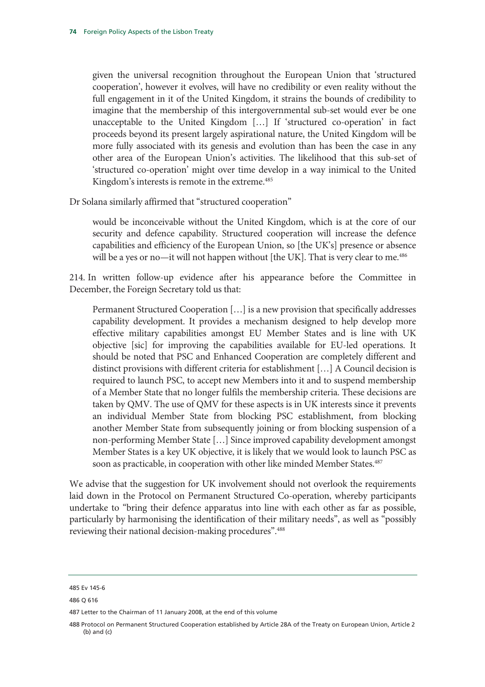given the universal recognition throughout the European Union that 'structured cooperation', however it evolves, will have no credibility or even reality without the full engagement in it of the United Kingdom, it strains the bounds of credibility to imagine that the membership of this intergovernmental sub-set would ever be one unacceptable to the United Kingdom […] If 'structured co-operation' in fact proceeds beyond its present largely aspirational nature, the United Kingdom will be more fully associated with its genesis and evolution than has been the case in any other area of the European Union's activities. The likelihood that this sub-set of 'structured co-operation' might over time develop in a way inimical to the United Kingdom's interests is remote in the extreme.<sup>485</sup>

Dr Solana similarly affirmed that "structured cooperation"

would be inconceivable without the United Kingdom, which is at the core of our security and defence capability. Structured cooperation will increase the defence capabilities and efficiency of the European Union, so [the UK's] presence or absence will be a yes or no—it will not happen without [the UK]. That is very clear to me.<sup>486</sup>

214. In written follow-up evidence after his appearance before the Committee in December, the Foreign Secretary told us that:

Permanent Structured Cooperation […] is a new provision that specifically addresses capability development. It provides a mechanism designed to help develop more effective military capabilities amongst EU Member States and is line with UK objective [sic] for improving the capabilities available for EU-led operations. It should be noted that PSC and Enhanced Cooperation are completely different and distinct provisions with different criteria for establishment […] A Council decision is required to launch PSC, to accept new Members into it and to suspend membership of a Member State that no longer fulfils the membership criteria. These decisions are taken by QMV. The use of QMV for these aspects is in UK interests since it prevents an individual Member State from blocking PSC establishment, from blocking another Member State from subsequently joining or from blocking suspension of a non-performing Member State […] Since improved capability development amongst Member States is a key UK objective, it is likely that we would look to launch PSC as soon as practicable, in cooperation with other like minded Member States.<sup>487</sup>

We advise that the suggestion for UK involvement should not overlook the requirements laid down in the Protocol on Permanent Structured Co-operation, whereby participants undertake to "bring their defence apparatus into line with each other as far as possible, particularly by harmonising the identification of their military needs", as well as "possibly reviewing their national decision-making procedures".<sup>488</sup>

<sup>485</sup> Ev 145-6

<sup>486</sup> Q 616

<sup>487</sup> Letter to the Chairman of 11 January 2008, at the end of this volume

<sup>488</sup> Protocol on Permanent Structured Cooperation established by Article 28A of the Treaty on European Union, Article 2 (b) and (c)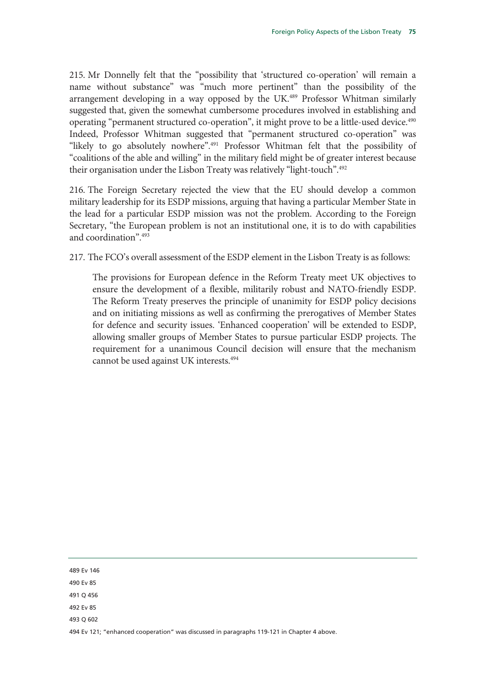215. Mr Donnelly felt that the "possibility that 'structured co-operation' will remain a name without substance" was "much more pertinent" than the possibility of the arrangement developing in a way opposed by the UK.<sup>489</sup> Professor Whitman similarly suggested that, given the somewhat cumbersome procedures involved in establishing and operating "permanent structured co-operation", it might prove to be a little-used device.<sup>490</sup> Indeed, Professor Whitman suggested that "permanent structured co-operation" was "likely to go absolutely nowhere".<sup>491</sup> Professor Whitman felt that the possibility of "coalitions of the able and willing" in the military field might be of greater interest because their organisation under the Lisbon Treaty was relatively "light-touch".492

216. The Foreign Secretary rejected the view that the EU should develop a common military leadership for its ESDP missions, arguing that having a particular Member State in the lead for a particular ESDP mission was not the problem. According to the Foreign Secretary, "the European problem is not an institutional one, it is to do with capabilities and coordination".493

217. The FCO's overall assessment of the ESDP element in the Lisbon Treaty is as follows:

The provisions for European defence in the Reform Treaty meet UK objectives to ensure the development of a flexible, militarily robust and NATO-friendly ESDP. The Reform Treaty preserves the principle of unanimity for ESDP policy decisions and on initiating missions as well as confirming the prerogatives of Member States for defence and security issues. 'Enhanced cooperation' will be extended to ESDP, allowing smaller groups of Member States to pursue particular ESDP projects. The requirement for a unanimous Council decision will ensure that the mechanism cannot be used against UK interests.494

489 Ev 146

490 Ev 85

491 Q 456

492 Ev 85

493 Q 602

494 Ev 121; "enhanced cooperation" was discussed in paragraphs 119-121 in Chapter 4 above.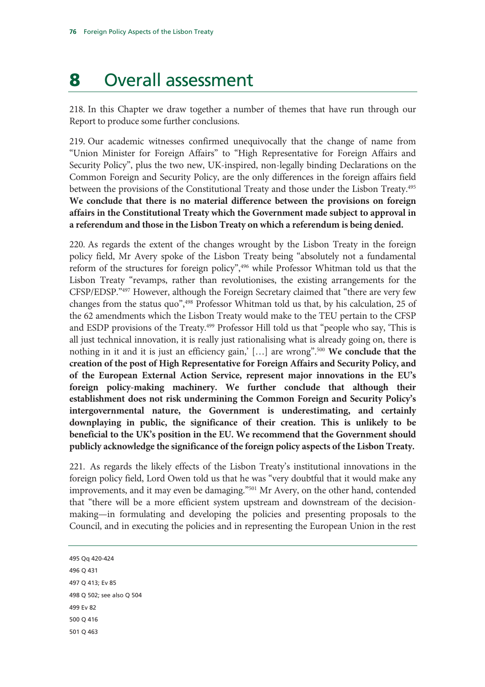# 8 Overall assessment

218. In this Chapter we draw together a number of themes that have run through our Report to produce some further conclusions.

219. Our academic witnesses confirmed unequivocally that the change of name from "Union Minister for Foreign Affairs" to "High Representative for Foreign Affairs and Security Policy", plus the two new, UK-inspired, non-legally binding Declarations on the Common Foreign and Security Policy, are the only differences in the foreign affairs field between the provisions of the Constitutional Treaty and those under the Lisbon Treaty.<sup>495</sup> **We conclude that there is no material difference between the provisions on foreign affairs in the Constitutional Treaty which the Government made subject to approval in a referendum and those in the Lisbon Treaty on which a referendum is being denied.** 

220. As regards the extent of the changes wrought by the Lisbon Treaty in the foreign policy field, Mr Avery spoke of the Lisbon Treaty being "absolutely not a fundamental reform of the structures for foreign policy",496 while Professor Whitman told us that the Lisbon Treaty "revamps, rather than revolutionises, the existing arrangements for the CFSP/EDSP."497 However, although the Foreign Secretary claimed that "there are very few changes from the status quo",498 Professor Whitman told us that, by his calculation, 25 of the 62 amendments which the Lisbon Treaty would make to the TEU pertain to the CFSP and ESDP provisions of the Treaty.<sup>499</sup> Professor Hill told us that "people who say, 'This is all just technical innovation, it is really just rationalising what is already going on, there is nothing in it and it is just an efficiency gain,' […] are wrong".500 **We conclude that the creation of the post of High Representative for Foreign Affairs and Security Policy, and of the European External Action Service, represent major innovations in the EU's foreign policy-making machinery. We further conclude that although their establishment does not risk undermining the Common Foreign and Security Policy's intergovernmental nature, the Government is underestimating, and certainly downplaying in public, the significance of their creation. This is unlikely to be beneficial to the UK's position in the EU. We recommend that the Government should publicly acknowledge the significance of the foreign policy aspects of the Lisbon Treaty.**

221. As regards the likely effects of the Lisbon Treaty's institutional innovations in the foreign policy field, Lord Owen told us that he was "very doubtful that it would make any improvements, and it may even be damaging."501 Mr Avery, on the other hand, contended that "there will be a more efficient system upstream and downstream of the decisionmaking—in formulating and developing the policies and presenting proposals to the Council, and in executing the policies and in representing the European Union in the rest

495 Qq 420-424 496 Q 431 497 Q 413; Ev 85 498 Q 502; see also Q 504 499 Ev 82 500 Q 416 501 Q 463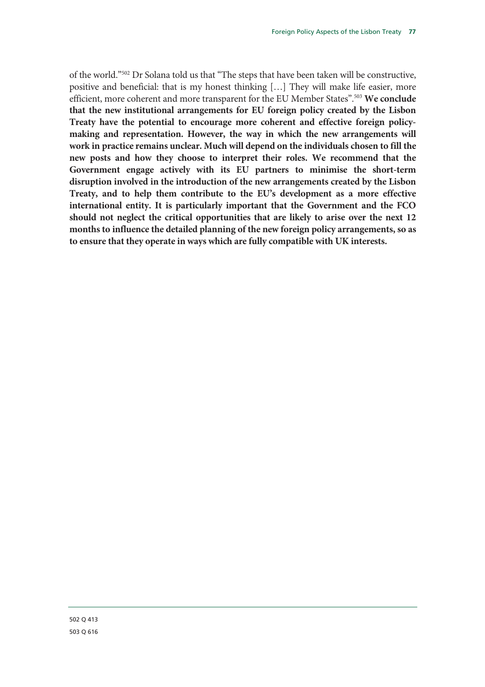of the world."502 Dr Solana told us that "The steps that have been taken will be constructive, positive and beneficial: that is my honest thinking […] They will make life easier, more efficient, more coherent and more transparent for the EU Member States".503 **We conclude that the new institutional arrangements for EU foreign policy created by the Lisbon Treaty have the potential to encourage more coherent and effective foreign policymaking and representation. However, the way in which the new arrangements will work in practice remains unclear. Much will depend on the individuals chosen to fill the new posts and how they choose to interpret their roles. We recommend that the Government engage actively with its EU partners to minimise the short-term disruption involved in the introduction of the new arrangements created by the Lisbon Treaty, and to help them contribute to the EU's development as a more effective international entity. It is particularly important that the Government and the FCO should not neglect the critical opportunities that are likely to arise over the next 12 months to influence the detailed planning of the new foreign policy arrangements, so as to ensure that they operate in ways which are fully compatible with UK interests.**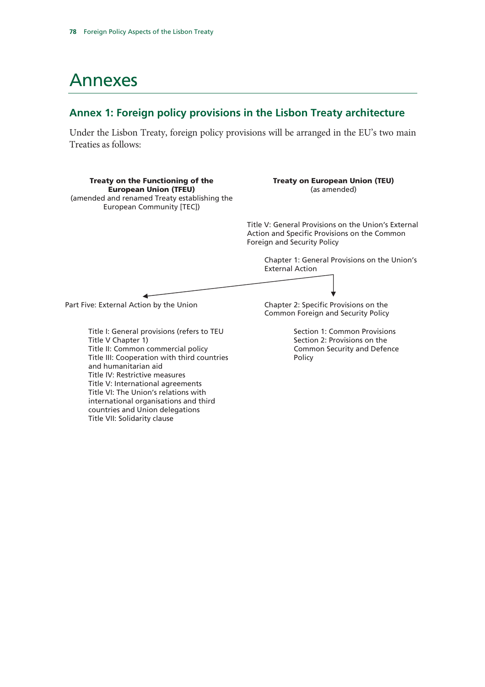Title IV: Restrictive measures Title V: International agreements Title VI: The Union's relations with international organisations and third countries and Union delegations Title VII: Solidarity clause

## Annexes

### **Annex 1: Foreign policy provisions in the Lisbon Treaty architecture**

Under the Lisbon Treaty, foreign policy provisions will be arranged in the EU's two main Treaties as follows:

Treaty on the Functioning of the European Union (TFEU) (amended and renamed Treaty establishing the European Community [TEC]) Treaty on European Union (TEU) (as amended) Title V: General Provisions on the Union's External Action and Specific Provisions on the Common Foreign and Security Policy Chapter 1: General Provisions on the Union's External Action Part Five: External Action by the Union Chapter 2: Specific Provisions on the Common Foreign and Security Policy Title I: General provisions (refers to TEU Title V Chapter 1) Title II: Common commercial policy Title III: Cooperation with third countries and humanitarian aid Section 1: Common Provisions Section 2: Provisions on the Common Security and Defence Policy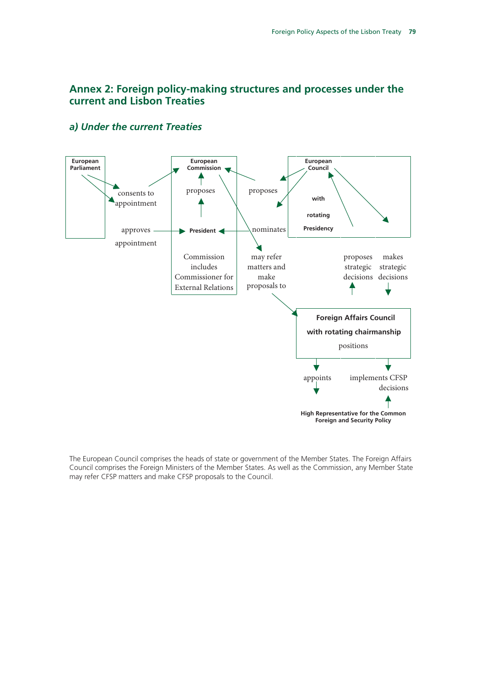## **Annex 2: Foreign policy-making structures and processes under the current and Lisbon Treaties**



### *a) Under the current Treaties*

The European Council comprises the heads of state or government of the Member States. The Foreign Affairs Council comprises the Foreign Ministers of the Member States. As well as the Commission, any Member State may refer CFSP matters and make CFSP proposals to the Council.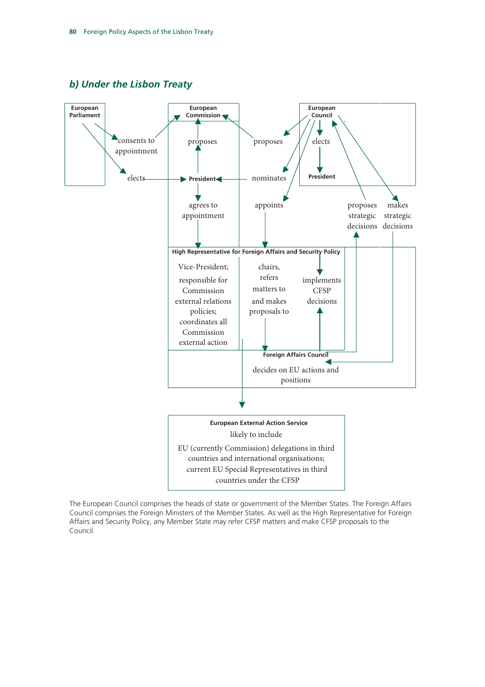



The European Council comprises the heads of state or government of the Member States. The Foreign Affairs Council comprises the Foreign Ministers of the Member States. As well as the High Representative for Foreign Affairs and Security Policy, any Member State may refer CFSP matters and make CFSP proposals to the Council.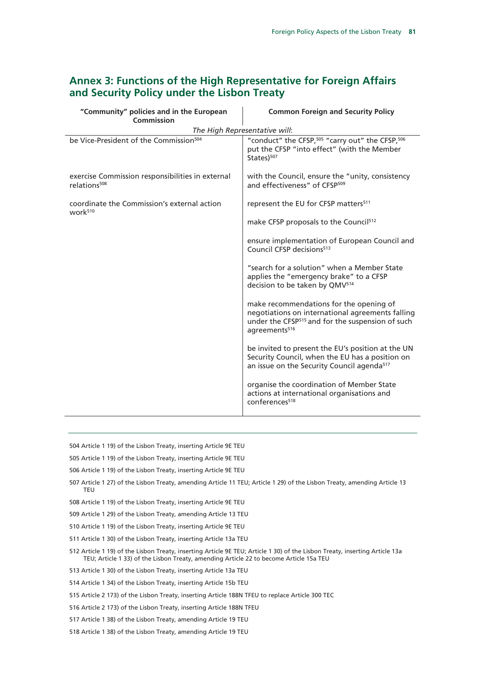| "Community" policies and in the European                                     | <b>Common Foreign and Security Policy</b>                                                                                                                                                |
|------------------------------------------------------------------------------|------------------------------------------------------------------------------------------------------------------------------------------------------------------------------------------|
| Commission                                                                   |                                                                                                                                                                                          |
| The High Representative will:                                                |                                                                                                                                                                                          |
| be Vice-President of the Commission <sup>504</sup>                           | "conduct" the CFSP, 505 "carry out" the CFSP, 506<br>put the CFSP "into effect" (with the Member<br>States) <sup>507</sup>                                                               |
| exercise Commission responsibilities in external<br>relations <sup>508</sup> | with the Council, ensure the "unity, consistency<br>and effectiveness" of CFSP <sup>509</sup>                                                                                            |
| coordinate the Commission's external action<br>work <sup>510</sup>           | represent the EU for CFSP matters <sup>511</sup>                                                                                                                                         |
|                                                                              | make CFSP proposals to the Council <sup>512</sup>                                                                                                                                        |
|                                                                              | ensure implementation of European Council and<br>Council CFSP decisions <sup>513</sup>                                                                                                   |
|                                                                              | "search for a solution" when a Member State<br>applies the "emergency brake" to a CFSP<br>decision to be taken by QMV <sup>514</sup>                                                     |
|                                                                              | make recommendations for the opening of<br>negotiations on international agreements falling<br>under the CFSP <sup>515</sup> and for the suspension of such<br>agreements <sup>516</sup> |
|                                                                              | be invited to present the EU's position at the UN<br>Security Council, when the EU has a position on<br>an issue on the Security Council agenda <sup>517</sup>                           |
|                                                                              | organise the coordination of Member State<br>actions at international organisations and<br>conferences <sup>518</sup>                                                                    |

## **Annex 3: Functions of the High Representative for Foreign Affairs and Security Policy under the Lisbon Treaty**

504 Article 1 19) of the Lisbon Treaty, inserting Article 9E TEU

505 Article 1 19) of the Lisbon Treaty, inserting Article 9E TEU

506 Article 1 19) of the Lisbon Treaty, inserting Article 9E TEU

507 Article 1 27) of the Lisbon Treaty, amending Article 11 TEU; Article 1 29) of the Lisbon Treaty, amending Article 13 TEU

508 Article 1 19) of the Lisbon Treaty, inserting Article 9E TEU

509 Article 1 29) of the Lisbon Treaty, amending Article 13 TEU

510 Article 1 19) of the Lisbon Treaty, inserting Article 9E TEU

511 Article 1 30) of the Lisbon Treaty, inserting Article 13a TEU

512 Article 1 19) of the Lisbon Treaty, inserting Article 9E TEU; Article 1 30) of the Lisbon Treaty, inserting Article 13a TEU; Article 1 33) of the Lisbon Treaty, amending Article 22 to become Article 15a TEU

513 Article 1 30) of the Lisbon Treaty, inserting Article 13a TEU

514 Article 1 34) of the Lisbon Treaty, inserting Article 15b TEU

515 Article 2 173) of the Lisbon Treaty, inserting Article 188N TFEU to replace Article 300 TEC

516 Article 2 173) of the Lisbon Treaty, inserting Article 188N TFEU

517 Article 1 38) of the Lisbon Treaty, amending Article 19 TEU

518 Article 1 38) of the Lisbon Treaty, amending Article 19 TEU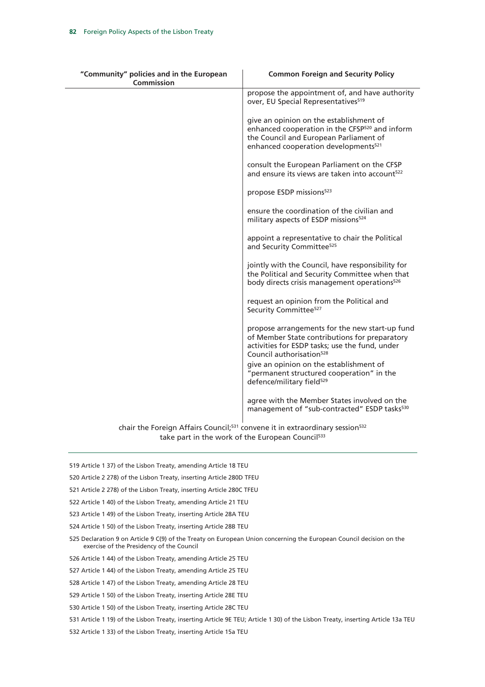| "Community" policies and in the European<br>Commission | <b>Common Foreign and Security Policy</b>                                                                                                                                                                                            |
|--------------------------------------------------------|--------------------------------------------------------------------------------------------------------------------------------------------------------------------------------------------------------------------------------------|
|                                                        | propose the appointment of, and have authority<br>over, EU Special Representatives <sup>519</sup>                                                                                                                                    |
|                                                        | give an opinion on the establishment of<br>enhanced cooperation in the CFSP <sup>520</sup> and inform<br>the Council and European Parliament of<br>enhanced cooperation developments <sup>521</sup>                                  |
|                                                        | consult the European Parliament on the CFSP<br>and ensure its views are taken into account <sup>522</sup>                                                                                                                            |
|                                                        | propose ESDP missions <sup>523</sup>                                                                                                                                                                                                 |
|                                                        | ensure the coordination of the civilian and<br>military aspects of ESDP missions <sup>524</sup>                                                                                                                                      |
|                                                        | appoint a representative to chair the Political<br>and Security Committee <sup>525</sup>                                                                                                                                             |
|                                                        | jointly with the Council, have responsibility for<br>the Political and Security Committee when that<br>body directs crisis management operations <sup>526</sup>                                                                      |
|                                                        | request an opinion from the Political and<br>Security Committee <sup>527</sup>                                                                                                                                                       |
|                                                        | propose arrangements for the new start-up fund<br>of Member State contributions for preparatory<br>activities for ESDP tasks; use the fund, under<br>Council authorisation <sup>528</sup><br>give an opinion on the establishment of |
|                                                        | "permanent structured cooperation" in the<br>defence/military field <sup>529</sup>                                                                                                                                                   |
|                                                        | agree with the Member States involved on the<br>management of "sub-contracted" ESDP tasks <sup>530</sup>                                                                                                                             |
|                                                        | $\epsilon$ chair the Earnian Affairs Council: $531$ convense it in ovtraardings section $532$                                                                                                                                        |

chair the Foreign Affairs Council;<sup>531</sup> convene it in extraordinary session take part in the work of the European Council<sup>533</sup>

- 519 Article 1 37) of the Lisbon Treaty, amending Article 18 TEU
- 520 Article 2 278) of the Lisbon Treaty, inserting Article 280D TFEU
- 521 Article 2 278) of the Lisbon Treaty, inserting Article 280C TFEU
- 522 Article 1 40) of the Lisbon Treaty, amending Article 21 TEU
- 523 Article 1 49) of the Lisbon Treaty, inserting Article 28A TEU
- 524 Article 1 50) of the Lisbon Treaty, inserting Article 28B TEU
- 525 Declaration 9 on Article 9 C(9) of the Treaty on European Union concerning the European Council decision on the exercise of the Presidency of the Council
- 526 Article 1 44) of the Lisbon Treaty, amending Article 25 TEU
- 527 Article 1 44) of the Lisbon Treaty, amending Article 25 TEU
- 528 Article 1 47) of the Lisbon Treaty, amending Article 28 TEU
- 529 Article 1 50) of the Lisbon Treaty, inserting Article 28E TEU
- 530 Article 1 50) of the Lisbon Treaty, inserting Article 28C TEU
- 531 Article 1 19) of the Lisbon Treaty, inserting Article 9E TEU; Article 1 30) of the Lisbon Treaty, inserting Article 13a TEU
- 532 Article 1 33) of the Lisbon Treaty, inserting Article 15a TEU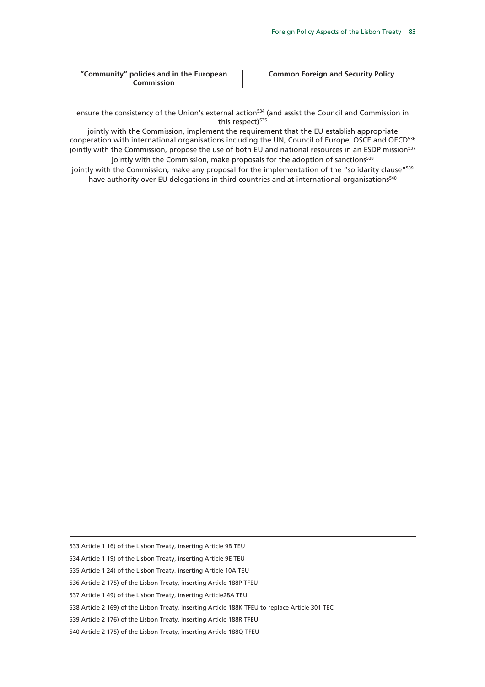#### **"Community" policies and in the European Commission**

ensure the consistency of the Union's external action<sup>534</sup> (and assist the Council and Commission in this respect)<sup>535</sup>

jointly with the Commission, implement the requirement that the EU establish appropriate cooperation with international organisations including the UN, Council of Europe, OSCE and OECD<sup>536</sup> jointly with the Commission, propose the use of both EU and national resources in an ESDP mission<sup>537</sup> jointly with the Commission, make proposals for the adoption of sanctions<sup>538</sup>

jointly with the Commission, make any proposal for the implementation of the "solidarity clause"<sup>539</sup> have authority over EU delegations in third countries and at international organisations<sup>540</sup>

533 Article 1 16) of the Lisbon Treaty, inserting Article 9B TEU

-

534 Article 1 19) of the Lisbon Treaty, inserting Article 9E TEU

535 Article 1 24) of the Lisbon Treaty, inserting Article 10A TEU

536 Article 2 175) of the Lisbon Treaty, inserting Article 188P TFEU

537 Article 1 49) of the Lisbon Treaty, inserting Article28A TEU

538 Article 2 169) of the Lisbon Treaty, inserting Article 188K TFEU to replace Article 301 TEC

539 Article 2 176) of the Lisbon Treaty, inserting Article 188R TFEU

540 Article 2 175) of the Lisbon Treaty, inserting Article 188Q TFEU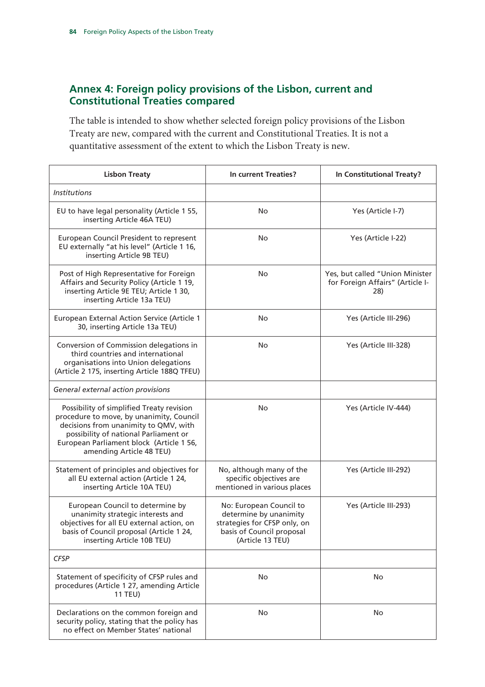## **Annex 4: Foreign policy provisions of the Lisbon, current and Constitutional Treaties compared**

The table is intended to show whether selected foreign policy provisions of the Lisbon Treaty are new, compared with the current and Constitutional Treaties. It is not a quantitative assessment of the extent to which the Lisbon Treaty is new.

| <b>Lisbon Treaty</b>                                                                                                                                                                                                                            | In current Treaties?                                                                                                               | In Constitutional Treaty?                                                  |
|-------------------------------------------------------------------------------------------------------------------------------------------------------------------------------------------------------------------------------------------------|------------------------------------------------------------------------------------------------------------------------------------|----------------------------------------------------------------------------|
| <b>Institutions</b>                                                                                                                                                                                                                             |                                                                                                                                    |                                                                            |
| EU to have legal personality (Article 1 55,<br>inserting Article 46A TEU)                                                                                                                                                                       | No                                                                                                                                 | Yes (Article I-7)                                                          |
| European Council President to represent<br>EU externally "at his level" (Article 1 16,<br>inserting Article 9B TEU)                                                                                                                             | No                                                                                                                                 | Yes (Article I-22)                                                         |
| Post of High Representative for Foreign<br>Affairs and Security Policy (Article 1 19,<br>inserting Article 9E TEU; Article 1 30,<br>inserting Article 13a TEU)                                                                                  | <b>No</b>                                                                                                                          | Yes, but called "Union Minister<br>for Foreign Affairs" (Article I-<br>28) |
| European External Action Service (Article 1<br>30, inserting Article 13a TEU)                                                                                                                                                                   | No                                                                                                                                 | Yes (Article III-296)                                                      |
| Conversion of Commission delegations in<br>third countries and international<br>organisations into Union delegations<br>(Article 2 175, inserting Article 188Q TFEU)                                                                            | No                                                                                                                                 | Yes (Article III-328)                                                      |
| General external action provisions                                                                                                                                                                                                              |                                                                                                                                    |                                                                            |
| Possibility of simplified Treaty revision<br>procedure to move, by unanimity, Council<br>decisions from unanimity to QMV, with<br>possibility of national Parliament or<br>European Parliament block (Article 1 56,<br>amending Article 48 TEU) | No.                                                                                                                                | Yes (Article IV-444)                                                       |
| Statement of principles and objectives for<br>all EU external action (Article 1 24,<br>inserting Article 10A TEU)                                                                                                                               | No, although many of the<br>specific objectives are<br>mentioned in various places                                                 | Yes (Article III-292)                                                      |
| European Council to determine by<br>unanimity strategic interests and<br>objectives for all EU external action, on<br>basis of Council proposal (Article 1 24,<br>inserting Article 10B TEU)                                                    | No: European Council to<br>determine by unanimity<br>strategies for CFSP only, on<br>basis of Council proposal<br>(Article 13 TEU) | Yes (Article III-293)                                                      |
| <b>CFSP</b>                                                                                                                                                                                                                                     |                                                                                                                                    |                                                                            |
| Statement of specificity of CFSP rules and<br>procedures (Article 1 27, amending Article<br><b>11 TEU)</b>                                                                                                                                      | No                                                                                                                                 | No                                                                         |
| Declarations on the common foreign and<br>security policy, stating that the policy has<br>no effect on Member States' national                                                                                                                  | No                                                                                                                                 | No                                                                         |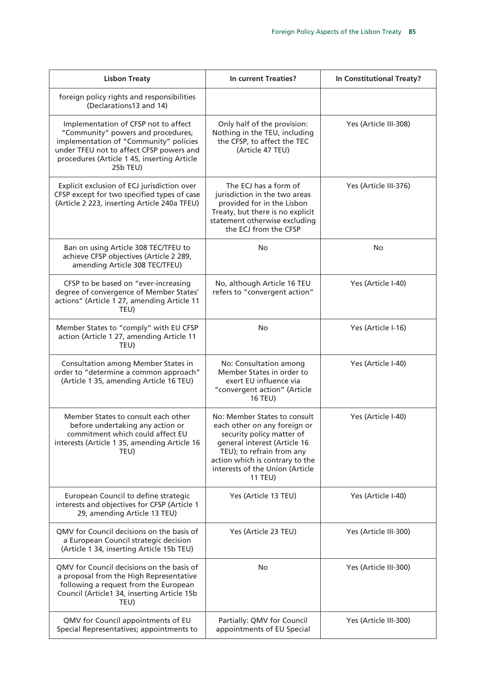| <b>Lisbon Treaty</b>                                                                                                                                                                                                        | In current Treaties?                                                                                                                                                                                                                           | In Constitutional Treaty? |
|-----------------------------------------------------------------------------------------------------------------------------------------------------------------------------------------------------------------------------|------------------------------------------------------------------------------------------------------------------------------------------------------------------------------------------------------------------------------------------------|---------------------------|
| foreign policy rights and responsibilities<br>(Declarations13 and 14)                                                                                                                                                       |                                                                                                                                                                                                                                                |                           |
| Implementation of CFSP not to affect<br>"Community" powers and procedures;<br>implementation of "Community" policies<br>under TFEU not to affect CFSP powers and<br>procedures (Article 1 45, inserting Article<br>25b TEU) | Only half of the provision:<br>Nothing in the TEU, including<br>the CFSP, to affect the TEC<br>(Article 47 TEU)                                                                                                                                | Yes (Article III-308)     |
| Explicit exclusion of ECJ jurisdiction over<br>CFSP except for two specified types of case<br>(Article 2 223, inserting Article 240a TFEU)                                                                                  | The ECJ has a form of<br>jurisdiction in the two areas<br>provided for in the Lisbon<br>Treaty, but there is no explicit<br>statement otherwise excluding<br>the ECJ from the CFSP                                                             | Yes (Article III-376)     |
| Ban on using Article 308 TEC/TFEU to<br>achieve CFSP objectives (Article 2 289,<br>amending Article 308 TEC/TFEU)                                                                                                           | No                                                                                                                                                                                                                                             | No                        |
| CFSP to be based on "ever-increasing<br>degree of convergence of Member States'<br>actions" (Article 1 27, amending Article 11<br>TEU)                                                                                      | No, although Article 16 TEU<br>refers to "convergent action"                                                                                                                                                                                   | Yes (Article I-40)        |
| Member States to "comply" with EU CFSP<br>action (Article 1 27, amending Article 11<br>TEU)                                                                                                                                 | No                                                                                                                                                                                                                                             | Yes (Article I-16)        |
| Consultation among Member States in<br>order to "determine a common approach"<br>(Article 1 35, amending Article 16 TEU)                                                                                                    | No: Consultation among<br>Member States in order to<br>exert EU influence via<br>"convergent action" (Article<br><b>16 TEU)</b>                                                                                                                | Yes (Article I-40)        |
| Member States to consult each other<br>before undertaking any action or<br>commitment which could affect EU<br>interests (Article 1 35, amending Article 16<br>TEU)                                                         | No: Member States to consult<br>each other on any foreign or<br>security policy matter of<br>general interest (Article 16<br>TEU); to refrain from any<br>action which is contrary to the<br>interests of the Union (Article<br><b>11 TEU)</b> | Yes (Article I-40)        |
| European Council to define strategic<br>interests and objectives for CFSP (Article 1<br>29, amending Article 13 TEU)                                                                                                        | Yes (Article 13 TEU)                                                                                                                                                                                                                           | Yes (Article I-40)        |
| QMV for Council decisions on the basis of<br>a European Council strategic decision<br>(Article 1 34, inserting Article 15b TEU)                                                                                             | Yes (Article 23 TEU)                                                                                                                                                                                                                           | Yes (Article III-300)     |
| QMV for Council decisions on the basis of<br>a proposal from the High Representative<br>following a request from the European<br>Council (Article1 34, inserting Article 15b<br>TEU)                                        | No.                                                                                                                                                                                                                                            | Yes (Article III-300)     |
| QMV for Council appointments of EU<br>Special Representatives; appointments to                                                                                                                                              | Partially: QMV for Council<br>appointments of EU Special                                                                                                                                                                                       | Yes (Article III-300)     |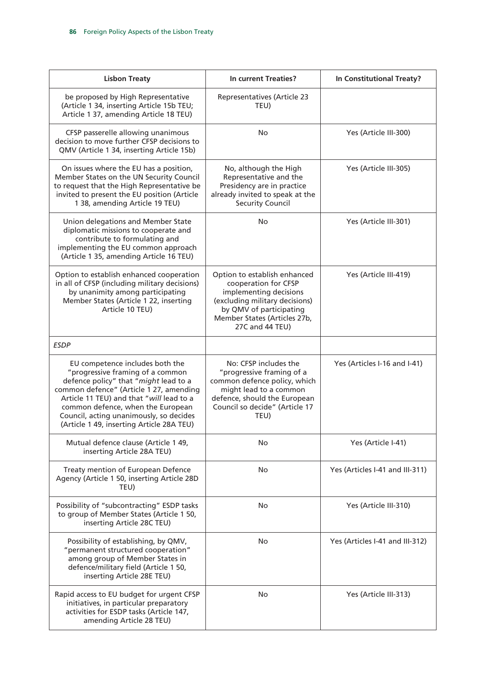| <b>Lisbon Treaty</b>                                                                                                                                                                                                                                                                                                             | In current Treaties?                                                                                                                                                                           | In Constitutional Treaty?       |
|----------------------------------------------------------------------------------------------------------------------------------------------------------------------------------------------------------------------------------------------------------------------------------------------------------------------------------|------------------------------------------------------------------------------------------------------------------------------------------------------------------------------------------------|---------------------------------|
| be proposed by High Representative<br>(Article 1 34, inserting Article 15b TEU;<br>Article 1 37, amending Article 18 TEU)                                                                                                                                                                                                        | <b>Representatives (Article 23</b><br>TEU)                                                                                                                                                     |                                 |
| CFSP passerelle allowing unanimous<br>decision to move further CFSP decisions to<br>QMV (Article 1 34, inserting Article 15b)                                                                                                                                                                                                    | <b>No</b>                                                                                                                                                                                      | Yes (Article III-300)           |
| On issues where the EU has a position,<br>Member States on the UN Security Council<br>to request that the High Representative be<br>invited to present the EU position (Article<br>1 38, amending Article 19 TEU)                                                                                                                | No, although the High<br>Representative and the<br>Presidency are in practice<br>already invited to speak at the<br><b>Security Council</b>                                                    | Yes (Article III-305)           |
| Union delegations and Member State<br>diplomatic missions to cooperate and<br>contribute to formulating and<br>implementing the EU common approach<br>(Article 1 35, amending Article 16 TEU)                                                                                                                                    | No                                                                                                                                                                                             | Yes (Article III-301)           |
| Option to establish enhanced cooperation<br>in all of CFSP (including military decisions)<br>by unanimity among participating<br>Member States (Article 1 22, inserting<br>Article 10 TEU)                                                                                                                                       | Option to establish enhanced<br>cooperation for CFSP<br>implementing decisions<br>(excluding military decisions)<br>by QMV of participating<br>Member States (Articles 27b,<br>27C and 44 TEU) | Yes (Article III-419)           |
| <b>ESDP</b>                                                                                                                                                                                                                                                                                                                      |                                                                                                                                                                                                |                                 |
| EU competence includes both the<br>"progressive framing of a common<br>defence policy" that "might lead to a<br>common defence" (Article 1 27, amending<br>Article 11 TEU) and that "will lead to a<br>common defence, when the European<br>Council, acting unanimously, so decides<br>(Article 1 49, inserting Article 28A TEU) | No: CFSP includes the<br>"progressive framing of a<br>common defence policy, which<br>might lead to a common<br>defence, should the European<br>Council so decide" (Article 17<br>TEU)         | Yes (Articles I-16 and I-41)    |
| Mutual defence clause (Article 1 49,<br>inserting Article 28A TEU)                                                                                                                                                                                                                                                               | No                                                                                                                                                                                             | Yes (Article I-41)              |
| Treaty mention of European Defence<br>Agency (Article 1 50, inserting Article 28D<br>TEU)                                                                                                                                                                                                                                        | No.                                                                                                                                                                                            | Yes (Articles I-41 and III-311) |
| Possibility of "subcontracting" ESDP tasks<br>to group of Member States (Article 1 50,<br>inserting Article 28C TEU)                                                                                                                                                                                                             | No                                                                                                                                                                                             | Yes (Article III-310)           |
| Possibility of establishing, by QMV,<br>"permanent structured cooperation"<br>among group of Member States in<br>defence/military field (Article 1 50,<br>inserting Article 28E TEU)                                                                                                                                             | No.                                                                                                                                                                                            | Yes (Articles I-41 and III-312) |
| Rapid access to EU budget for urgent CFSP<br>initiatives, in particular preparatory<br>activities for ESDP tasks (Article 147,<br>amending Article 28 TEU)                                                                                                                                                                       | No                                                                                                                                                                                             | Yes (Article III-313)           |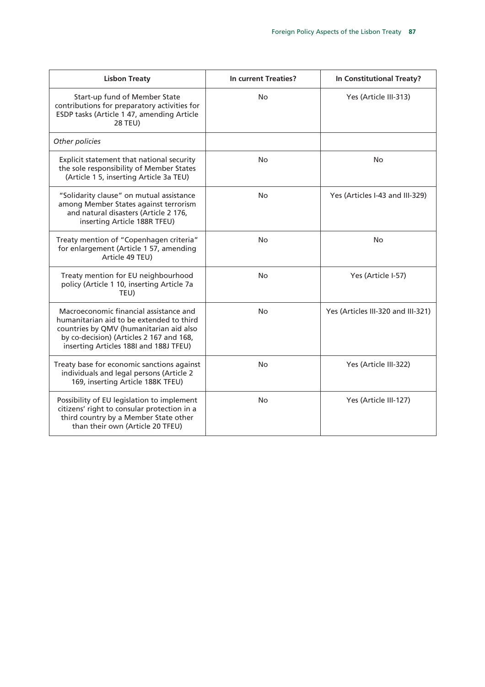| <b>Lisbon Treaty</b>                                                                                                                                                                                                | In current Treaties? | In Constitutional Treaty?          |
|---------------------------------------------------------------------------------------------------------------------------------------------------------------------------------------------------------------------|----------------------|------------------------------------|
| Start-up fund of Member State<br>contributions for preparatory activities for<br>ESDP tasks (Article 1 47, amending Article<br><b>28 TEU)</b>                                                                       | No                   | Yes (Article III-313)              |
| Other policies                                                                                                                                                                                                      |                      |                                    |
| Explicit statement that national security<br>the sole responsibility of Member States<br>(Article 1 5, inserting Article 3a TEU)                                                                                    | No.                  | No                                 |
| "Solidarity clause" on mutual assistance<br>among Member States against terrorism<br>and natural disasters (Article 2 176,<br>inserting Article 188R TFEU)                                                          | No.                  | Yes (Articles I-43 and III-329)    |
| Treaty mention of "Copenhagen criteria"<br>for enlargement (Article 1 57, amending<br>Article 49 TEU)                                                                                                               | No                   | No                                 |
| Treaty mention for EU neighbourhood<br>policy (Article 1 10, inserting Article 7a<br>TEU)                                                                                                                           | No.                  | Yes (Article I-57)                 |
| Macroeconomic financial assistance and<br>humanitarian aid to be extended to third<br>countries by QMV (humanitarian aid also<br>by co-decision) (Articles 2 167 and 168,<br>inserting Articles 188I and 188J TFEU) | No.                  | Yes (Articles III-320 and III-321) |
| Treaty base for economic sanctions against<br>individuals and legal persons (Article 2<br>169, inserting Article 188K TFEU)                                                                                         | No.                  | Yes (Article III-322)              |
| Possibility of EU legislation to implement<br>citizens' right to consular protection in a<br>third country by a Member State other<br>than their own (Article 20 TFEU)                                              | No.                  | Yes (Article III-127)              |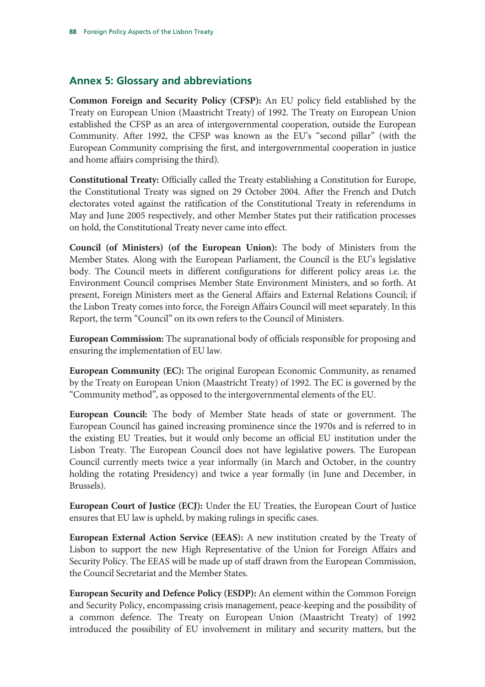## **Annex 5: Glossary and abbreviations**

**Common Foreign and Security Policy (CFSP):** An EU policy field established by the Treaty on European Union (Maastricht Treaty) of 1992. The Treaty on European Union established the CFSP as an area of intergovernmental cooperation, outside the European Community. After 1992, the CFSP was known as the EU's "second pillar" (with the European Community comprising the first, and intergovernmental cooperation in justice and home affairs comprising the third).

**Constitutional Treaty:** Officially called the Treaty establishing a Constitution for Europe, the Constitutional Treaty was signed on 29 October 2004. After the French and Dutch electorates voted against the ratification of the Constitutional Treaty in referendums in May and June 2005 respectively, and other Member States put their ratification processes on hold, the Constitutional Treaty never came into effect.

**Council (of Ministers) (of the European Union):** The body of Ministers from the Member States. Along with the European Parliament, the Council is the EU's legislative body. The Council meets in different configurations for different policy areas i.e. the Environment Council comprises Member State Environment Ministers, and so forth. At present, Foreign Ministers meet as the General Affairs and External Relations Council; if the Lisbon Treaty comes into force, the Foreign Affairs Council will meet separately. In this Report, the term "Council" on its own refers to the Council of Ministers.

**European Commission:** The supranational body of officials responsible for proposing and ensuring the implementation of EU law.

**European Community (EC):** The original European Economic Community, as renamed by the Treaty on European Union (Maastricht Treaty) of 1992. The EC is governed by the "Community method", as opposed to the intergovernmental elements of the EU.

**European Council:** The body of Member State heads of state or government. The European Council has gained increasing prominence since the 1970s and is referred to in the existing EU Treaties, but it would only become an official EU institution under the Lisbon Treaty. The European Council does not have legislative powers. The European Council currently meets twice a year informally (in March and October, in the country holding the rotating Presidency) and twice a year formally (in June and December, in Brussels).

**European Court of Justice (ECJ):** Under the EU Treaties, the European Court of Justice ensures that EU law is upheld, by making rulings in specific cases.

**European External Action Service (EEAS):** A new institution created by the Treaty of Lisbon to support the new High Representative of the Union for Foreign Affairs and Security Policy. The EEAS will be made up of staff drawn from the European Commission, the Council Secretariat and the Member States.

**European Security and Defence Policy (ESDP):** An element within the Common Foreign and Security Policy, encompassing crisis management, peace-keeping and the possibility of a common defence. The Treaty on European Union (Maastricht Treaty) of 1992 introduced the possibility of EU involvement in military and security matters, but the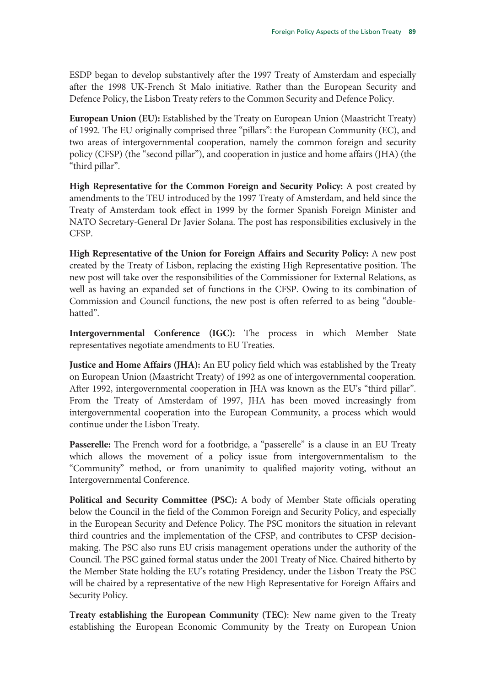ESDP began to develop substantively after the 1997 Treaty of Amsterdam and especially after the 1998 UK-French St Malo initiative. Rather than the European Security and Defence Policy, the Lisbon Treaty refers to the Common Security and Defence Policy.

**European Union (EU):** Established by the Treaty on European Union (Maastricht Treaty) of 1992. The EU originally comprised three "pillars": the European Community (EC), and two areas of intergovernmental cooperation, namely the common foreign and security policy (CFSP) (the "second pillar"), and cooperation in justice and home affairs (JHA) (the "third pillar".

**High Representative for the Common Foreign and Security Policy:** A post created by amendments to the TEU introduced by the 1997 Treaty of Amsterdam, and held since the Treaty of Amsterdam took effect in 1999 by the former Spanish Foreign Minister and NATO Secretary-General Dr Javier Solana. The post has responsibilities exclusively in the CFSP.

**High Representative of the Union for Foreign Affairs and Security Policy:** A new post created by the Treaty of Lisbon, replacing the existing High Representative position. The new post will take over the responsibilities of the Commissioner for External Relations, as well as having an expanded set of functions in the CFSP. Owing to its combination of Commission and Council functions, the new post is often referred to as being "doublehatted".

**Intergovernmental Conference (IGC):** The process in which Member State representatives negotiate amendments to EU Treaties.

**Justice and Home Affairs (JHA):** An EU policy field which was established by the Treaty on European Union (Maastricht Treaty) of 1992 as one of intergovernmental cooperation. After 1992, intergovernmental cooperation in JHA was known as the EU's "third pillar". From the Treaty of Amsterdam of 1997, JHA has been moved increasingly from intergovernmental cooperation into the European Community, a process which would continue under the Lisbon Treaty.

Passerelle: The French word for a footbridge, a "passerelle" is a clause in an EU Treaty which allows the movement of a policy issue from intergovernmentalism to the "Community" method, or from unanimity to qualified majority voting, without an Intergovernmental Conference.

**Political and Security Committee (PSC):** A body of Member State officials operating below the Council in the field of the Common Foreign and Security Policy, and especially in the European Security and Defence Policy. The PSC monitors the situation in relevant third countries and the implementation of the CFSP, and contributes to CFSP decisionmaking. The PSC also runs EU crisis management operations under the authority of the Council. The PSC gained formal status under the 2001 Treaty of Nice. Chaired hitherto by the Member State holding the EU's rotating Presidency, under the Lisbon Treaty the PSC will be chaired by a representative of the new High Representative for Foreign Affairs and Security Policy.

**Treaty establishing the European Community (TEC)**: New name given to the Treaty establishing the European Economic Community by the Treaty on European Union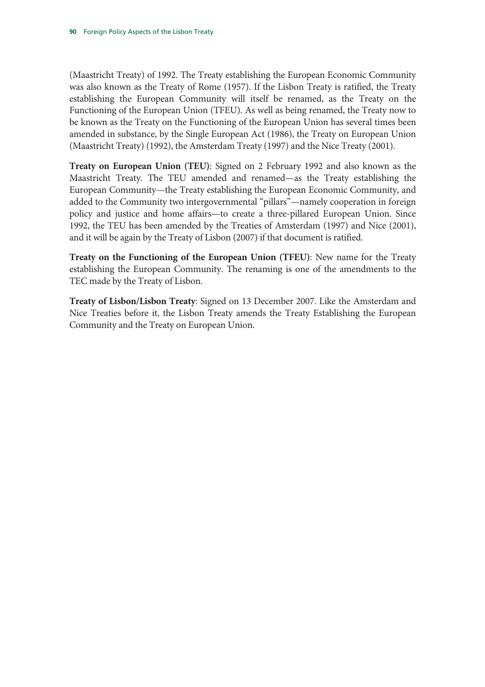(Maastricht Treaty) of 1992. The Treaty establishing the European Economic Community was also known as the Treaty of Rome (1957). If the Lisbon Treaty is ratified, the Treaty establishing the European Community will itself be renamed, as the Treaty on the Functioning of the European Union (TFEU). As well as being renamed, the Treaty now to be known as the Treaty on the Functioning of the European Union has several times been amended in substance, by the Single European Act (1986), the Treaty on European Union (Maastricht Treaty) (1992), the Amsterdam Treaty (1997) and the Nice Treaty (2001).

**Treaty on European Union (TEU)**: Signed on 2 February 1992 and also known as the Maastricht Treaty. The TEU amended and renamed—as the Treaty establishing the European Community—the Treaty establishing the European Economic Community, and added to the Community two intergovernmental "pillars"—namely cooperation in foreign policy and justice and home affairs—to create a three-pillared European Union. Since 1992, the TEU has been amended by the Treaties of Amsterdam (1997) and Nice (2001), and it will be again by the Treaty of Lisbon (2007) if that document is ratified.

**Treaty on the Functioning of the European Union (TFEU)**: New name for the Treaty establishing the European Community. The renaming is one of the amendments to the TEC made by the Treaty of Lisbon.

**Treaty of Lisbon/Lisbon Treaty**: Signed on 13 December 2007. Like the Amsterdam and Nice Treaties before it, the Lisbon Treaty amends the Treaty Establishing the European Community and the Treaty on European Union.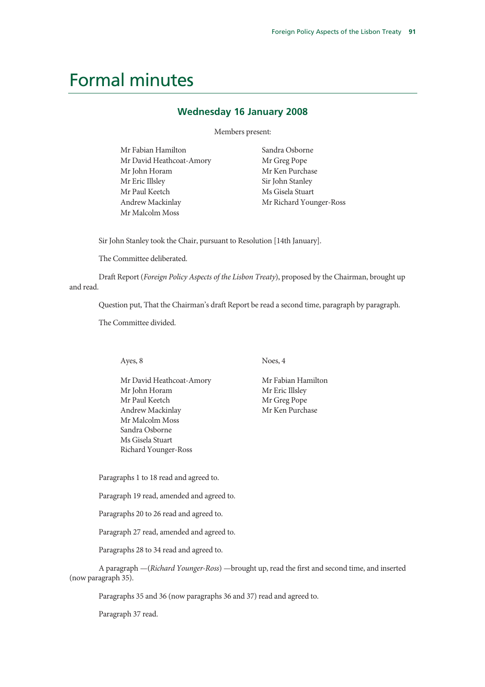## Formal minutes

#### **Wednesday 16 January 2008**

Members present:

| Mr Fabian Hamilton       | Sandra Osborne          |
|--------------------------|-------------------------|
| Mr David Heathcoat-Amory | Mr Greg Pope            |
| Mr John Horam            | Mr Ken Purchase         |
| Mr Eric Illsley          | Sir John Stanley        |
| Mr Paul Keetch           | Ms Gisela Stuart        |
| Andrew Mackinlay         | Mr Richard Younger-Ross |
| Mr Malcolm Moss          |                         |

Sir John Stanley took the Chair, pursuant to Resolution [14th January].

The Committee deliberated.

Draft Report (*Foreign Policy Aspects of the Lisbon Treaty*), proposed by the Chairman, brought up and read.

Question put, That the Chairman's draft Report be read a second time, paragraph by paragraph.

The Committee divided.

Ayes, 8

Mr David Heathcoat-Amory Mr John Horam Mr Paul Keetch Andrew Mackinlay Mr Malcolm Moss Sandra Osborne Ms Gisela Stuart Richard Younger-Ross

Noes, 4

Mr Fabian Hamilton Mr Eric Illsley Mr Greg Pope Mr Ken Purchase

Paragraphs 1 to 18 read and agreed to.

Paragraph 19 read, amended and agreed to.

Paragraphs 20 to 26 read and agreed to.

Paragraph 27 read, amended and agreed to.

Paragraphs 28 to 34 read and agreed to.

A paragraph —(*Richard Younger-Ross*) —brought up, read the first and second time, and inserted (now paragraph 35).

Paragraphs 35 and 36 (now paragraphs 36 and 37) read and agreed to.

Paragraph 37 read.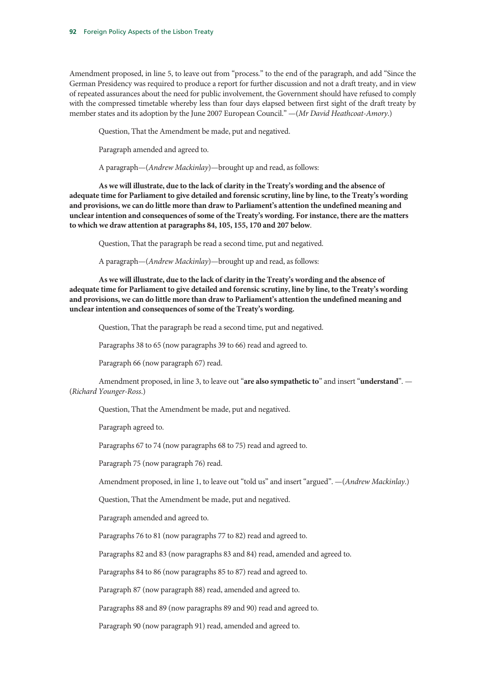Amendment proposed, in line 5, to leave out from "process." to the end of the paragraph, and add "Since the German Presidency was required to produce a report for further discussion and not a draft treaty, and in view of repeated assurances about the need for public involvement, the Government should have refused to comply with the compressed timetable whereby less than four days elapsed between first sight of the draft treaty by member states and its adoption by the June 2007 European Council." —(*Mr David Heathcoat-Amory*.)

Question, That the Amendment be made, put and negatived.

Paragraph amended and agreed to.

A paragraph—(*Andrew Mackinlay*)—brought up and read, as follows:

**As we will illustrate, due to the lack of clarity in the Treaty's wording and the absence of adequate time for Parliament to give detailed and forensic scrutiny, line by line, to the Treaty's wording and provisions, we can do little more than draw to Parliament's attention the undefined meaning and unclear intention and consequences of some of the Treaty's wording. For instance, there are the matters to which we draw attention at paragraphs 84, 105, 155, 170 and 207 below**.

Question, That the paragraph be read a second time, put and negatived.

A paragraph—(*Andrew Mackinlay*)—brought up and read, as follows:

**As we will illustrate, due to the lack of clarity in the Treaty's wording and the absence of adequate time for Parliament to give detailed and forensic scrutiny, line by line, to the Treaty's wording and provisions, we can do little more than draw to Parliament's attention the undefined meaning and unclear intention and consequences of some of the Treaty's wording.**

Question, That the paragraph be read a second time, put and negatived.

Paragraphs 38 to 65 (now paragraphs 39 to 66) read and agreed to.

Paragraph 66 (now paragraph 67) read.

Amendment proposed, in line 3, to leave out "**are also sympathetic to**" and insert "**understand**". — (*Richard Younger-Ross*.)

Question, That the Amendment be made, put and negatived.

Paragraph agreed to.

Paragraphs 67 to 74 (now paragraphs 68 to 75) read and agreed to.

Paragraph 75 (now paragraph 76) read.

Amendment proposed, in line 1, to leave out "told us" and insert "argued". —(*Andrew Mackinlay*.)

Question, That the Amendment be made, put and negatived.

Paragraph amended and agreed to.

Paragraphs 76 to 81 (now paragraphs 77 to 82) read and agreed to.

Paragraphs 82 and 83 (now paragraphs 83 and 84) read, amended and agreed to.

Paragraphs 84 to 86 (now paragraphs 85 to 87) read and agreed to.

Paragraph 87 (now paragraph 88) read, amended and agreed to.

Paragraphs 88 and 89 (now paragraphs 89 and 90) read and agreed to.

Paragraph 90 (now paragraph 91) read, amended and agreed to.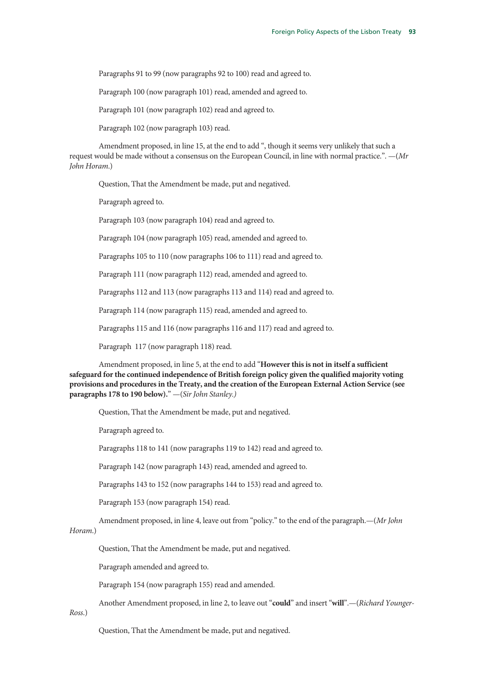Paragraphs 91 to 99 (now paragraphs 92 to 100) read and agreed to.

Paragraph 100 (now paragraph 101) read, amended and agreed to.

Paragraph 101 (now paragraph 102) read and agreed to.

Paragraph 102 (now paragraph 103) read.

Amendment proposed, in line 15, at the end to add ", though it seems very unlikely that such a request would be made without a consensus on the European Council, in line with normal practice.". —(*Mr John Horam*.)

Question, That the Amendment be made, put and negatived.

Paragraph agreed to.

Paragraph 103 (now paragraph 104) read and agreed to.

Paragraph 104 (now paragraph 105) read, amended and agreed to.

Paragraphs 105 to 110 (now paragraphs 106 to 111) read and agreed to.

Paragraph 111 (now paragraph 112) read, amended and agreed to.

Paragraphs 112 and 113 (now paragraphs 113 and 114) read and agreed to.

Paragraph 114 (now paragraph 115) read, amended and agreed to.

Paragraphs 115 and 116 (now paragraphs 116 and 117) read and agreed to.

Paragraph 117 (now paragraph 118) read.

Amendment proposed, in line 5, at the end to add "**However this is not in itself a sufficient safeguard for the continued independence of British foreign policy given the qualified majority voting provisions and procedures in the Treaty, and the creation of the European External Action Service (see paragraphs 178 to 190 below).**" —(*Sir John Stanley.)* 

Question, That the Amendment be made, put and negatived.

Paragraph agreed to.

Paragraphs 118 to 141 (now paragraphs 119 to 142) read and agreed to.

Paragraph 142 (now paragraph 143) read, amended and agreed to.

Paragraphs 143 to 152 (now paragraphs 144 to 153) read and agreed to.

Paragraph 153 (now paragraph 154) read.

Amendment proposed, in line 4, leave out from "policy." to the end of the paragraph.—(*Mr John* 

#### *Horam*.)

Question, That the Amendment be made, put and negatived.

Paragraph amended and agreed to.

Paragraph 154 (now paragraph 155) read and amended.

Another Amendment proposed, in line 2, to leave out "**could**" and insert "**will**".—(*Richard Younger-*

*Ross*.)

Question, That the Amendment be made, put and negatived.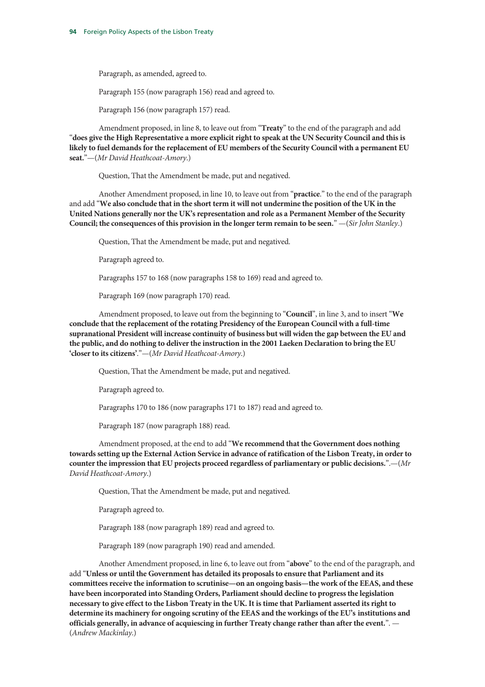Paragraph, as amended, agreed to.

Paragraph 155 (now paragraph 156) read and agreed to.

Paragraph 156 (now paragraph 157) read.

Amendment proposed, in line 8, to leave out from "**Treaty**" to the end of the paragraph and add "**does give the High Representative a more explicit right to speak at the UN Security Council and this is likely to fuel demands for the replacement of EU members of the Security Council with a permanent EU seat.**"—(*Mr David Heathcoat-Amory*.)

Question, That the Amendment be made, put and negatived.

Another Amendment proposed, in line 10, to leave out from "**practice**." to the end of the paragraph and add "**We also conclude that in the short term it will not undermine the position of the UK in the United Nations generally nor the UK's representation and role as a Permanent Member of the Security Council; the consequences of this provision in the longer term remain to be seen.**" —(*Sir John Stanley*.)

Question, That the Amendment be made, put and negatived.

Paragraph agreed to.

Paragraphs 157 to 168 (now paragraphs 158 to 169) read and agreed to.

Paragraph 169 (now paragraph 170) read.

Amendment proposed, to leave out from the beginning to "**Council**", in line 3, and to insert "**We conclude that the replacement of the rotating Presidency of the European Council with a full-time supranational President will increase continuity of business but will widen the gap between the EU and the public, and do nothing to deliver the instruction in the 2001 Laeken Declaration to bring the EU 'closer to its citizens'**."—(*Mr David Heathcoat-Amory*.)

Question, That the Amendment be made, put and negatived.

Paragraph agreed to.

Paragraphs 170 to 186 (now paragraphs 171 to 187) read and agreed to.

Paragraph 187 (now paragraph 188) read.

Amendment proposed, at the end to add "**We recommend that the Government does nothing towards setting up the External Action Service in advance of ratification of the Lisbon Treaty, in order to counter the impression that EU projects proceed regardless of parliamentary or public decisions.**".—(*Mr David Heathcoat-Amory*.)

Question, That the Amendment be made, put and negatived.

Paragraph agreed to.

Paragraph 188 (now paragraph 189) read and agreed to.

Paragraph 189 (now paragraph 190) read and amended.

Another Amendment proposed, in line 6, to leave out from "**above**" to the end of the paragraph, and add "**Unless or until the Government has detailed its proposals to ensure that Parliament and its committees receive the information to scrutinise—on an ongoing basis—the work of the EEAS, and these have been incorporated into Standing Orders, Parliament should decline to progress the legislation necessary to give effect to the Lisbon Treaty in the UK. It is time that Parliament asserted its right to determine its machinery for ongoing scrutiny of the EEAS and the workings of the EU's institutions and officials generally, in advance of acquiescing in further Treaty change rather than after the event.**". — (*Andrew Mackinlay*.)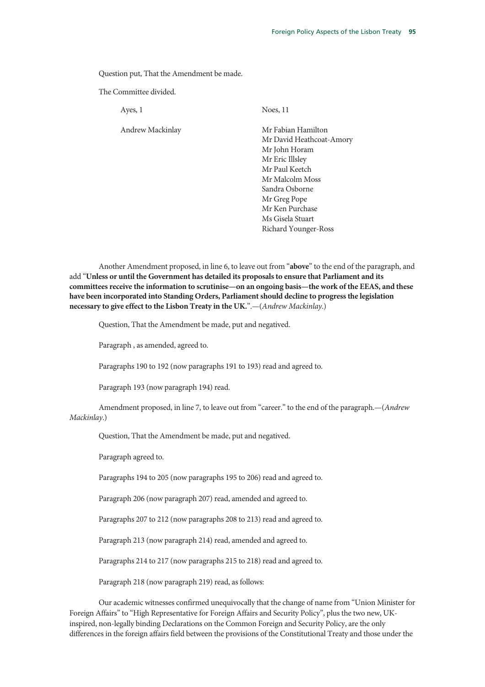Question put, That the Amendment be made.

The Committee divided.

Ayes, 1

Andrew Mackinlay

Noes, 11

Mr Fabian Hamilton Mr David Heathcoat-Amory Mr John Horam Mr Eric Illsley Mr Paul Keetch Mr Malcolm Moss Sandra Osborne Mr Greg Pope Mr Ken Purchase Ms Gisela Stuart Richard Younger-Ross

Another Amendment proposed, in line 6, to leave out from "**above**" to the end of the paragraph, and add "**Unless or until the Government has detailed its proposals to ensure that Parliament and its committees receive the information to scrutinise—on an ongoing basis—the work of the EEAS, and these have been incorporated into Standing Orders, Parliament should decline to progress the legislation necessary to give effect to the Lisbon Treaty in the UK.**".—(*Andrew Mackinlay*.)

Question, That the Amendment be made, put and negatived.

Paragraph , as amended, agreed to.

Paragraphs 190 to 192 (now paragraphs 191 to 193) read and agreed to.

Paragraph 193 (now paragraph 194) read.

Amendment proposed, in line 7, to leave out from "career." to the end of the paragraph.—(*Andrew Mackinlay*.)

Question, That the Amendment be made, put and negatived.

Paragraph agreed to.

Paragraphs 194 to 205 (now paragraphs 195 to 206) read and agreed to.

Paragraph 206 (now paragraph 207) read, amended and agreed to.

Paragraphs 207 to 212 (now paragraphs 208 to 213) read and agreed to.

Paragraph 213 (now paragraph 214) read, amended and agreed to.

Paragraphs 214 to 217 (now paragraphs 215 to 218) read and agreed to.

Paragraph 218 (now paragraph 219) read, as follows:

Our academic witnesses confirmed unequivocally that the change of name from "Union Minister for Foreign Affairs" to "High Representative for Foreign Affairs and Security Policy", plus the two new, UKinspired, non-legally binding Declarations on the Common Foreign and Security Policy, are the only differences in the foreign affairs field between the provisions of the Constitutional Treaty and those under the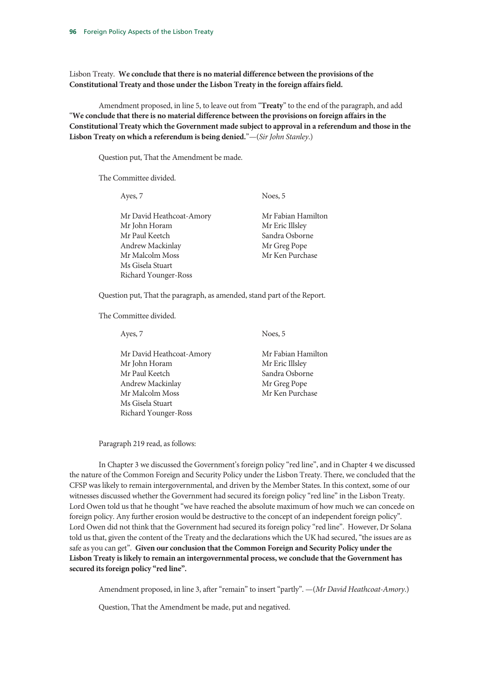Lisbon Treaty. **We conclude that there is no material difference between the provisions of the Constitutional Treaty and those under the Lisbon Treaty in the foreign affairs field.**

Amendment proposed, in line 5, to leave out from "**Treaty**" to the end of the paragraph, and add "**We conclude that there is no material difference between the provisions on foreign affairs in the Constitutional Treaty which the Government made subject to approval in a referendum and those in the Lisbon Treaty on which a referendum is being denied.**"—(*Sir John Stanley*.)

Question put, That the Amendment be made.

The Committee divided.

| Ayes, 7                  | Noes, 5            |
|--------------------------|--------------------|
|                          |                    |
| Mr David Heathcoat-Amory | Mr Fabian Hamilton |
| Mr John Horam            | Mr Eric Illsley    |
| Mr Paul Keetch           | Sandra Osborne     |
| Andrew Mackinlay         | Mr Greg Pope       |
| Mr Malcolm Moss          | Mr Ken Purchase    |
| Ms Gisela Stuart         |                    |
| Richard Younger-Ross     |                    |

Question put, That the paragraph, as amended, stand part of the Report.

The Committee divided.

Ayes, 7

Mr David Heathcoat-Amory Mr John Horam Mr Paul Keetch Andrew Mackinlay Mr Malcolm Moss Ms Gisela Stuart Richard Younger-Ross

Noes, 5

Mr Fabian Hamilton Mr Eric Illsley Sandra Osborne Mr Greg Pope Mr Ken Purchase

Paragraph 219 read, as follows:

In Chapter 3 we discussed the Government's foreign policy "red line", and in Chapter 4 we discussed the nature of the Common Foreign and Security Policy under the Lisbon Treaty. There, we concluded that the CFSP was likely to remain intergovernmental, and driven by the Member States. In this context, some of our witnesses discussed whether the Government had secured its foreign policy "red line" in the Lisbon Treaty. Lord Owen told us that he thought "we have reached the absolute maximum of how much we can concede on foreign policy. Any further erosion would be destructive to the concept of an independent foreign policy". Lord Owen did not think that the Government had secured its foreign policy "red line". However, Dr Solana told us that, given the content of the Treaty and the declarations which the UK had secured, "the issues are as safe as you can get". **Given our conclusion that the Common Foreign and Security Policy under the Lisbon Treaty is likely to remain an intergovernmental process, we conclude that the Government has secured its foreign policy "red line".**

Amendment proposed, in line 3, after "remain" to insert "partly". —(*Mr David Heathcoat-Amory*.)

Question, That the Amendment be made, put and negatived.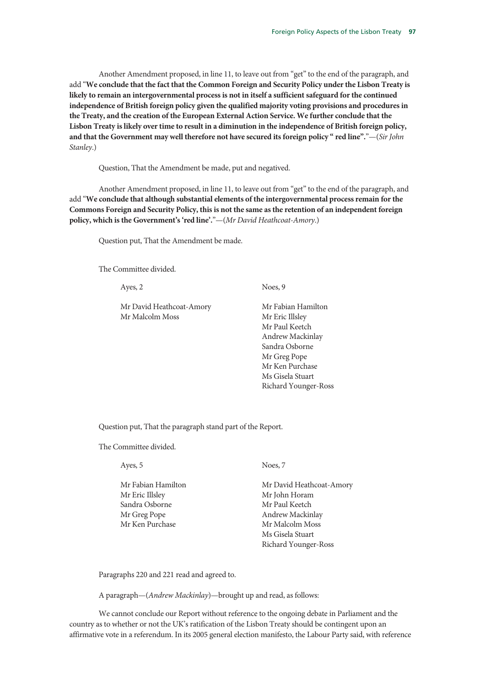Another Amendment proposed, in line 11, to leave out from "get" to the end of the paragraph, and add "**We conclude that the fact that the Common Foreign and Security Policy under the Lisbon Treaty is likely to remain an intergovernmental process is not in itself a sufficient safeguard for the continued independence of British foreign policy given the qualified majority voting provisions and procedures in the Treaty, and the creation of the European External Action Service. We further conclude that the Lisbon Treaty is likely over time to result in a diminution in the independence of British foreign policy, and that the Government may well therefore not have secured its foreign policy " red line".**"—(*Sir John Stanley*.)

Question, That the Amendment be made, put and negatived.

Another Amendment proposed, in line 11, to leave out from "get" to the end of the paragraph, and add "**We conclude that although substantial elements of the intergovernmental process remain for the Commons Foreign and Security Policy, this is not the same as the retention of an independent foreign policy, which is the Government's 'red line'.**"—(*Mr David Heathcoat-Amory*.)

Question put, That the Amendment be made.

The Committee divided.

Ayes, 2

Mr David Heathcoat-Amory Mr Malcolm Moss

Noes, 9

Mr Fabian Hamilton Mr Eric Illsley Mr Paul Keetch Andrew Mackinlay Sandra Osborne Mr Greg Pope Mr Ken Purchase Ms Gisela Stuart Richard Younger-Ross

Question put, That the paragraph stand part of the Report.

The Committee divided.

Ayes, 5

Mr Fabian Hamilton Mr Eric Illsley Sandra Osborne Mr Greg Pope Mr Ken Purchase

Noes, 7

Mr David Heathcoat-Amory Mr John Horam Mr Paul Keetch Andrew Mackinlay Mr Malcolm Moss Ms Gisela Stuart Richard Younger-Ross

Paragraphs 220 and 221 read and agreed to.

A paragraph—(*Andrew Mackinlay*)—brought up and read, as follows:

We cannot conclude our Report without reference to the ongoing debate in Parliament and the country as to whether or not the UK's ratification of the Lisbon Treaty should be contingent upon an affirmative vote in a referendum. In its 2005 general election manifesto, the Labour Party said, with reference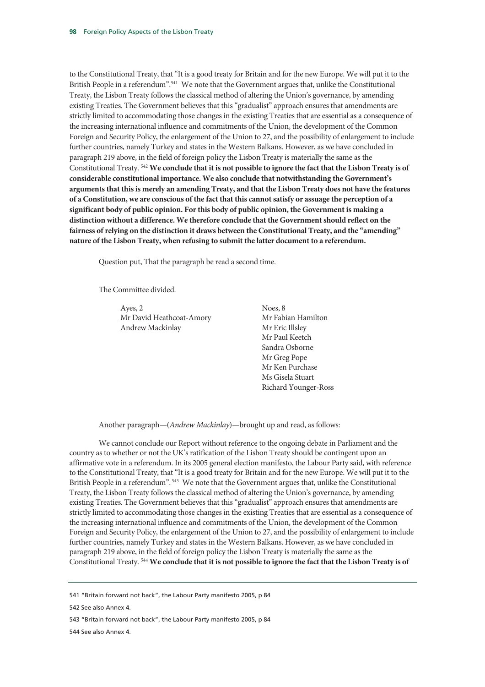to the Constitutional Treaty, that "It is a good treaty for Britain and for the new Europe. We will put it to the British People in a referendum".<sup>541</sup> We note that the Government argues that, unlike the Constitutional Treaty, the Lisbon Treaty follows the classical method of altering the Union's governance, by amending existing Treaties. The Government believes that this "gradualist" approach ensures that amendments are strictly limited to accommodating those changes in the existing Treaties that are essential as a consequence of the increasing international influence and commitments of the Union, the development of the Common Foreign and Security Policy, the enlargement of the Union to 27, and the possibility of enlargement to include further countries, namely Turkey and states in the Western Balkans. However, as we have concluded in paragraph 219 above, in the field of foreign policy the Lisbon Treaty is materially the same as the Constitutional Treaty. 542 **We conclude that it is not possible to ignore the fact that the Lisbon Treaty is of considerable constitutional importance. We also conclude that notwithstanding the Government's arguments that this is merely an amending Treaty, and that the Lisbon Treaty does not have the features of a Constitution, we are conscious of the fact that this cannot satisfy or assuage the perception of a significant body of public opinion. For this body of public opinion, the Government is making a distinction without a difference. We therefore conclude that the Government should reflect on the fairness of relying on the distinction it draws between the Constitutional Treaty, and the "amending" nature of the Lisbon Treaty, when refusing to submit the latter document to a referendum.** 

Question put, That the paragraph be read a second time.

The Committee divided.

Ayes, 2 Mr David Heathcoat-Amory Andrew Mackinlay

Noes, 8 Mr Fabian Hamilton Mr Eric Illsley Mr Paul Keetch Sandra Osborne Mr Greg Pope Mr Ken Purchase Ms Gisela Stuart Richard Younger-Ross

Another paragraph—(*Andrew Mackinlay*)—brought up and read, as follows:

We cannot conclude our Report without reference to the ongoing debate in Parliament and the country as to whether or not the UK's ratification of the Lisbon Treaty should be contingent upon an affirmative vote in a referendum. In its 2005 general election manifesto, the Labour Party said, with reference to the Constitutional Treaty, that "It is a good treaty for Britain and for the new Europe. We will put it to the British People in a referendum".<sup>543</sup> We note that the Government argues that, unlike the Constitutional Treaty, the Lisbon Treaty follows the classical method of altering the Union's governance, by amending existing Treaties. The Government believes that this "gradualist" approach ensures that amendments are strictly limited to accommodating those changes in the existing Treaties that are essential as a consequence of the increasing international influence and commitments of the Union, the development of the Common Foreign and Security Policy, the enlargement of the Union to 27, and the possibility of enlargement to include further countries, namely Turkey and states in the Western Balkans. However, as we have concluded in paragraph 219 above, in the field of foreign policy the Lisbon Treaty is materially the same as the Constitutional Treaty. 544 **We conclude that it is not possible to ignore the fact that the Lisbon Treaty is of** 

<sup>541 &</sup>quot;Britain forward not back", the Labour Party manifesto 2005, p 84

<sup>542</sup> See also Annex 4.

<sup>543 &</sup>quot;Britain forward not back", the Labour Party manifesto 2005, p 84

<sup>544</sup> See also Annex 4.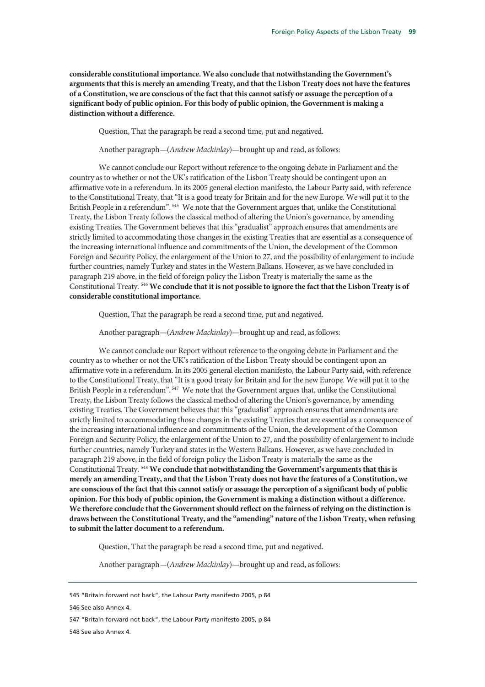**considerable constitutional importance. We also conclude that notwithstanding the Government's arguments that this is merely an amending Treaty, and that the Lisbon Treaty does not have the features of a Constitution, we are conscious of the fact that this cannot satisfy or assuage the perception of a significant body of public opinion. For this body of public opinion, the Government is making a distinction without a difference.**

Question, That the paragraph be read a second time, put and negatived.

Another paragraph—(*Andrew Mackinlay*)—brought up and read, as follows:

We cannot conclude our Report without reference to the ongoing debate in Parliament and the country as to whether or not the UK's ratification of the Lisbon Treaty should be contingent upon an affirmative vote in a referendum. In its 2005 general election manifesto, the Labour Party said, with reference to the Constitutional Treaty, that "It is a good treaty for Britain and for the new Europe. We will put it to the British People in a referendum". 545 We note that the Government argues that, unlike the Constitutional Treaty, the Lisbon Treaty follows the classical method of altering the Union's governance, by amending existing Treaties. The Government believes that this "gradualist" approach ensures that amendments are strictly limited to accommodating those changes in the existing Treaties that are essential as a consequence of the increasing international influence and commitments of the Union, the development of the Common Foreign and Security Policy, the enlargement of the Union to 27, and the possibility of enlargement to include further countries, namely Turkey and states in the Western Balkans. However, as we have concluded in paragraph 219 above, in the field of foreign policy the Lisbon Treaty is materially the same as the Constitutional Treaty. 546 **We conclude that it is not possible to ignore the fact that the Lisbon Treaty is of considerable constitutional importance.**

Question, That the paragraph be read a second time, put and negatived.

Another paragraph—(*Andrew Mackinlay*)—brought up and read, as follows:

We cannot conclude our Report without reference to the ongoing debate in Parliament and the country as to whether or not the UK's ratification of the Lisbon Treaty should be contingent upon an affirmative vote in a referendum. In its 2005 general election manifesto, the Labour Party said, with reference to the Constitutional Treaty, that "It is a good treaty for Britain and for the new Europe. We will put it to the British People in a referendum".<sup>547</sup> We note that the Government argues that, unlike the Constitutional Treaty, the Lisbon Treaty follows the classical method of altering the Union's governance, by amending existing Treaties. The Government believes that this "gradualist" approach ensures that amendments are strictly limited to accommodating those changes in the existing Treaties that are essential as a consequence of the increasing international influence and commitments of the Union, the development of the Common Foreign and Security Policy, the enlargement of the Union to 27, and the possibility of enlargement to include further countries, namely Turkey and states in the Western Balkans. However, as we have concluded in paragraph 219 above, in the field of foreign policy the Lisbon Treaty is materially the same as the Constitutional Treaty. 548 **We conclude that notwithstanding the Government's arguments that this is merely an amending Treaty, and that the Lisbon Treaty does not have the features of a Constitution, we are conscious of the fact that this cannot satisfy or assuage the perception of a significant body of public opinion. For this body of public opinion, the Government is making a distinction without a difference. We therefore conclude that the Government should reflect on the fairness of relying on the distinction is draws between the Constitutional Treaty, and the "amending" nature of the Lisbon Treaty, when refusing to submit the latter document to a referendum.**

Question, That the paragraph be read a second time, put and negatived.

Another paragraph—(*Andrew Mackinlay*)—brought up and read, as follows:

548 See also Annex 4.

<sup>545 &</sup>quot;Britain forward not back", the Labour Party manifesto 2005, p 84

<sup>546</sup> See also Annex 4.

<sup>547 &</sup>quot;Britain forward not back", the Labour Party manifesto 2005, p 84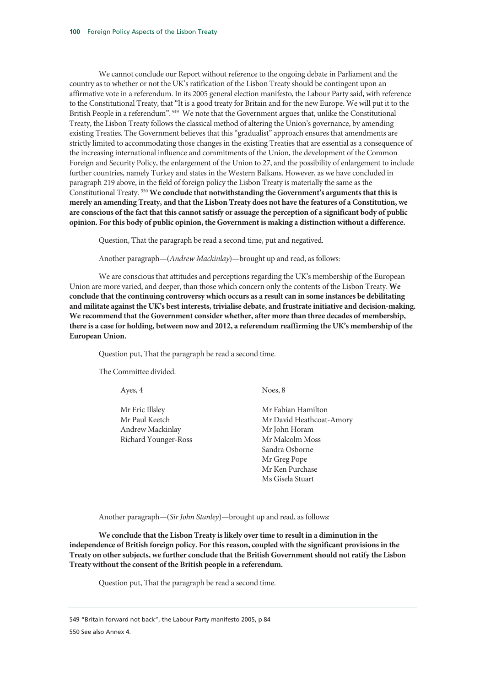We cannot conclude our Report without reference to the ongoing debate in Parliament and the country as to whether or not the UK's ratification of the Lisbon Treaty should be contingent upon an affirmative vote in a referendum. In its 2005 general election manifesto, the Labour Party said, with reference to the Constitutional Treaty, that "It is a good treaty for Britain and for the new Europe. We will put it to the British People in a referendum".<sup>549</sup> We note that the Government argues that, unlike the Constitutional Treaty, the Lisbon Treaty follows the classical method of altering the Union's governance, by amending existing Treaties. The Government believes that this "gradualist" approach ensures that amendments are strictly limited to accommodating those changes in the existing Treaties that are essential as a consequence of the increasing international influence and commitments of the Union, the development of the Common Foreign and Security Policy, the enlargement of the Union to 27, and the possibility of enlargement to include further countries, namely Turkey and states in the Western Balkans. However, as we have concluded in paragraph 219 above, in the field of foreign policy the Lisbon Treaty is materially the same as the Constitutional Treaty. 550 **We conclude that notwithstanding the Government's arguments that this is merely an amending Treaty, and that the Lisbon Treaty does not have the features of a Constitution, we are conscious of the fact that this cannot satisfy or assuage the perception of a significant body of public opinion. For this body of public opinion, the Government is making a distinction without a difference.**

Question, That the paragraph be read a second time, put and negatived.

Another paragraph—(*Andrew Mackinlay*)—brought up and read, as follows:

We are conscious that attitudes and perceptions regarding the UK's membership of the European Union are more varied, and deeper, than those which concern only the contents of the Lisbon Treaty. **We conclude that the continuing controversy which occurs as a result can in some instances be debilitating and militate against the UK's best interests, trivialise debate, and frustrate initiative and decision-making. We recommend that the Government consider whether, after more than three decades of membership, there is a case for holding, between now and 2012, a referendum reaffirming the UK's membership of the European Union.** 

Question put, That the paragraph be read a second time.

The Committee divided.

| Ayes, 4              | Noes, 8                  |
|----------------------|--------------------------|
| Mr Eric Illsley      | Mr Fabian Hamilton       |
| Mr Paul Keetch       | Mr David Heathcoat-Amory |
| Andrew Mackinlay     | Mr John Horam            |
| Richard Younger-Ross | Mr Malcolm Moss          |
|                      | Sandra Osborne           |
|                      | Mr Greg Pope             |
|                      | Mr Ken Purchase          |
|                      | Ms Gisela Stuart         |

Another paragraph—(*Sir John Stanley*)—brought up and read, as follows:

**We conclude that the Lisbon Treaty is likely over time to result in a diminution in the independence of British foreign policy. For this reason, coupled with the significant provisions in the Treaty on other subjects, we further conclude that the British Government should not ratify the Lisbon Treaty without the consent of the British people in a referendum.**

Question put, That the paragraph be read a second time.

549 "Britain forward not back", the Labour Party manifesto 2005, p 84

550 See also Annex 4.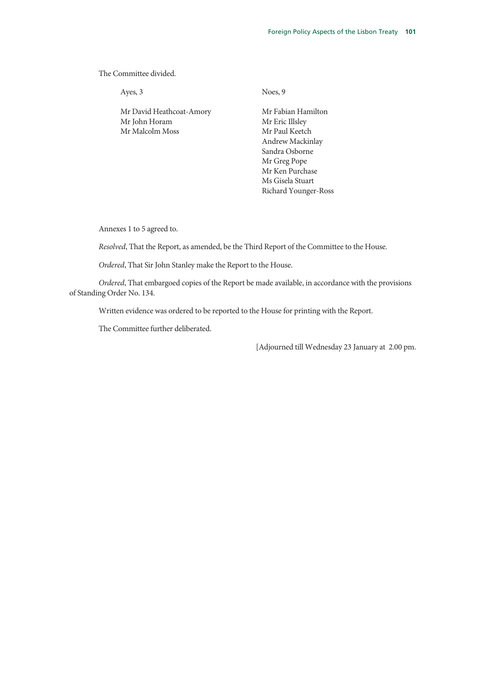The Committee divided.

Ayes, 3

Mr David Heathcoat-Amory Mr John Horam Mr Malcolm Moss

Noes, 9

Mr Fabian Hamilton Mr Eric Illsley Mr Paul Keetch Andrew Mackinlay Sandra Osborne Mr Greg Pope Mr Ken Purchase Ms Gisela Stuart Richard Younger-Ross

Annexes 1 to 5 agreed to.

*Resolved*, That the Report, as amended, be the Third Report of the Committee to the House.

*Ordered*, That Sir John Stanley make the Report to the House.

*Ordered*, That embargoed copies of the Report be made available, in accordance with the provisions of Standing Order No. 134.

Written evidence was ordered to be reported to the House for printing with the Report.

The Committee further deliberated.

[Adjourned till Wednesday 23 January at 2.00 pm.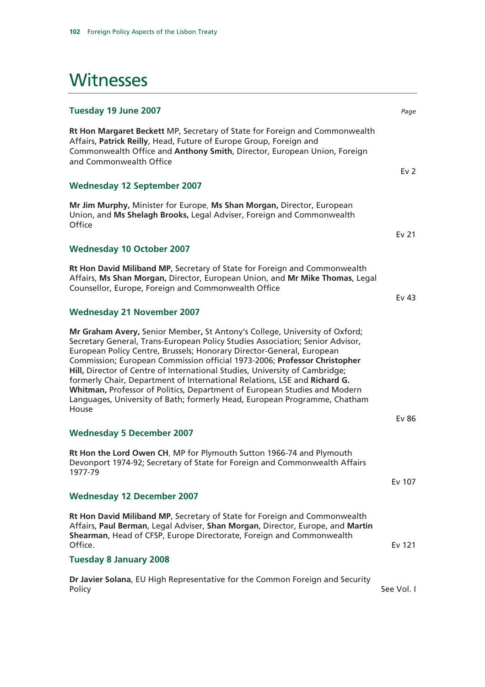## **Witnesses**

| Tuesday 19 June 2007                                                                                                                                                                                                                                                                                                                                                                                                                                                                                                                                                                                                                    | Page            |
|-----------------------------------------------------------------------------------------------------------------------------------------------------------------------------------------------------------------------------------------------------------------------------------------------------------------------------------------------------------------------------------------------------------------------------------------------------------------------------------------------------------------------------------------------------------------------------------------------------------------------------------------|-----------------|
| Rt Hon Margaret Beckett MP, Secretary of State for Foreign and Commonwealth<br>Affairs, Patrick Reilly, Head, Future of Europe Group, Foreign and<br>Commonwealth Office and Anthony Smith, Director, European Union, Foreign<br>and Commonwealth Office                                                                                                                                                                                                                                                                                                                                                                                |                 |
|                                                                                                                                                                                                                                                                                                                                                                                                                                                                                                                                                                                                                                         | Ev <sub>2</sub> |
| <b>Wednesday 12 September 2007</b>                                                                                                                                                                                                                                                                                                                                                                                                                                                                                                                                                                                                      |                 |
| Mr Jim Murphy, Minister for Europe, Ms Shan Morgan, Director, European<br>Union, and Ms Shelagh Brooks, Legal Adviser, Foreign and Commonwealth<br>Office                                                                                                                                                                                                                                                                                                                                                                                                                                                                               |                 |
|                                                                                                                                                                                                                                                                                                                                                                                                                                                                                                                                                                                                                                         | Ev 21           |
| <b>Wednesday 10 October 2007</b>                                                                                                                                                                                                                                                                                                                                                                                                                                                                                                                                                                                                        |                 |
| Rt Hon David Miliband MP, Secretary of State for Foreign and Commonwealth<br>Affairs, Ms Shan Morgan, Director, European Union, and Mr Mike Thomas, Legal<br>Counsellor, Europe, Foreign and Commonwealth Office                                                                                                                                                                                                                                                                                                                                                                                                                        | Ev 43           |
| <b>Wednesday 21 November 2007</b>                                                                                                                                                                                                                                                                                                                                                                                                                                                                                                                                                                                                       |                 |
| Mr Graham Avery, Senior Member, St Antony's College, University of Oxford;<br>Secretary General, Trans-European Policy Studies Association; Senior Advisor,<br>European Policy Centre, Brussels; Honorary Director-General, European<br>Commission; European Commission official 1973-2006; Professor Christopher<br>Hill, Director of Centre of International Studies, University of Cambridge;<br>formerly Chair, Department of International Relations, LSE and Richard G.<br>Whitman, Professor of Politics, Department of European Studies and Modern<br>Languages, University of Bath; formerly Head, European Programme, Chatham |                 |
| House                                                                                                                                                                                                                                                                                                                                                                                                                                                                                                                                                                                                                                   | <b>Ev 86</b>    |
| <b>Wednesday 5 December 2007</b>                                                                                                                                                                                                                                                                                                                                                                                                                                                                                                                                                                                                        |                 |
| Rt Hon the Lord Owen CH, MP for Plymouth Sutton 1966-74 and Plymouth<br>Devonport 1974-92; Secretary of State for Foreign and Commonwealth Affairs<br>1977-79                                                                                                                                                                                                                                                                                                                                                                                                                                                                           |                 |
|                                                                                                                                                                                                                                                                                                                                                                                                                                                                                                                                                                                                                                         | Ev 107          |
| <b>Wednesday 12 December 2007</b>                                                                                                                                                                                                                                                                                                                                                                                                                                                                                                                                                                                                       |                 |
| Rt Hon David Miliband MP, Secretary of State for Foreign and Commonwealth<br>Affairs, Paul Berman, Legal Adviser, Shan Morgan, Director, Europe, and Martin<br>Shearman, Head of CFSP, Europe Directorate, Foreign and Commonwealth<br>Office.                                                                                                                                                                                                                                                                                                                                                                                          | Ev 121          |
| <b>Tuesday 8 January 2008</b>                                                                                                                                                                                                                                                                                                                                                                                                                                                                                                                                                                                                           |                 |
| Dr Javier Solana, EU High Representative for the Common Foreign and Security<br>Policy                                                                                                                                                                                                                                                                                                                                                                                                                                                                                                                                                  | See Vol. I      |